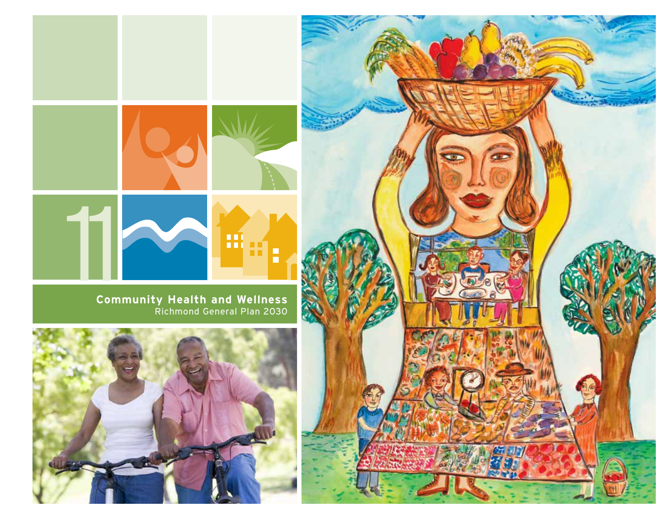

**Community Health and Wellness** Richmond General Plan 2030



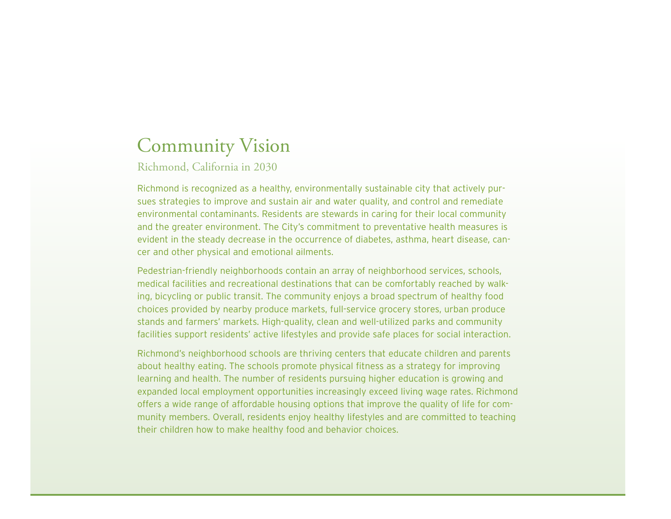# Community Vision

Richmond, California in 2030

Richmond is recognized as a healthy, environmentally sustainable city that actively pursues strategies to improve and sustain air and water quality, and control and remediate environmental contaminants. Residents are stewards in caring for their local community and the greater environment. The City's commitment to preventative health measures is evident in the steady decrease in the occurrence of diabetes, asthma, heart disease, cancer and other physical and emotional ailments.

Pedestrian-friendly neighborhoods contain an array of neighborhood services, schools, medical facilities and recreational destinations that can be comfortably reached by walking, bicycling or public transit. The community enjoys a broad spectrum of healthy food choices provided by nearby produce markets, full-service grocery stores, urban produce stands and farmers' markets. High-quality, clean and well-utilized parks and community facilities support residents' active lifestyles and provide safe places for social interaction.

Richmond's neighborhood schools are thriving centers that educate children and parents about healthy eating. The schools promote physical fitness as a strategy for improving learning and health. The number of residents pursuing higher education is growing and expanded local employment opportunities increasingly exceed living wage rates. Richmond offers a wide range of affordable housing options that improve the quality of life for community members. Overall, residents enjoy healthy lifestyles and are committed to teaching their children how to make healthy food and behavior choices.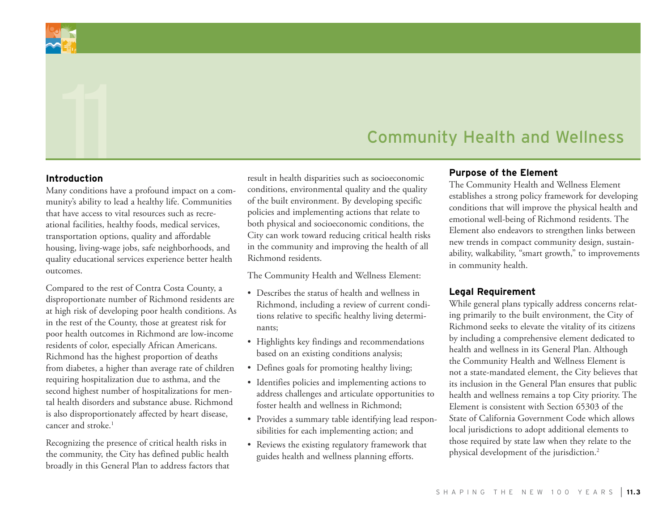

# Explore the Element Community Health and Wellness<br>
Traduction Purpose of the Element Purpose of the Element

#### **Introduction**

Many conditions have a profound impact on a community's ability to lead a healthy life. Communities that have access to vital resources such as recreational facilities, healthy foods, medical services, transportation options, quality and affordable housing, living-wage jobs, safe neighborhoods, and quality educational services experience better health outcomes.

Compared to the rest of Contra Costa County, a disproportionate number of Richmond residents are at high risk of developing poor health conditions. As in the rest of the County, those at greatest risk for poor health outcomes in Richmond are low-income residents of color, especially African Americans. Richmond has the highest proportion of deaths from diabetes, a higher than average rate of children requiring hospitalization due to asthma, and the second highest number of hospitalizations for mental health disorders and substance abuse. Richmond is also disproportionately affected by heart disease, cancer and stroke.1

Recognizing the presence of critical health risks in the community, the City has defined public health broadly in this General Plan to address factors that result in health disparities such as socioeconomic conditions, environmental quality and the quality of the built environment. By developing specific policies and implementing actions that relate to both physical and socioeconomic conditions, the City can work toward reducing critical health risks in the community and improving the health of all Richmond residents.

The Community Health and Wellness Element:

- Describes the status of health and wellness in Richmond, including a review of current conditions relative to specific healthy living determinants;
- • Highlights key findings and recommendations based on an existing conditions analysis;
- Defines goals for promoting healthy living;
- Identifies policies and implementing actions to address challenges and articulate opportunities to foster health and wellness in Richmond;
- Provides a summary table identifying lead responsibilities for each implementing action; and
- Reviews the existing regulatory framework that guides health and wellness planning efforts.

#### **Purpose of the Element**

The Community Health and Wellness Element establishes a strong policy framework for developing conditions that will improve the physical health and emotional well-being of Richmond residents. The Element also endeavors to strengthen links between new trends in compact community design, sustainability, walkability, "smart growth," to improvements in community health.

#### **Legal Requirement**

While general plans typically address concerns relating primarily to the built environment, the City of Richmond seeks to elevate the vitality of its citizens by including a comprehensive element dedicated to health and wellness in its General Plan. Although the Community Health and Wellness Element is not a state-mandated element, the City believes that its inclusion in the General Plan ensures that public health and wellness remains a top City priority. The Element is consistent with Section 65303 of the State of California Government Code which allows local jurisdictions to adopt additional elements to those required by state law when they relate to the physical development of the jurisdiction.<sup>2</sup>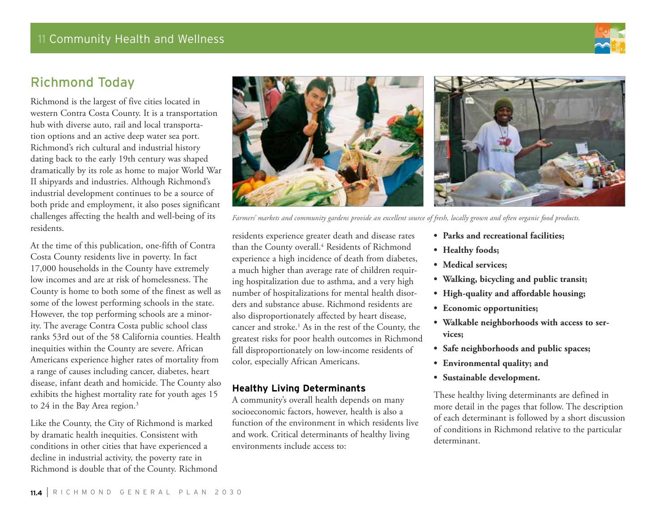11 Community Health and Wellness

# Richmond Today

Richmond is the largest of five cities located in western Contra Costa County. It is a transportation hub with diverse auto, rail and local transportation options and an active deep water sea port. Richmond's rich cultural and industrial history dating back to the early 19th century was shaped dramatically by its role as home to major World War II shipyards and industries. Although Richmond's industrial development continues to be a source of both pride and employment, it also poses significant challenges affecting the health and well-being of its residents.

At the time of this publication, one-fifth of Contra Costa County residents live in poverty. In fact 17,000 households in the County have extremely low incomes and are at risk of homelessness. The County is home to both some of the finest as well as some of the lowest performing schools in the state. However, the top performing schools are a minority. The average Contra Costa public school class ranks 53rd out of the 58 California counties. Health inequities within the County are severe. African Americans experience higher rates of mortality from a range of causes including cancer, diabetes, heart disease, infant death and homicide. The County also exhibits the highest mortality rate for youth ages 15 to 24 in the Bay Area region.<sup>3</sup>

Like the County, the City of Richmond is marked by dramatic health inequities. Consistent with conditions in other cities that have experienced a decline in industrial activity, the poverty rate in Richmond is double that of the County. Richmond



residents experience greater death and disease rates than the County overall.<sup>4</sup> Residents of Richmond experience a high incidence of death from diabetes, a much higher than average rate of children requiring hospitalization due to asthma, and a very high number of hospitalizations for mental health disorders and substance abuse. Richmond residents are also disproportionately affected by heart disease, cancer and stroke.<sup>1</sup> As in the rest of the County, the greatest risks for poor health outcomes in Richmond fall disproportionately on low-income residents of color, especially African Americans.

#### **Healthy Living Determinants**

A community's overall health depends on many socioeconomic factors, however, health is also a function of the environment in which residents live and work. Critical determinants of healthy living environments include access to:

- **• Parks and recreational facilities;**
- **• Healthy foods;**
- **• Medical services;**
- **• Walking, bicycling and public transit;**
- **• High-quality and affordable housing;**
- **• Economic opportunities;**
- **• Walkable neighborhoods with access to services;**
- **• Safe neighborhoods and public spaces;**
- **• Environmental quality; and**
- **• Sustainable development.**

These healthy living determinants are defined in more detail in the pages that follow. The description of each determinant is followed by a short discussion of conditions in Richmond relative to the particular determinant.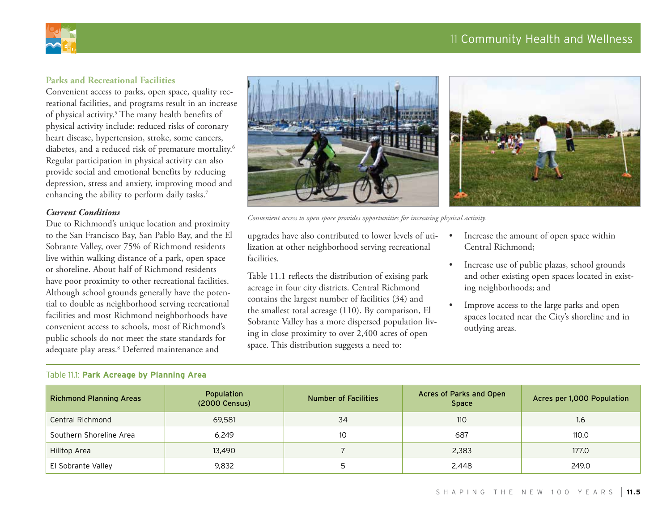# 11 Community Health and Wellness



#### **Parks and Recreational Facilities**

Convenient access to parks, open space, quality recreational facilities, and programs result in an increase of physical activity.<sup>5</sup> The many health benefits of physical activity include: reduced risks of coronary heart disease, hypertension, stroke, some cancers, diabetes, and a reduced risk of premature mortality.6 Regular participation in physical activity can also provide social and emotional benefits by reducing depression, stress and anxiety, improving mood and enhancing the ability to perform daily tasks.<sup>7</sup>

#### *Current Conditions*

Due to Richmond's unique location and proximity to the San Francisco Bay, San Pablo Bay, and the El Sobrante Valley, over 75% of Richmond residents live within walking distance of a park, open space or shoreline. About half of Richmond residents have poor proximity to other recreational facilities. Although school grounds generally have the potential to double as neighborhood serving recreational facilities and most Richmond neighborhoods have convenient access to schools, most of Richmond's public schools do not meet the state standards for adequate play areas.8 Deferred maintenance and

Table 11.1: **Park Acreage by Planning Area**



*Convenient access to open space provides opportunities for increasing physical activity.*

upgrades have also contributed to lower levels of utilization at other neighborhood serving recreational facilities.

Table 11.1 reflects the distribution of exising park acreage in four city districts. Central Richmond contains the largest number of facilities (34) and the smallest total acreage (110). By comparison, El Sobrante Valley has a more dispersed population living in close proximity to over 2,400 acres of open space. This distribution suggests a need to:

- Increase the amount of open space within Central Richmond;
- • Increase use of public plazas, school grounds and other existing open spaces located in existing neighborhoods; and
- Improve access to the large parks and open spaces located near the City's shoreline and in outlying areas.

| <b>Richmond Planning Areas</b> | Population<br>(2000 Census) | <b>Number of Facilities</b> | Acres of Parks and Open<br><b>Space</b> | Acres per 1,000 Population |
|--------------------------------|-----------------------------|-----------------------------|-----------------------------------------|----------------------------|
| Central Richmond               | 69,581                      | 34                          | 110                                     | 1.6                        |
| Southern Shoreline Area        | 6.249                       | 10                          | 687                                     | 110.0                      |
| Hilltop Area                   | 13,490                      |                             | 2,383                                   | 177.0                      |
| El Sobrante Valley             | 9,832                       |                             | 2,448                                   | 249.0                      |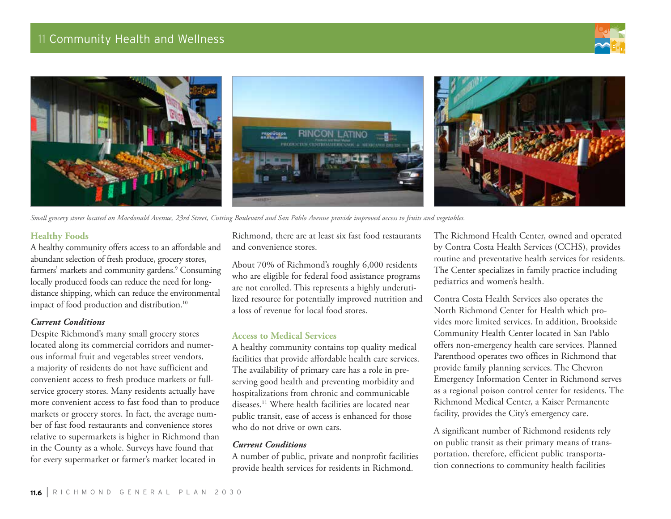



*Small grocery stores located on Macdonald Avenue, 23rd Street, Cutting Boulevard and San Pablo Avenue provide improved access to fruits and vegetables.* 

#### **Healthy Foods**

A healthy community offers access to an affordable and abundant selection of fresh produce, grocery stores, farmers' markets and community gardens.<sup>9</sup> Consuming locally produced foods can reduce the need for longdistance shipping, which can reduce the environmental impact of food production and distribution.<sup>10</sup>

#### *Current Conditions*

Despite Richmond's many small grocery stores located along its commercial corridors and numerous informal fruit and vegetables street vendors, a majority of residents do not have sufficient and convenient access to fresh produce markets or fullservice grocery stores. Many residents actually have more convenient access to fast food than to produce markets or grocery stores. In fact, the average number of fast food restaurants and convenience stores relative to supermarkets is higher in Richmond than in the County as a whole. Surveys have found that for every supermarket or farmer's market located in

Richmond, there are at least six fast food restaurants and convenience stores.

About 70% of Richmond's roughly 6,000 residents who are eligible for federal food assistance programs are not enrolled. This represents a highly underutilized resource for potentially improved nutrition and a loss of revenue for local food stores.

#### **Access to Medical Services**

A healthy community contains top quality medical facilities that provide affordable health care services. The availability of primary care has a role in preserving good health and preventing morbidity and hospitalizations from chronic and communicable diseases.11 Where health facilities are located near public transit, ease of access is enhanced for those who do not drive or own cars.

#### *Current Conditions*

A number of public, private and nonprofit facilities provide health services for residents in Richmond.

The Richmond Health Center, owned and operated by Contra Costa Health Services (CCHS), provides routine and preventative health services for residents. The Center specializes in family practice including pediatrics and women's health.

Contra Costa Health Services also operates the North Richmond Center for Health which provides more limited services. In addition, Brookside Community Health Center located in San Pablo offers non-emergency health care services. Planned Parenthood operates two offices in Richmond that provide family planning services. The Chevron Emergency Information Center in Richmond serves as a regional poison control center for residents. The Richmond Medical Center, a Kaiser Permanente facility, provides the City's emergency care.

A significant number of Richmond residents rely on public transit as their primary means of transportation, therefore, efficient public transportation connections to community health facilities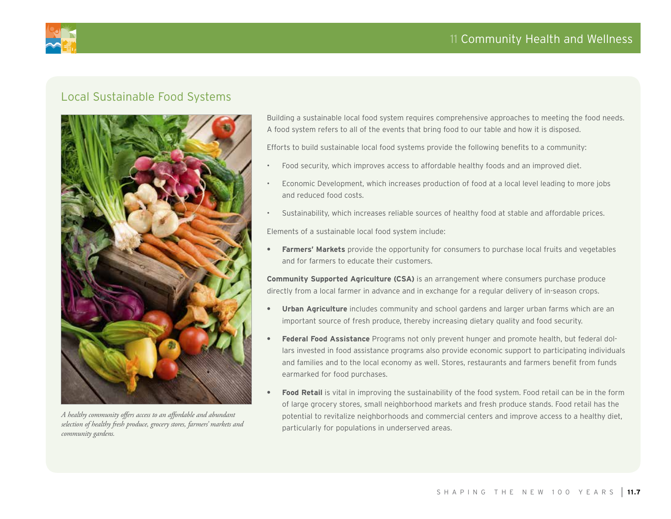# 11 Community Health and Wellness



# Local Sustainable Food Systems



*A healthy community offers access to an affordable and abundant selection of healthy fresh produce, grocery stores, farmers' markets and community gardens.*

Building a sustainable local food system requires comprehensive approaches to meeting the food needs. A food system refers to all of the events that bring food to our table and how it is disposed.

Efforts to build sustainable local food systems provide the following benefits to a community:

- Food security, which improves access to affordable healthy foods and an improved diet.
- Economic Development, which increases production of food at a local level leading to more jobs and reduced food costs.
- Sustainability, which increases reliable sources of healthy food at stable and affordable prices.

Elements of a sustainable local food system include:

**Farmers' Markets** provide the opportunity for consumers to purchase local fruits and vegetables and for farmers to educate their customers.

**Community Supported Agriculture (CSA)** is an arrangement where consumers purchase produce directly from a local farmer in advance and in exchange for a regular delivery of in-season crops.

- **Urban Agriculture** includes community and school gardens and larger urban farms which are an important source of fresh produce, thereby increasing dietary quality and food security.
- **Federal Food Assistance** Programs not only prevent hunger and promote health, but federal dollars invested in food assistance programs also provide economic support to participating individuals and families and to the local economy as well. Stores, restaurants and farmers benefit from funds earmarked for food purchases.
- **Food Retail** is vital in improving the sustainability of the food system. Food retail can be in the form of large grocery stores, small neighborhood markets and fresh produce stands. Food retail has the potential to revitalize neighborhoods and commercial centers and improve access to a healthy diet, particularly for populations in underserved areas.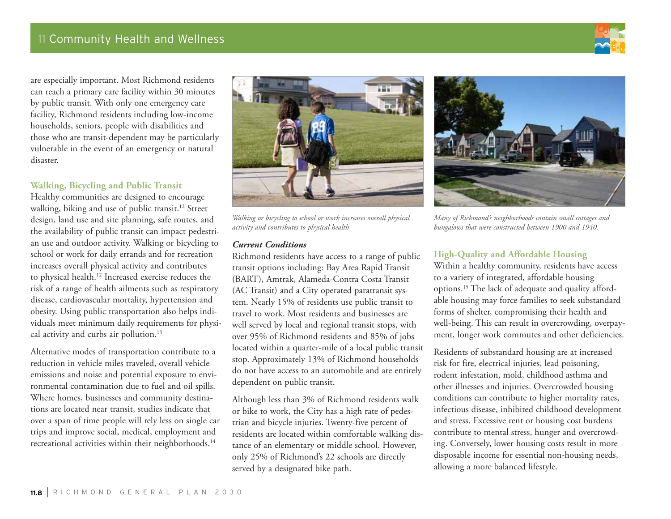

are especially important. Most Richmond residents can reach a primary care facility within 30 minutes by public transit. With only one emergency care facility, Richmond residents including low-income households, seniors, people with disabilities and those who are transit-dependent may be particularly vulnerable in the event of an emergency or natural disaster.

#### **Walking, Bicycling and Public Transit**

Healthy communities are designed to encourage walking, biking and use of public transit.<sup>12</sup> Street design, land use and site planning, safe routes, and the availability of public transit can impact pedestrian use and outdoor activity. Walking or bicycling to school or work for daily errands and for recreation increases overall physical activity and contributes to physical health.12 Increased exercise reduces the risk of a range of health ailments such as respiratory disease, cardiovascular mortality, hypertension and obesity. Using public transportation also helps individuals meet minimum daily requirements for physical activity and curbs air pollution.<sup>13</sup>

Alternative modes of transportation contribute to a reduction in vehicle miles traveled, overall vehicle emissions and noise and potential exposure to environmental contamination due to fuel and oil spills. Where homes, businesses and community destinations are located near transit, studies indicate that over a span of time people will rely less on single car trips and improve social, medical, employment and recreational activities within their neighborhoods.<sup>14</sup>



*Walking or bicycling to school or work increases overall physical activity and contributes to physical health*

#### *Current Conditions*

Richmond residents have access to a range of public transit options including: Bay Area Rapid Transit (BART), Amtrak, Alameda-Contra Costa Transit (AC Transit) and a City operated paratransit system. Nearly 15% of residents use public transit to travel to work. Most residents and businesses are well served by local and regional transit stops, with over 95% of Richmond residents and 85% of jobs located within a quarter-mile of a local public transit stop. Approximately 13% of Richmond households do not have access to an automobile and are entirely dependent on public transit.

Although less than 3% of Richmond residents walk or bike to work, the City has a high rate of pedestrian and bicycle injuries. Twenty-five percent of residents are located within comfortable walking distance of an elementary or middle school. However, only 25% of Richmond's 22 schools are directly served by a designated bike path.



*Many of Richmond's neighborhoods contain small cottages and bungalows that were constructed between 1900 and 1940.* 

#### **High-Quality and Affordable Housing**

Within a healthy community, residents have access to a variety of integrated, affordable housing options.15 The lack of adequate and quality affordable housing may force families to seek substandard forms of shelter, compromising their health and well-being. This can result in overcrowding, overpayment, longer work commutes and other deficiencies.

Residents of substandard housing are at increased risk for fire, electrical injuries, lead poisoning, rodent infestation, mold, childhood asthma and other illnesses and injuries. Overcrowded housing conditions can contribute to higher mortality rates, infectious disease, inhibited childhood development and stress. Excessive rent or housing cost burdens contribute to mental stress, hunger and overcrowding. Conversely, lower housing costs result in more disposable income for essential non-housing needs, allowing a more balanced lifestyle.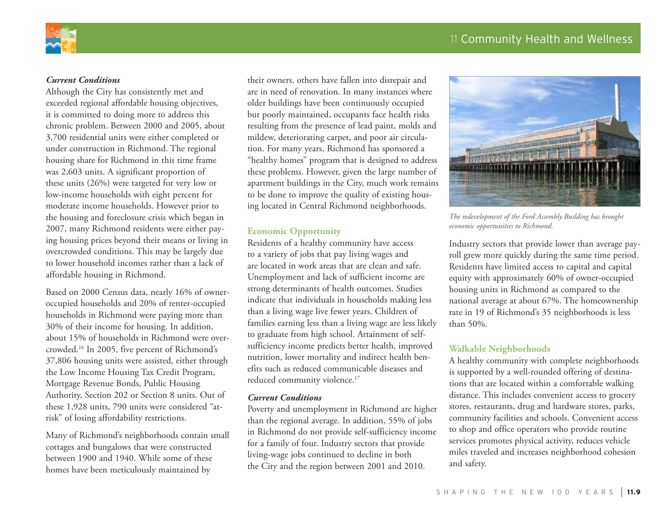

#### *Current Conditions*

Although the City has consistently met and exceeded regional affordable housing objectives, it is committed to doing more to address this chronic problem. Between 2000 and 2005, about 3,700 residential units were either completed or under construction in Richmond. The regional housing share for Richmond in this time frame was 2,603 units. A significant proportion of these units (26%) were targeted for very low or low-income households with eight percent for moderate income households. However prior to the housing and foreclosure crisis which began in 2007, many Richmond residents were either paying housing prices beyond their means or living in overcrowded conditions. This may be largely due to lower household incomes rather than a lack of affordable housing in Richmond.

Based on 2000 Census data, nearly 16% of owneroccupied households and 20% of renter-occupied households in Richmond were paying more than 30% of their income for housing. In addition, about 15% of households in Richmond were overcrowded.16 In 2005, five percent of Richmond's 37,806 housing units were assisted, either through the Low Income Housing Tax Credit Program, Mortgage Revenue Bonds, Public Housing Authority, Section 202 or Section 8 units. Out of these 1,928 units, 790 units were considered "atrisk" of losing affordability restrictions.

Many of Richmond's neighborhoods contain small cottages and bungalows that were constructed between 1900 and 1940. While some of these homes have been meticulously maintained by

their owners, others have fallen into disrepair and are in need of renovation. In many instances where older buildings have been continuously occupied but poorly maintained, occupants face health risks resulting from the presence of lead paint, molds and mildew, deteriorating carpet, and poor air circulation. For many years, Richmond has sponsored a "healthy homes" program that is designed to address these problems. However, given the large number of apartment buildings in the City, much work remains to be done to improve the quality of existing housing located in Central Richmond neighborhoods.

#### **Economic Opportunity**

Residents of a healthy community have access to a variety of jobs that pay living wages and are located in work areas that are clean and safe. Unemployment and lack of sufficient income are strong determinants of health outcomes. Studies indicate that individuals in households making less than a living wage live fewer years. Children of families earning less than a living wage are less likely to graduate from high school. Attainment of selfsufficiency income predicts better health, improved nutrition, lower mortality and indirect health benefits such as reduced communicable diseases and reduced community violence.<sup>17</sup>

#### *Current Conditions*

Poverty and unemployment in Richmond are higher than the regional average. In addition, 55% of jobs in Richmond do not provide self-sufficiency income for a family of four. Industry sectors that provide living-wage jobs continued to decline in both the City and the region between 2001 and 2010.



*The redevelopment of the Ford Assembly Building has brought economic opportunities to Richmond.*

Industry sectors that provide lower than average payroll grew more quickly during the same time period. Residents have limited access to capital and capital equity with approximately 60% of owner-occupied housing units in Richmond as compared to the national average at about 67%. The homeownership rate in 19 of Richmond's 35 neighborhoods is less than 50%.

#### **Walkable Neighborhoods**

A healthy community with complete neighborhoods is supported by a well-rounded offering of destinations that are located within a comfortable walking distance. This includes convenient access to grocery stores, restaurants, drug and hardware stores, parks, community facilities and schools. Convenient access to shop and office operators who provide routine services promotes physical activity, reduces vehicle miles traveled and increases neighborhood cohesion and safety.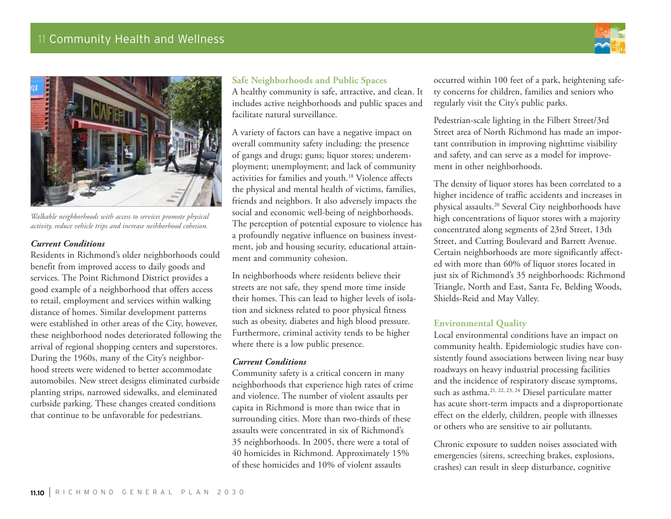



*Walkable neighborhoods with access to services promote physical activity, reduce vehicle trips and increase neihborhood cohesion.*

#### *Current Conditions*

Residents in Richmond's older neighborhoods could benefit from improved access to daily goods and services. The Point Richmond District provides a good example of a neighborhood that offers access to retail, employment and services within walking distance of homes. Similar development patterns were established in other areas of the City, however, these neighborhood nodes deteriorated following the arrival of regional shopping centers and superstores. During the 1960s, many of the City's neighborhood streets were widened to better accommodate automobiles. New street designs eliminated curbside planting strips, narrowed sidewalks, and eleminated curbside parking. These changes created conditions that continue to be unfavorable for pedestrians.

## **Safe Neighborhoods and Public Spaces**

A healthy community is safe, attractive, and clean. It includes active neighborhoods and public spaces and facilitate natural surveillance.

A variety of factors can have a negative impact on overall community safety including: the presence of gangs and drugs; guns; liquor stores; underemployment; unemployment; and lack of community activities for families and youth.18 Violence affects the physical and mental health of victims, families, friends and neighbors. It also adversely impacts the social and economic well-being of neighborhoods. The perception of potential exposure to violence has a profoundly negative influence on business investment, job and housing security, educational attainment and community cohesion.

In neighborhoods where residents believe their streets are not safe, they spend more time inside their homes. This can lead to higher levels of isolation and sickness related to poor physical fitness such as obesity, diabetes and high blood pressure. Furthermore, criminal activity tends to be higher where there is a low public presence.

#### *Current Conditions*

Community safety is a critical concern in many neighborhoods that experience high rates of crime and violence. The number of violent assaults per capita in Richmond is more than twice that in surrounding cities. More than two-thirds of these assaults were concentrated in six of Richmond's 35 neighborhoods. In 2005, there were a total of 40 homicides in Richmond. Approximately 15% of these homicides and 10% of violent assaults

occurred within 100 feet of a park, heightening safety concerns for children, families and seniors who regularly visit the City's public parks.

Pedestrian-scale lighting in the Filbert Street/3rd Street area of North Richmond has made an important contribution in improving nighttime visibility and safety, and can serve as a model for improvement in other neighborhoods.

The density of liquor stores has been correlated to a higher incidence of traffic accidents and increases in physical assaults.20 Several City neighborhoods have high concentrations of liquor stores with a majority concentrated along segments of 23rd Street, 13th Street, and Cutting Boulevard and Barrett Avenue. Certain neighborhoods are more significantly affected with more than 60% of liquor stores located in just six of Richmond's 35 neighborhoods: Richmond Triangle, North and East, Santa Fe, Belding Woods, Shields-Reid and May Valley.

#### **Environmental Quality**

Local environmental conditions have an impact on community health. Epidemiologic studies have consistently found associations between living near busy roadways on heavy industrial processing facilities and the incidence of respiratory disease symptoms, such as asthma.<sup>21, 22, 23, 24</sup> Diesel particulate matter has acute short-term impacts and a disproportionate effect on the elderly, children, people with illnesses or others who are sensitive to air pollutants.

Chronic exposure to sudden noises associated with emergencies (sirens, screeching brakes, explosions, crashes) can result in sleep disturbance, cognitive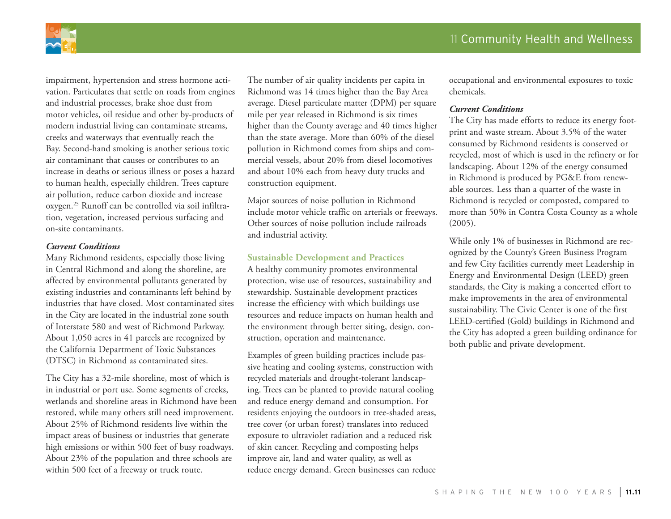

impairment, hypertension and stress hormone activation. Particulates that settle on roads from engines and industrial processes, brake shoe dust from motor vehicles, oil residue and other by-products of modern industrial living can contaminate streams, creeks and waterways that eventually reach the Bay. Second-hand smoking is another serious toxic air contaminant that causes or contributes to an increase in deaths or serious illness or poses a hazard to human health, especially children. Trees capture air pollution, reduce carbon dioxide and increase oxygen.25 Runoff can be controlled via soil infiltration, vegetation, increased pervious surfacing and on-site contaminants.

#### *Current Conditions*

Many Richmond residents, especially those living in Central Richmond and along the shoreline, are affected by environmental pollutants generated by existing industries and contaminants left behind by industries that have closed. Most contaminated sites in the City are located in the industrial zone south of Interstate 580 and west of Richmond Parkway. About 1,050 acres in 41 parcels are recognized by the California Department of Toxic Substances (DTSC) in Richmond as contaminated sites.

The City has a 32-mile shoreline, most of which is in industrial or port use. Some segments of creeks, wetlands and shoreline areas in Richmond have been restored, while many others still need improvement. About 25% of Richmond residents live within the impact areas of business or industries that generate high emissions or within 500 feet of busy roadways. About 23% of the population and three schools are within 500 feet of a freeway or truck route.

The number of air quality incidents per capita in Richmond was 14 times higher than the Bay Area average. Diesel particulate matter (DPM) per square mile per year released in Richmond is six times higher than the County average and 40 times higher than the state average. More than 60% of the diesel pollution in Richmond comes from ships and commercial vessels, about 20% from diesel locomotives and about 10% each from heavy duty trucks and construction equipment.

Major sources of noise pollution in Richmond include motor vehicle traffic on arterials or freeways. Other sources of noise pollution include railroads and industrial activity.

#### **Sustainable Development and Practices**

A healthy community promotes environmental protection, wise use of resources, sustainability and stewardship. Sustainable development practices increase the efficiency with which buildings use resources and reduce impacts on human health and the environment through better siting, design, construction, operation and maintenance.

Examples of green building practices include passive heating and cooling systems, construction with recycled materials and drought-tolerant landscaping. Trees can be planted to provide natural cooling and reduce energy demand and consumption. For residents enjoying the outdoors in tree-shaded areas, tree cover (or urban forest) translates into reduced exposure to ultraviolet radiation and a reduced risk of skin cancer. Recycling and composting helps improve air, land and water quality, as well as reduce energy demand. Green businesses can reduce

occupational and environmental exposures to toxic chemicals.

#### *Current Conditions*

The City has made efforts to reduce its energy footprint and waste stream. About 3.5% of the water consumed by Richmond residents is conserved or recycled, most of which is used in the refinery or for landscaping. About 12% of the energy consumed in Richmond is produced by PG&E from renewable sources. Less than a quarter of the waste in Richmond is recycled or composted, compared to more than 50% in Contra Costa County as a whole (2005).

While only 1% of businesses in Richmond are recognized by the County's Green Business Program and few City facilities currently meet Leadership in Energy and Environmental Design (LEED) green standards, the City is making a concerted effort to make improvements in the area of environmental sustainability. The Civic Center is one of the first LEED-certified (Gold) buildings in Richmond and the City has adopted a green building ordinance for both public and private development.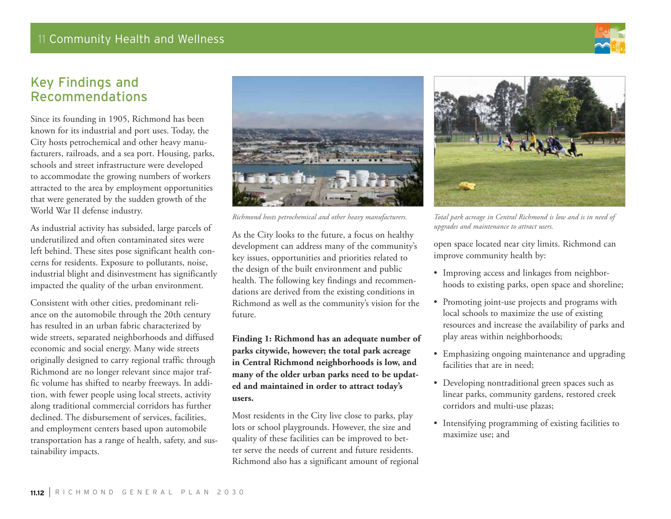

# Key Findings and Recommendations

Since its founding in 1905, Richmond has been known for its industrial and port uses. Today, the City hosts petrochemical and other heavy manufacturers, railroads, and a sea port. Housing, parks, schools and street infrastructure were developed to accommodate the growing numbers of workers attracted to the area by employment opportunities that were generated by the sudden growth of the World War II defense industry.

As industrial activity has subsided, large parcels of underutilized and often contaminated sites were left behind. These sites pose significant health concerns for residents. Exposure to pollutants, noise, industrial blight and disinvestment has significantly impacted the quality of the urban environment.

Consistent with other cities, predominant reliance on the automobile through the 20th century has resulted in an urban fabric characterized by wide streets, separated neighborhoods and diffused economic and social energy. Many wide streets originally designed to carry regional traffic through Richmond are no longer relevant since major traffic volume has shifted to nearby freeways. In addition, with fewer people using local streets, activity along traditional commercial corridors has further declined. The disbursement of services, facilities, and employment centers based upon automobile transportation has a range of health, safety, and sustainability impacts.



*Richmond hosts petrochemical and other heavy manufacturers.*

As the City looks to the future, a focus on healthy development can address many of the community's key issues, opportunities and priorities related to the design of the built environment and public health. The following key findings and recommendations are derived from the existing conditions in Richmond as well as the community's vision for the future.

**Finding 1: Richmond has an adequate number of parks citywide, however; the total park acreage in Central Richmond neighborhoods is low, and many of the older urban parks need to be updated and maintained in order to attract today's users.**

Most residents in the City live close to parks, play lots or school playgrounds. However, the size and quality of these facilities can be improved to better serve the needs of current and future residents. Richmond also has a significant amount of regional



*Total park acreage in Central Richmond is low and is in need of upgrades and maintenance to attract users.*

open space located near city limits. Richmond can improve community health by:

- Improving access and linkages from neighborhoods to existing parks, open space and shoreline;
- • Promoting joint-use projects and programs with local schools to maximize the use of existing resources and increase the availability of parks and play areas within neighborhoods;
- Emphasizing ongoing maintenance and upgrading facilities that are in need;
- • Developing nontraditional green spaces such as linear parks, community gardens, restored creek corridors and multi-use plazas;
- • Intensifying programming of existing facilities to maximize use; and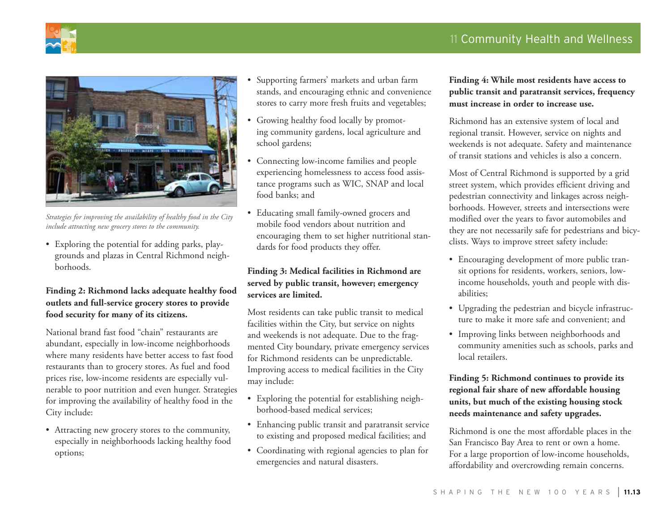

*Strategies for improving the availability of healthy food in the City include attracting new grocery stores to the community.*

• Exploring the potential for adding parks, playgrounds and plazas in Central Richmond neighborhoods.

#### **Finding 2: Richmond lacks adequate healthy food outlets and full-service grocery stores to provide food security for many of its citizens.**

National brand fast food "chain" restaurants are abundant, especially in low-income neighborhoods where many residents have better access to fast food restaurants than to grocery stores. As fuel and food prices rise, low-income residents are especially vulnerable to poor nutrition and even hunger. Strategies for improving the availability of healthy food in the City include:

• Attracting new grocery stores to the community, especially in neighborhoods lacking healthy food options;

- Supporting farmers' markets and urban farm stands, and encouraging ethnic and convenience stores to carry more fresh fruits and vegetables;
- Growing healthy food locally by promoting community gardens, local agriculture and school gardens;
- Connecting low-income families and people experiencing homelessness to access food assistance programs such as WIC, SNAP and local food banks; and
- • Educating small family-owned grocers and mobile food vendors about nutrition and encouraging them to set higher nutritional standards for food products they offer.

#### **Finding 3: Medical facilities in Richmond are served by public transit, however; emergency services are limited.**

Most residents can take public transit to medical facilities within the City, but service on nights and weekends is not adequate. Due to the fragmented City boundary, private emergency services for Richmond residents can be unpredictable. Improving access to medical facilities in the City may include:

- • Exploring the potential for establishing neighborhood-based medical services;
- • Enhancing public transit and paratransit service to existing and proposed medical facilities; and
- Coordinating with regional agencies to plan for emergencies and natural disasters.

#### **Finding 4: While most residents have access to public transit and paratransit services, frequency must increase in order to increase use.**

Richmond has an extensive system of local and regional transit. However, service on nights and weekends is not adequate. Safety and maintenance of transit stations and vehicles is also a concern.

Most of Central Richmond is supported by a grid street system, which provides efficient driving and pedestrian connectivity and linkages across neighborhoods. However, streets and intersections were modified over the years to favor automobiles and they are not necessarily safe for pedestrians and bicyclists. Ways to improve street safety include:

- • Encouraging development of more public transit options for residents, workers, seniors, lowincome households, youth and people with disabilities;
- Upgrading the pedestrian and bicycle infrastructure to make it more safe and convenient; and
- • Improving links between neighborhoods and community amenities such as schools, parks and local retailers.

#### **Finding 5: Richmond continues to provide its regional fair share of new affordable housing units, but much of the existing housing stock needs maintenance and safety upgrades.**

Richmond is one the most affordable places in the San Francisco Bay Area to rent or own a home. For a large proportion of low-income households, affordability and overcrowding remain concerns.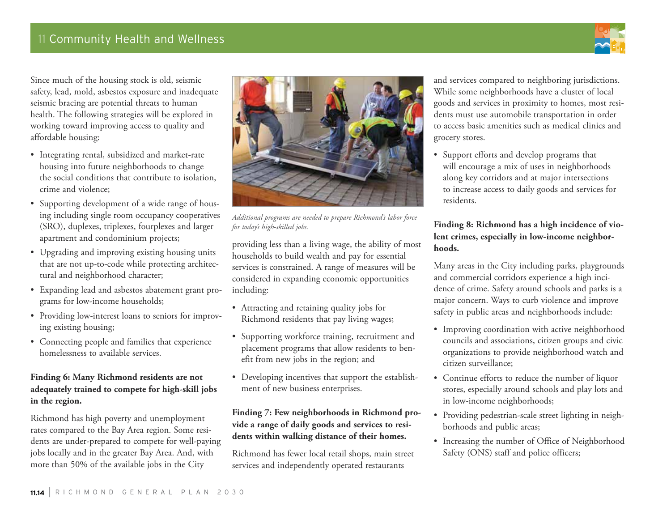

Since much of the housing stock is old, seismic safety, lead, mold, asbestos exposure and inadequate seismic bracing are potential threats to human health. The following strategies will be explored in working toward improving access to quality and affordable housing:

- • Integrating rental, subsidized and market-rate housing into future neighborhoods to change the social conditions that contribute to isolation, crime and violence;
- Supporting development of a wide range of housing including single room occupancy cooperatives (SRO), duplexes, triplexes, fourplexes and larger apartment and condominium projects;
- Upgrading and improving existing housing units that are not up-to-code while protecting architectural and neighborhood character;
- • Expanding lead and asbestos abatement grant programs for low-income households;
- Providing low-interest loans to seniors for improving existing housing;
- • Connecting people and families that experience homelessness to available services.

#### **Finding 6: Many Richmond residents are not adequately trained to compete for high-skill jobs in the region.**

Richmond has high poverty and unemployment rates compared to the Bay Area region. Some residents are under-prepared to compete for well-paying jobs locally and in the greater Bay Area. And, with more than 50% of the available jobs in the City



*Additional programs are needed to prepare Richmond's labor force for today's high-skilled jobs.*

providing less than a living wage, the ability of most households to build wealth and pay for essential services is constrained. A range of measures will be considered in expanding economic opportunities including:

- Attracting and retaining quality jobs for Richmond residents that pay living wages;
- • Supporting workforce training, recruitment and placement programs that allow residents to benefit from new jobs in the region; and
- Developing incentives that support the establishment of new business enterprises.

#### **Finding 7: Few neighborhoods in Richmond provide a range of daily goods and services to residents within walking distance of their homes.**

Richmond has fewer local retail shops, main street services and independently operated restaurants

and services compared to neighboring jurisdictions. While some neighborhoods have a cluster of local goods and services in proximity to homes, most residents must use automobile transportation in order to access basic amenities such as medical clinics and grocery stores.

• Support efforts and develop programs that will encourage a mix of uses in neighborhoods along key corridors and at major intersections to increase access to daily goods and services for residents.

#### **Finding 8: Richmond has a high incidence of violent crimes, especially in low-income neighborhoods.**

Many areas in the City including parks, playgrounds and commercial corridors experience a high incidence of crime. Safety around schools and parks is a major concern. Ways to curb violence and improve safety in public areas and neighborhoods include:

- Improving coordination with active neighborhood councils and associations, citizen groups and civic organizations to provide neighborhood watch and citizen surveillance;
- Continue efforts to reduce the number of liquor stores, especially around schools and play lots and in low-income neighborhoods;
- Providing pedestrian-scale street lighting in neighborhoods and public areas;
- Increasing the number of Office of Neighborhood Safety (ONS) staff and police officers;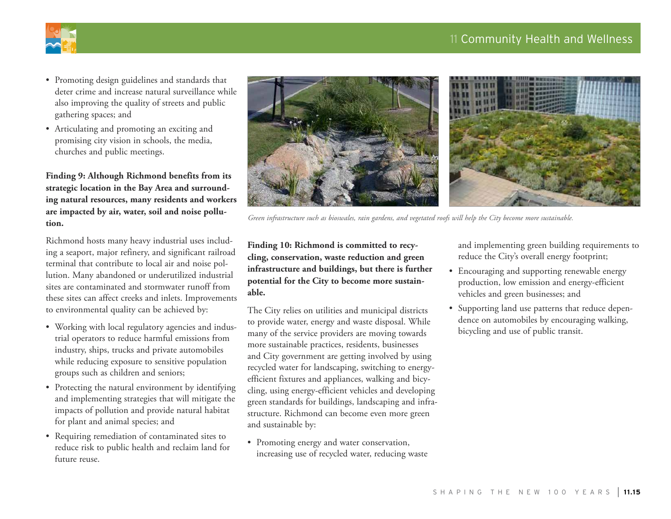# 11 Community Health and Wellness



- • Promoting design guidelines and standards that deter crime and increase natural surveillance while also improving the quality of streets and public gathering spaces; and
- • Articulating and promoting an exciting and promising city vision in schools, the media, churches and public meetings.

**Finding 9: Although Richmond benefits from its strategic location in the Bay Area and surrounding natural resources, many residents and workers are impacted by air, water, soil and noise pollution.**

Richmond hosts many heavy industrial uses including a seaport, major refinery, and significant railroad terminal that contribute to local air and noise pollution. Many abandoned or underutilized industrial sites are contaminated and stormwater runoff from these sites can affect creeks and inlets. Improvements to environmental quality can be achieved by:

- Working with local regulatory agencies and industrial operators to reduce harmful emissions from industry, ships, trucks and private automobiles while reducing exposure to sensitive population groups such as children and seniors;
- Protecting the natural environment by identifying and implementing strategies that will mitigate the impacts of pollution and provide natural habitat for plant and animal species; and
- Requiring remediation of contaminated sites to reduce risk to public health and reclaim land for future reuse.



*Green infrastructure such as bioswales, rain gardens, and vegetated roofs will help the City become more sustainable.*

**Finding 10: Richmond is committed to recycling, conservation, waste reduction and green infrastructure and buildings, but there is further potential for the City to become more sustainable.**

The City relies on utilities and municipal districts to provide water, energy and waste disposal. While many of the service providers are moving towards more sustainable practices, residents, businesses and City government are getting involved by using recycled water for landscaping, switching to energyefficient fixtures and appliances, walking and bicycling, using energy-efficient vehicles and developing green standards for buildings, landscaping and infrastructure. Richmond can become even more green and sustainable by:

• Promoting energy and water conservation, increasing use of recycled water, reducing waste and implementing green building requirements to reduce the City's overall energy footprint;

- • Encouraging and supporting renewable energy production, low emission and energy-efficient vehicles and green businesses; and
- • Supporting land use patterns that reduce dependence on automobiles by encouraging walking, bicycling and use of public transit.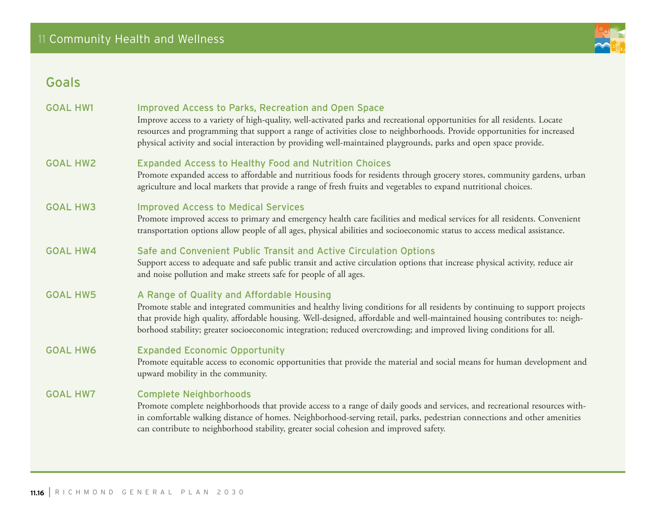# Goals

| <b>GOAL HW1</b> | <b>Improved Access to Parks, Recreation and Open Space</b><br>Improve access to a variety of high-quality, well-activated parks and recreational opportunities for all residents. Locate<br>resources and programming that support a range of activities close to neighborhoods. Provide opportunities for increased<br>physical activity and social interaction by providing well-maintained playgrounds, parks and open space provide. |
|-----------------|------------------------------------------------------------------------------------------------------------------------------------------------------------------------------------------------------------------------------------------------------------------------------------------------------------------------------------------------------------------------------------------------------------------------------------------|
| <b>GOAL HW2</b> | <b>Expanded Access to Healthy Food and Nutrition Choices</b><br>Promote expanded access to affordable and nutritious foods for residents through grocery stores, community gardens, urban<br>agriculture and local markets that provide a range of fresh fruits and vegetables to expand nutritional choices.                                                                                                                            |
| <b>GOAL HW3</b> | <b>Improved Access to Medical Services</b><br>Promote improved access to primary and emergency health care facilities and medical services for all residents. Convenient<br>transportation options allow people of all ages, physical abilities and socioeconomic status to access medical assistance.                                                                                                                                   |
| <b>GOAL HW4</b> | Safe and Convenient Public Transit and Active Circulation Options<br>Support access to adequate and safe public transit and active circulation options that increase physical activity, reduce air<br>and noise pollution and make streets safe for people of all ages.                                                                                                                                                                  |
| <b>GOAL HW5</b> | A Range of Quality and Affordable Housing<br>Promote stable and integrated communities and healthy living conditions for all residents by continuing to support projects<br>that provide high quality, affordable housing. Well-designed, affordable and well-maintained housing contributes to: neigh-<br>borhood stability; greater socioeconomic integration; reduced overcrowding; and improved living conditions for all.           |
| <b>GOAL HW6</b> | <b>Expanded Economic Opportunity</b><br>Promote equitable access to economic opportunities that provide the material and social means for human development and<br>upward mobility in the community.                                                                                                                                                                                                                                     |
| <b>GOAL HW7</b> | <b>Complete Neighborhoods</b><br>Promote complete neighborhoods that provide access to a range of daily goods and services, and recreational resources with-<br>in comfortable walking distance of homes. Neighborhood-serving retail, parks, pedestrian connections and other amenities<br>can contribute to neighborhood stability, greater social cohesion and improved safety.                                                       |

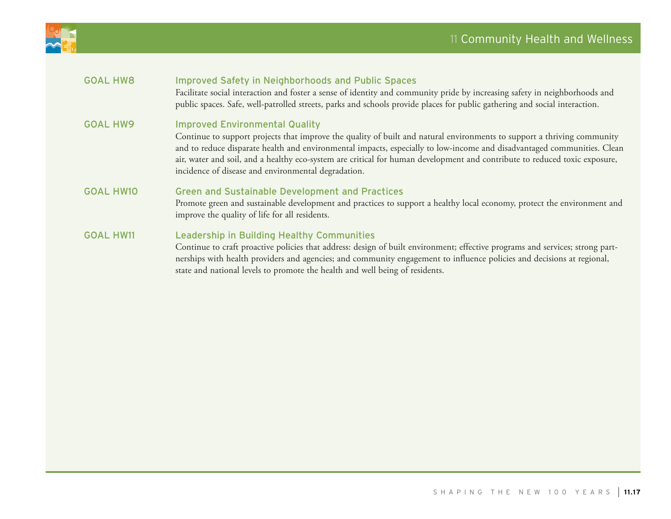

| <b>GOAL HW8</b>  | <b>Improved Safety in Neighborhoods and Public Spaces</b><br>Facilitate social interaction and foster a sense of identity and community pride by increasing safety in neighborhoods and<br>public spaces. Safe, well-patrolled streets, parks and schools provide places for public gathering and social interaction.                                                                                                                                                            |
|------------------|----------------------------------------------------------------------------------------------------------------------------------------------------------------------------------------------------------------------------------------------------------------------------------------------------------------------------------------------------------------------------------------------------------------------------------------------------------------------------------|
| <b>GOAL HW9</b>  | <b>Improved Environmental Quality</b><br>Continue to support projects that improve the quality of built and natural environments to support a thriving community<br>and to reduce disparate health and environmental impacts, especially to low-income and disadvantaged communities. Clean<br>air, water and soil, and a healthy eco-system are critical for human development and contribute to reduced toxic exposure,<br>incidence of disease and environmental degradation. |
| <b>GOAL HW10</b> | <b>Green and Sustainable Development and Practices</b><br>Promote green and sustainable development and practices to support a healthy local economy, protect the environment and<br>improve the quality of life for all residents.                                                                                                                                                                                                                                              |
| <b>GOAL HW11</b> | Leadership in Building Healthy Communities<br>Continue to craft proactive policies that address: design of built environment; effective programs and services; strong part-<br>nerships with health providers and agencies; and community engagement to influence policies and decisions at regional,<br>state and national levels to promote the health and well being of residents.                                                                                            |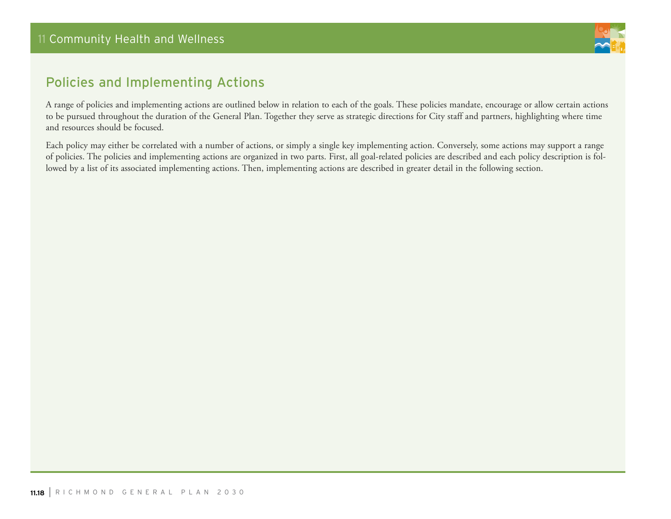

# Policies and Implementing Actions

A range of policies and implementing actions are outlined below in relation to each of the goals. These policies mandate, encourage or allow certain actions to be pursued throughout the duration of the General Plan. Together they serve as strategic directions for City staff and partners, highlighting where time and resources should be focused.

Each policy may either be correlated with a number of actions, or simply a single key implementing action. Conversely, some actions may support a range of policies. The policies and implementing actions are organized in two parts. First, all goal-related policies are described and each policy description is followed by a list of its associated implementing actions. Then, implementing actions are described in greater detail in the following section.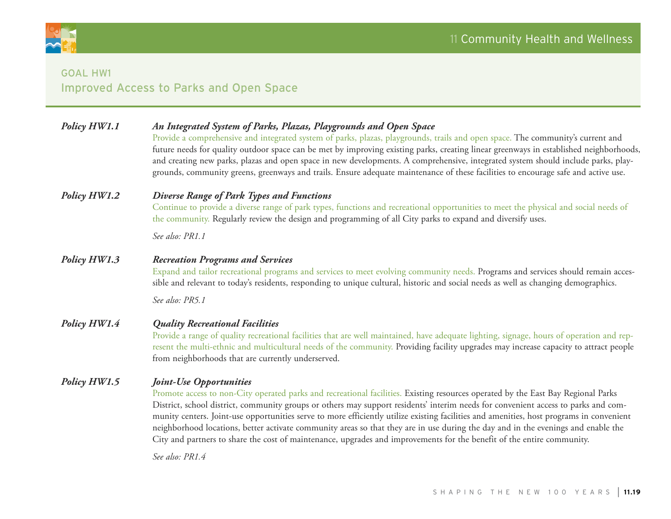

# Goal HW1 Improved Access to Parks and Open Space

| Policy HW1.1 | An Integrated System of Parks, Plazas, Playgrounds and Open Space<br>Provide a comprehensive and integrated system of parks, plazas, playgrounds, trails and open space. The community's current and<br>future needs for quality outdoor space can be met by improving existing parks, creating linear greenways in established neighborhoods,<br>and creating new parks, plazas and open space in new developments. A comprehensive, integrated system should include parks, play-<br>grounds, community greens, greenways and trails. Ensure adequate maintenance of these facilities to encourage safe and active use.                                                                                     |
|--------------|---------------------------------------------------------------------------------------------------------------------------------------------------------------------------------------------------------------------------------------------------------------------------------------------------------------------------------------------------------------------------------------------------------------------------------------------------------------------------------------------------------------------------------------------------------------------------------------------------------------------------------------------------------------------------------------------------------------|
| Policy HW1.2 | Diverse Range of Park Types and Functions<br>Continue to provide a diverse range of park types, functions and recreational opportunities to meet the physical and social needs of<br>the community. Regularly review the design and programming of all City parks to expand and diversify uses.<br>See also: PR1.1                                                                                                                                                                                                                                                                                                                                                                                            |
| Policy HW1.3 | <b>Recreation Programs and Services</b><br>Expand and tailor recreational programs and services to meet evolving community needs. Programs and services should remain acces-<br>sible and relevant to today's residents, responding to unique cultural, historic and social needs as well as changing demographics.                                                                                                                                                                                                                                                                                                                                                                                           |
|              | See also: PR5.1                                                                                                                                                                                                                                                                                                                                                                                                                                                                                                                                                                                                                                                                                               |
| Policy HW1.4 | <b>Quality Recreational Facilities</b><br>Provide a range of quality recreational facilities that are well maintained, have adequate lighting, signage, hours of operation and rep-<br>resent the multi-ethnic and multicultural needs of the community. Providing facility upgrades may increase capacity to attract people<br>from neighborhoods that are currently underserved.                                                                                                                                                                                                                                                                                                                            |
| Policy HW1.5 | Joint-Use Opportunities<br>Promote access to non-City operated parks and recreational facilities. Existing resources operated by the East Bay Regional Parks<br>District, school district, community groups or others may support residents' interim needs for convenient access to parks and com-<br>munity centers. Joint-use opportunities serve to more efficiently utilize existing facilities and amenities, host programs in convenient<br>neighborhood locations, better activate community areas so that they are in use during the day and in the evenings and enable the<br>City and partners to share the cost of maintenance, upgrades and improvements for the benefit of the entire community. |

*See also: PR1.4*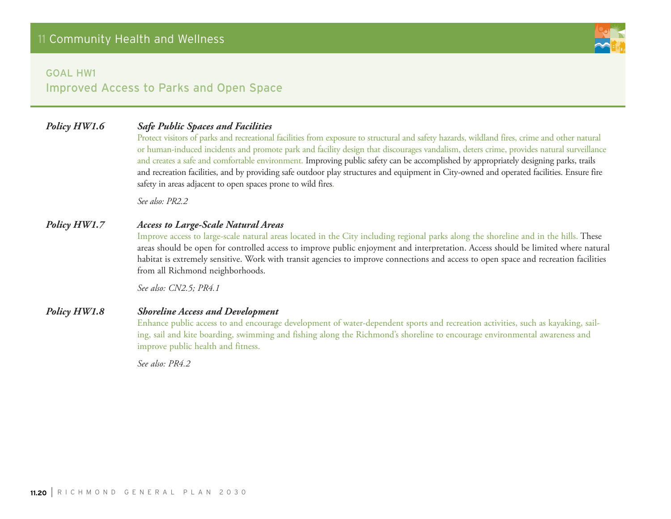

Improved Access to Parks and Open Space

## *Policy HW1.6 Safe Public Spaces and Facilities*

Protect visitors of parks and recreational facilities from exposure to structural and safety hazards, wildland fires, crime and other natural or human-induced incidents and promote park and facility design that discourages vandalism, deters crime, provides natural surveillance and creates a safe and comfortable environment. Improving public safety can be accomplished by appropriately designing parks, trails and recreation facilities, and by providing safe outdoor play structures and equipment in City-owned and operated facilities. Ensure fire safety in areas adjacent to open spaces prone to wild fires.

*See also: PR2.2*

#### *Policy HW1.7 Access to Large-Scale Natural Areas*

Improve access to large-scale natural areas located in the City including regional parks along the shoreline and in the hills. These areas should be open for controlled access to improve public enjoyment and interpretation. Access should be limited where natural habitat is extremely sensitive. Work with transit agencies to improve connections and access to open space and recreation facilities from all Richmond neighborhoods.

*See also: CN2.5; PR4.1*

#### *Policy HW1.8 Shoreline Access and Development*

Enhance public access to and encourage development of water-dependent sports and recreation activities, such as kayaking, sailing, sail and kite boarding, swimming and fishing along the Richmond's shoreline to encourage environmental awareness and improve public health and fitness.

*See also: PR4.2*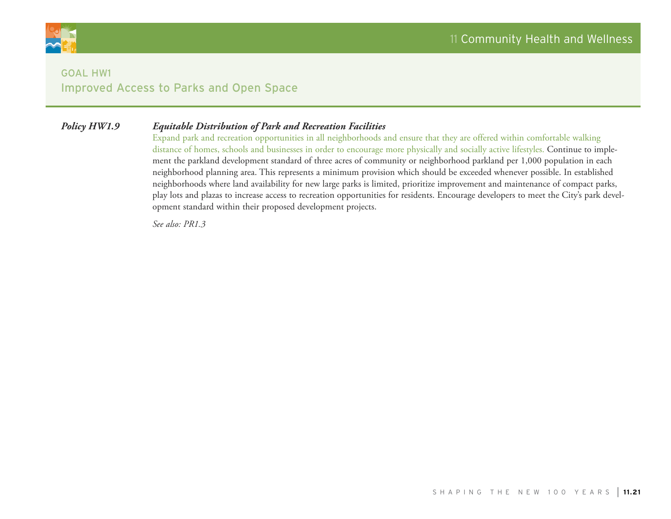

# Goal HW1 Improved Access to Parks and Open Space

#### *Policy HW1.9 Equitable Distribution of Park and Recreation Facilities*

Expand park and recreation opportunities in all neighborhoods and ensure that they are offered within comfortable walking distance of homes, schools and businesses in order to encourage more physically and socially active lifestyles. Continue to implement the parkland development standard of three acres of community or neighborhood parkland per 1,000 population in each neighborhood planning area. This represents a minimum provision which should be exceeded whenever possible. In established neighborhoods where land availability for new large parks is limited, prioritize improvement and maintenance of compact parks, play lots and plazas to increase access to recreation opportunities for residents. Encourage developers to meet the City's park development standard within their proposed development projects.

*See also: PR1.3*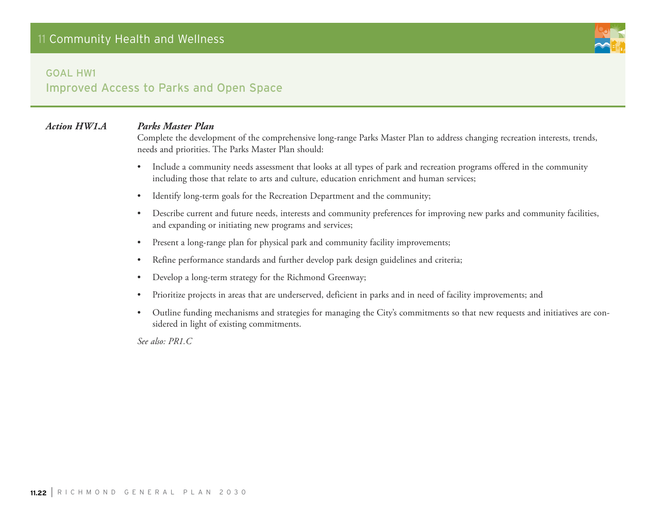

Improved Access to Parks and Open Space

#### *Action HW1.A Parks Master Plan*

Complete the development of the comprehensive long-range Parks Master Plan to address changing recreation interests, trends, needs and priorities. The Parks Master Plan should:

- Include a community needs assessment that looks at all types of park and recreation programs offered in the community including those that relate to arts and culture, education enrichment and human services;
- Identify long-term goals for the Recreation Department and the community;
- • Describe current and future needs, interests and community preferences for improving new parks and community facilities, and expanding or initiating new programs and services;
- Present a long-range plan for physical park and community facility improvements;
- Refine performance standards and further develop park design guidelines and criteria;
- • Develop a long-term strategy for the Richmond Greenway;
- • Prioritize projects in areas that are underserved, deficient in parks and in need of facility improvements; and
- • Outline funding mechanisms and strategies for managing the City's commitments so that new requests and initiatives are considered in light of existing commitments.

*See also: PR1.C*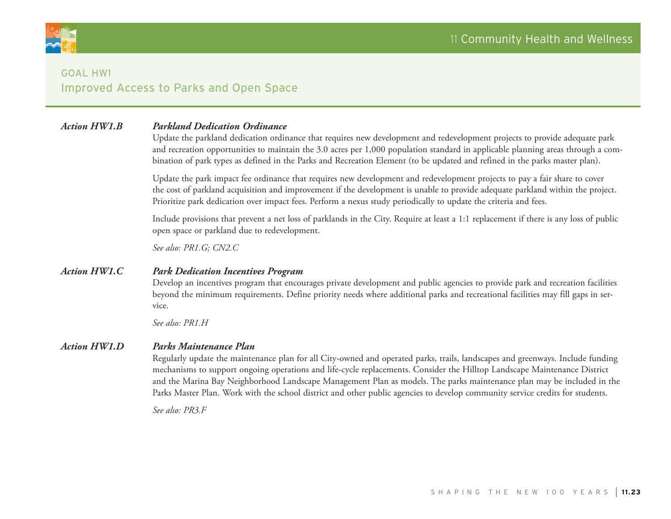

# Goal HW1 Improved Access to Parks and Open Space

#### *Action HW1.B Parkland Dedication Ordinance*

Update the parkland dedication ordinance that requires new development and redevelopment projects to provide adequate park and recreation opportunities to maintain the 3.0 acres per 1,000 population standard in applicable planning areas through a combination of park types as defined in the Parks and Recreation Element (to be updated and refined in the parks master plan).

Update the park impact fee ordinance that requires new development and redevelopment projects to pay a fair share to cover the cost of parkland acquisition and improvement if the development is unable to provide adequate parkland within the project. Prioritize park dedication over impact fees. Perform a nexus study periodically to update the criteria and fees.

Include provisions that prevent a net loss of parklands in the City. Require at least a 1:1 replacement if there is any loss of public open space or parkland due to redevelopment.

*See also: PR1.G; CN2.C*

#### *Action HW1.C Park Dedication Incentives Program*

Develop an incentives program that encourages private development and public agencies to provide park and recreation facilities beyond the minimum requirements. Define priority needs where additional parks and recreational facilities may fill gaps in service.

*See also: PR1.H*

#### *Action HW1.D Parks Maintenance Plan*

Regularly update the maintenance plan for all City-owned and operated parks, trails, landscapes and greenways. Include funding mechanisms to support ongoing operations and life-cycle replacements. Consider the Hilltop Landscape Maintenance District and the Marina Bay Neighborhood Landscape Management Plan as models. The parks maintenance plan may be included in the Parks Master Plan. Work with the school district and other public agencies to develop community service credits for students.

*See also: PR3.F*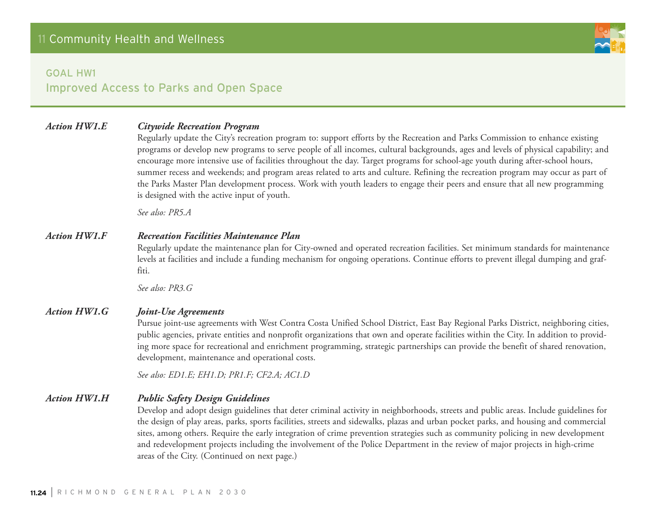

Improved Access to Parks and Open Space

#### *Action HW1.E Citywide Recreation Program*

Regularly update the City's recreation program to: support efforts by the Recreation and Parks Commission to enhance existing programs or develop new programs to serve people of all incomes, cultural backgrounds, ages and levels of physical capability; and encourage more intensive use of facilities throughout the day. Target programs for school-age youth during after-school hours, summer recess and weekends; and program areas related to arts and culture. Refining the recreation program may occur as part of the Parks Master Plan development process. Work with youth leaders to engage their peers and ensure that all new programming is designed with the active input of youth.

*See also: PR5.A*

#### *Action HW1.F Recreation Facilities Maintenance Plan*

Regularly update the maintenance plan for City-owned and operated recreation facilities. Set minimum standards for maintenance levels at facilities and include a funding mechanism for ongoing operations. Continue efforts to prevent illegal dumping and graffiti.

*See also: PR3.G*

#### *Action HW1.G Joint-Use Agreements*

Pursue joint-use agreements with West Contra Costa Unified School District, East Bay Regional Parks District, neighboring cities, public agencies, private entities and nonprofit organizations that own and operate facilities within the City. In addition to providing more space for recreational and enrichment programming, strategic partnerships can provide the benefit of shared renovation, development, maintenance and operational costs.

*See also: ED1.E; EH1.D; PR1.F; CF2.A; AC1.D*

#### *Action HW1.H Public Safety Design Guidelines*

Develop and adopt design guidelines that deter criminal activity in neighborhoods, streets and public areas. Include guidelines for the design of play areas, parks, sports facilities, streets and sidewalks, plazas and urban pocket parks, and housing and commercial sites, among others. Require the early integration of crime prevention strategies such as community policing in new development and redevelopment projects including the involvement of the Police Department in the review of major projects in high-crime areas of the City. (Continued on next page.)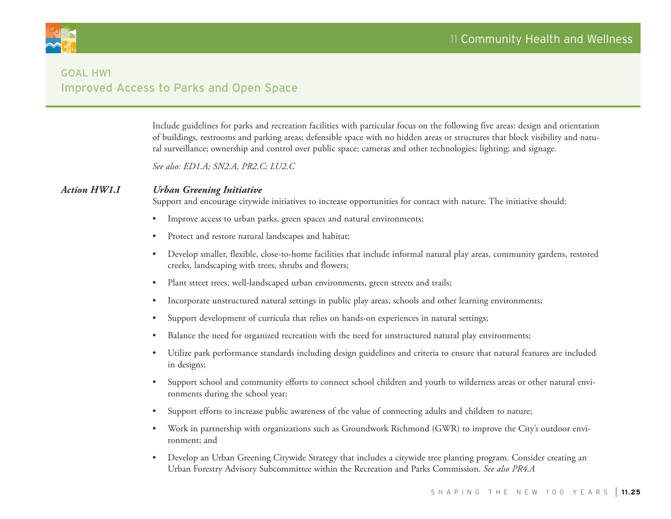

# Goal HW1 Improved Access to Parks and Open Space

Include guidelines for parks and recreation facilities with particular focus on the following five areas: design and orientation of buildings, restrooms and parking areas; defensible space with no hidden areas or structures that block visibility and natural surveillance; ownership and control over public space; cameras and other technologies; lighting; and signage.

*See also: ED1.A; SN2.A, PR2.C; LU2.C*

#### *Action HW1.I Urban Greening Initiative*

Support and encourage citywide initiatives to increase opportunities for contact with nature. The initiative should:

- Improve access to urban parks, green spaces and natural environments;
- Protect and restore natural landscapes and habitat;
- • Develop smaller, flexible, close-to-home facilities that include informal natural play areas, community gardens, restored creeks, landscaping with trees, shrubs and flowers;
- Plant street trees, well-landscaped urban environments, green streets and trails;
- Incorporate unstructured natural settings in public play areas, schools and other learning environments;
- Support development of curricula that relies on hands-on experiences in natural settings;
- Balance the need for organized recreation with the need for unstructured natural play environments;
- • Utilize park performance standards including design guidelines and criteria to ensure that natural features are included in designs;
- Support school and community efforts to connect school children and youth to wilderness areas or other natural environments during the school year;
- Support efforts to increase public awareness of the value of connecting adults and children to nature;
- • Work in partnership with organizations such as Groundwork Richmond (GWR) to improve the City's outdoor environment; and
- • Develop an Urban Greening Citywide Strategy that includes a citywide tree planting program. Consider creating an Urban Forestry Advisory Subcommittee within the Recreation and Parks Commission. *See also PR4.A*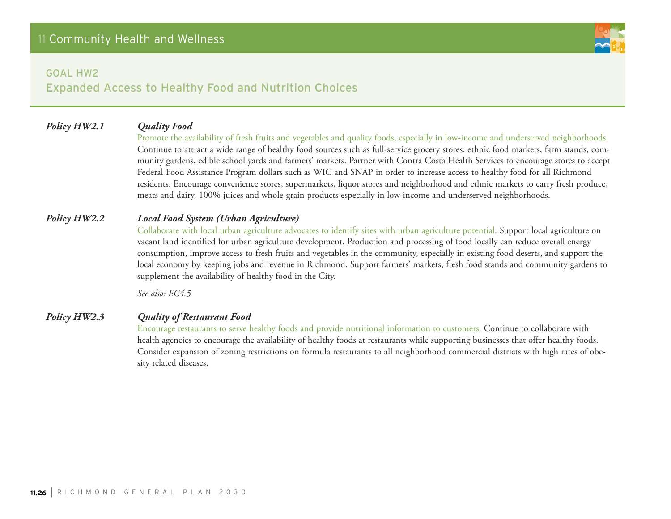# Expanded Access to Healthy Food and Nutrition Choices

## *Policy HW2.1 Quality Food*

Promote the availability of fresh fruits and vegetables and quality foods, especially in low-income and underserved neighborhoods. Continue to attract a wide range of healthy food sources such as full-service grocery stores, ethnic food markets, farm stands, community gardens, edible school yards and farmers' markets. Partner with Contra Costa Health Services to encourage stores to accept Federal Food Assistance Program dollars such as WIC and SNAP in order to increase access to healthy food for all Richmond residents. Encourage convenience stores, supermarkets, liquor stores and neighborhood and ethnic markets to carry fresh produce, meats and dairy, 100% juices and whole-grain products especially in low-income and underserved neighborhoods.

## *Policy HW2.2 Local Food System (Urban Agriculture)*

Collaborate with local urban agriculture advocates to identify sites with urban agriculture potential. Support local agriculture on vacant land identified for urban agriculture development. Production and processing of food locally can reduce overall energy consumption, improve access to fresh fruits and vegetables in the community, especially in existing food deserts, and support the local economy by keeping jobs and revenue in Richmond. Support farmers' markets, fresh food stands and community gardens to supplement the availability of healthy food in the City.

*See also: EC4.5*

#### *Policy HW2.3 Quality of Restaurant Food*

Encourage restaurants to serve healthy foods and provide nutritional information to customers. Continue to collaborate with health agencies to encourage the availability of healthy foods at restaurants while supporting businesses that offer healthy foods. Consider expansion of zoning restrictions on formula restaurants to all neighborhood commercial districts with high rates of obesity related diseases.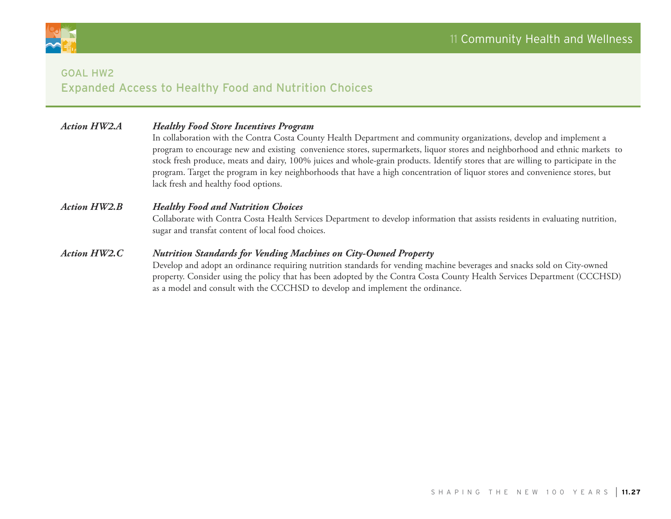



# Goal HW2 Expanded Access to Healthy Food and Nutrition Choices

| <b>Action HW2.A</b> | <b>Healthy Food Store Incentives Program</b><br>In collaboration with the Contra Costa County Health Department and community organizations, develop and implement a<br>program to encourage new and existing convenience stores, supermarkets, liquor stores and neighborhood and ethnic markets to<br>stock fresh produce, meats and dairy, 100% juices and whole-grain products. Identify stores that are willing to participate in the<br>program. Target the program in key neighborhoods that have a high concentration of liquor stores and convenience stores, but<br>lack fresh and healthy food options. |
|---------------------|--------------------------------------------------------------------------------------------------------------------------------------------------------------------------------------------------------------------------------------------------------------------------------------------------------------------------------------------------------------------------------------------------------------------------------------------------------------------------------------------------------------------------------------------------------------------------------------------------------------------|
| <b>Action HW2.B</b> | <b>Healthy Food and Nutrition Choices</b><br>Collaborate with Contra Costa Health Services Department to develop information that assists residents in evaluating nutrition,<br>sugar and transfat content of local food choices.                                                                                                                                                                                                                                                                                                                                                                                  |
| <b>Action HW2.C</b> | <b>Nutrition Standards for Vending Machines on City-Owned Property</b><br>Develop and adopt an ordinance requiring nutrition standards for vending machine beverages and snacks sold on City-owned<br>property. Consider using the policy that has been adopted by the Contra Costa County Health Services Department (CCCHSD)<br>as a model and consult with the CCCHSD to develop and implement the ordinance.                                                                                                                                                                                                   |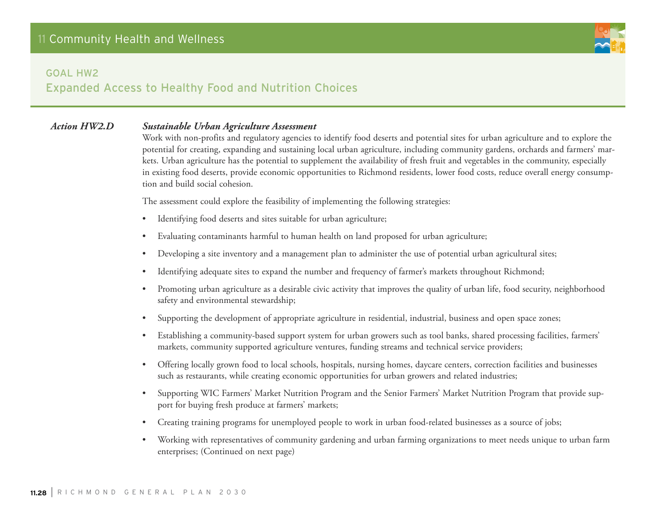

# Expanded Access to Healthy Food and Nutrition Choices

#### *Action HW2.D Sustainable Urban Agriculture Assessment*

Work with non-profits and regulatory agencies to identify food deserts and potential sites for urban agriculture and to explore the potential for creating, expanding and sustaining local urban agriculture, including community gardens, orchards and farmers' markets. Urban agriculture has the potential to supplement the availability of fresh fruit and vegetables in the community, especially in existing food deserts, provide economic opportunities to Richmond residents, lower food costs, reduce overall energy consumption and build social cohesion.

The assessment could explore the feasibility of implementing the following strategies:

- Identifying food deserts and sites suitable for urban agriculture;
- Evaluating contaminants harmful to human health on land proposed for urban agriculture;
- Developing a site inventory and a management plan to administer the use of potential urban agricultural sites;
- Identifying adequate sites to expand the number and frequency of farmer's markets throughout Richmond;
- Promoting urban agriculture as a desirable civic activity that improves the quality of urban life, food security, neighborhood safety and environmental stewardship;
- Supporting the development of appropriate agriculture in residential, industrial, business and open space zones;
- Establishing a community-based support system for urban growers such as tool banks, shared processing facilities, farmers' markets, community supported agriculture ventures, funding streams and technical service providers;
- • Offering locally grown food to local schools, hospitals, nursing homes, daycare centers, correction facilities and businesses such as restaurants, while creating economic opportunities for urban growers and related industries;
- Supporting WIC Farmers' Market Nutrition Program and the Senior Farmers' Market Nutrition Program that provide support for buying fresh produce at farmers' markets;
- Creating training programs for unemployed people to work in urban food-related businesses as a source of jobs;
- Working with representatives of community gardening and urban farming organizations to meet needs unique to urban farm enterprises; (Continued on next page)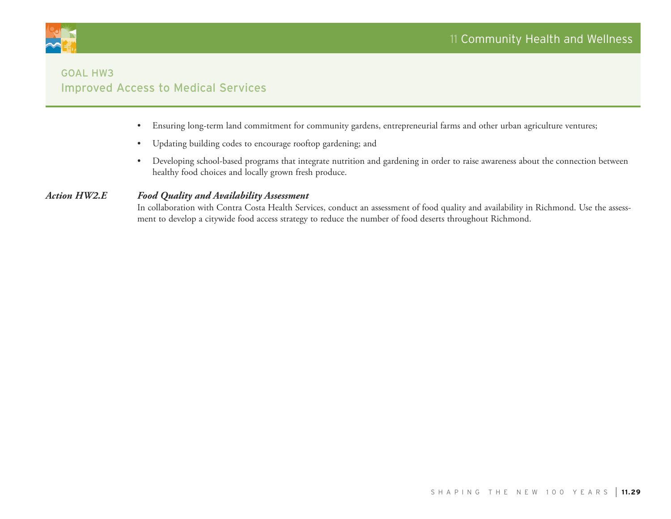

# Goal HW3 Improved Access to Medical Services

- • Ensuring long-term land commitment for community gardens, entrepreneurial farms and other urban agriculture ventures;
- • Updating building codes to encourage rooftop gardening; and
- • Developing school-based programs that integrate nutrition and gardening in order to raise awareness about the connection between healthy food choices and locally grown fresh produce.

## *Action HW2.E Food Quality and Availability Assessment*

In collaboration with Contra Costa Health Services, conduct an assessment of food quality and availability in Richmond. Use the assessment to develop a citywide food access strategy to reduce the number of food deserts throughout Richmond.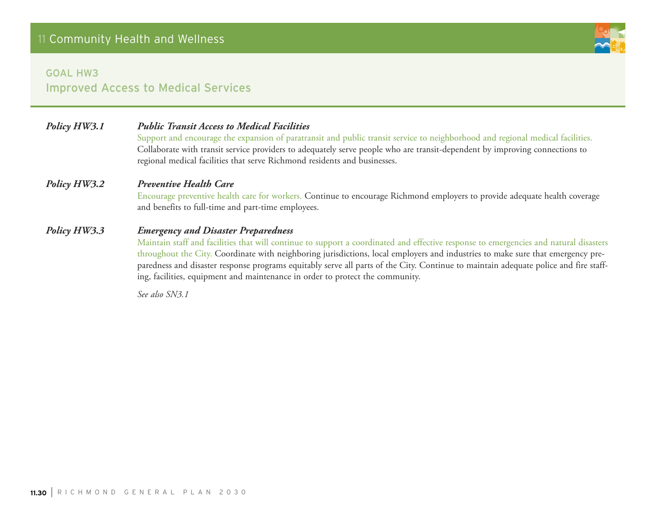# Goal HW3 Improved Access to Medical Services

| Policy HW3.1 | <b>Public Transit Access to Medical Facilities</b><br>Support and encourage the expansion of paratransit and public transit service to neighborhood and regional medical facilities.<br>Collaborate with transit service providers to adequately serve people who are transit-dependent by improving connections to<br>regional medical facilities that serve Richmond residents and businesses. |
|--------------|--------------------------------------------------------------------------------------------------------------------------------------------------------------------------------------------------------------------------------------------------------------------------------------------------------------------------------------------------------------------------------------------------|
| Policy HW3.2 | <b>Preventive Health Care</b><br>Encourage preventive health care for workers. Continue to encourage Richmond employers to provide adequate health coverage<br>and benefits to full-time and part-time employees.                                                                                                                                                                                |
| Policy HW3.3 | <b>Emergency and Disaster Preparedness</b><br>Maintain staff and facilities that will continue to support a coordinated and effective response to emergencies and natural disasters                                                                                                                                                                                                              |

throughout the City. Coordinate with neighboring jurisdictions, local employers and industries to make sure that emergency preparedness and disaster response programs equitably serve all parts of the City. Continue to maintain adequate police and fire staffing, facilities, equipment and maintenance in order to protect the community.

*See also SN3.1*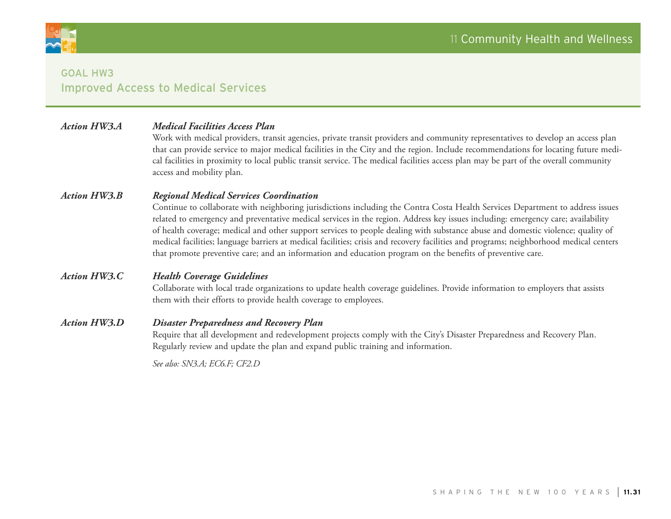

# Goal HW3 Improved Access to Medical Services

#### *Action HW3.A Medical Facilities Access Plan*

Work with medical providers, transit agencies, private transit providers and community representatives to develop an access plan that can provide service to major medical facilities in the City and the region. Include recommendations for locating future medical facilities in proximity to local public transit service. The medical facilities access plan may be part of the overall community access and mobility plan.

#### *Action HW3.B Regional Medical Services Coordination*

Continue to collaborate with neighboring jurisdictions including the Contra Costa Health Services Department to address issues related to emergency and preventative medical services in the region. Address key issues including: emergency care; availability of health coverage; medical and other support services to people dealing with substance abuse and domestic violence; quality of medical facilities; language barriers at medical facilities; crisis and recovery facilities and programs; neighborhood medical centers that promote preventive care; and an information and education program on the benefits of preventive care.

#### *Action HW3.C Health Coverage Guidelines*

Collaborate with local trade organizations to update health coverage guidelines. Provide information to employers that assists them with their efforts to provide health coverage to employees.

#### *Action HW3.D Disaster Preparedness and Recovery Plan*

Require that all development and redevelopment projects comply with the City's Disaster Preparedness and Recovery Plan. Regularly review and update the plan and expand public training and information.

*See also: SN3.A; EC6.F; CF2.D*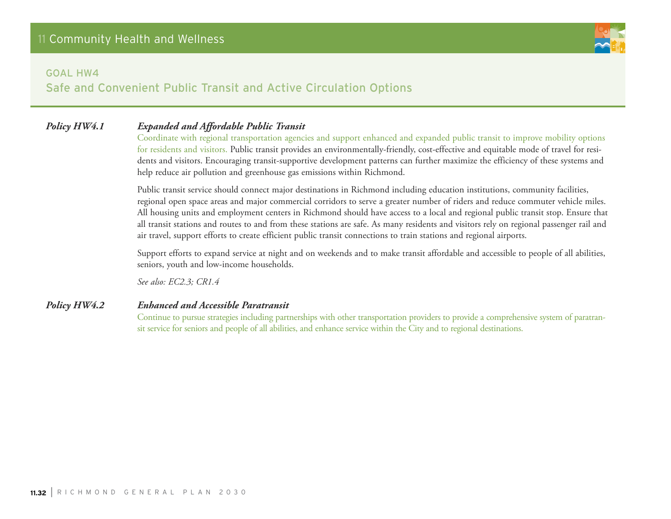Safe and Convenient Public Transit and Active Circulation Options

#### *Policy HW4.1 Expanded and Affordable Public Transit*

Coordinate with regional transportation agencies and support enhanced and expanded public transit to improve mobility options for residents and visitors. Public transit provides an environmentally-friendly, cost-effective and equitable mode of travel for residents and visitors. Encouraging transit-supportive development patterns can further maximize the efficiency of these systems and help reduce air pollution and greenhouse gas emissions within Richmond.

Public transit service should connect major destinations in Richmond including education institutions, community facilities, regional open space areas and major commercial corridors to serve a greater number of riders and reduce commuter vehicle miles. All housing units and employment centers in Richmond should have access to a local and regional public transit stop. Ensure that all transit stations and routes to and from these stations are safe. As many residents and visitors rely on regional passenger rail and air travel, support efforts to create efficient public transit connections to train stations and regional airports.

Support efforts to expand service at night and on weekends and to make transit affordable and accessible to people of all abilities, seniors, youth and low-income households.

*See also: EC2.3; CR1.4*

#### *Policy HW4.2 Enhanced and Accessible Paratransit*

Continue to pursue strategies including partnerships with other transportation providers to provide a comprehensive system of paratransit service for seniors and people of all abilities, and enhance service within the City and to regional destinations.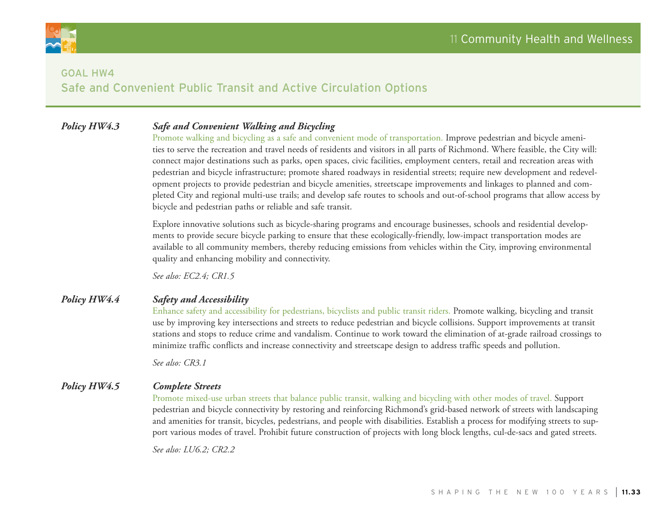

# Safe and Convenient Public Transit and Active Circulation Options

#### *Policy HW4.3 Safe and Convenient Walking and Bicycling*

Promote walking and bicycling as a safe and convenient mode of transportation. Improve pedestrian and bicycle amenities to serve the recreation and travel needs of residents and visitors in all parts of Richmond. Where feasible, the City will: connect major destinations such as parks, open spaces, civic facilities, employment centers, retail and recreation areas with pedestrian and bicycle infrastructure; promote shared roadways in residential streets; require new development and redevelopment projects to provide pedestrian and bicycle amenities, streetscape improvements and linkages to planned and completed City and regional multi-use trails; and develop safe routes to schools and out-of-school programs that allow access by bicycle and pedestrian paths or reliable and safe transit.

Explore innovative solutions such as bicycle-sharing programs and encourage businesses, schools and residential developments to provide secure bicycle parking to ensure that these ecologically-friendly, low-impact transportation modes are available to all community members, thereby reducing emissions from vehicles within the City, improving environmental quality and enhancing mobility and connectivity.

*See also: EC2.4; CR1.5*

#### *Policy HW4.4 Safety and Accessibility*

Enhance safety and accessibility for pedestrians, bicyclists and public transit riders. Promote walking, bicycling and transit use by improving key intersections and streets to reduce pedestrian and bicycle collisions. Support improvements at transit stations and stops to reduce crime and vandalism. Continue to work toward the elimination of at-grade railroad crossings to minimize traffic conflicts and increase connectivity and streetscape design to address traffic speeds and pollution.

*See also: CR3.1*

#### *Policy HW4.5 Complete Streets*

Promote mixed-use urban streets that balance public transit, walking and bicycling with other modes of travel. Support pedestrian and bicycle connectivity by restoring and reinforcing Richmond's grid-based network of streets with landscaping and amenities for transit, bicycles, pedestrians, and people with disabilities. Establish a process for modifying streets to support various modes of travel. Prohibit future construction of projects with long block lengths, cul-de-sacs and gated streets.

*See also: LU6.2; CR2.2*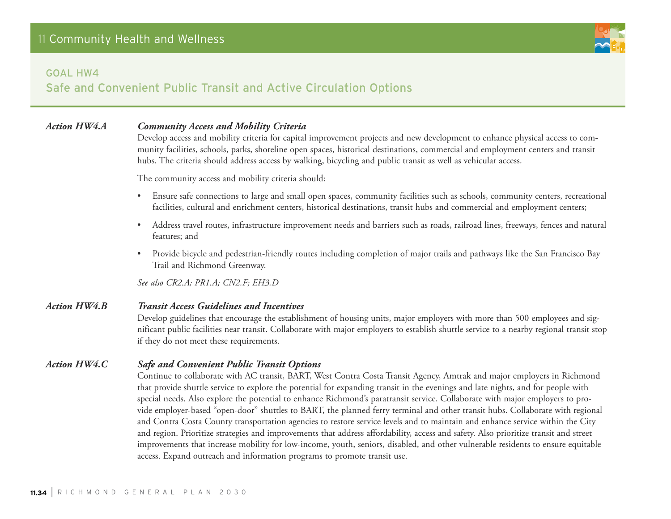

# Safe and Convenient Public Transit and Active Circulation Options

#### *Action HW4.A Community Access and Mobility Criteria*

Develop access and mobility criteria for capital improvement projects and new development to enhance physical access to community facilities, schools, parks, shoreline open spaces, historical destinations, commercial and employment centers and transit hubs. The criteria should address access by walking, bicycling and public transit as well as vehicular access.

The community access and mobility criteria should:

- Ensure safe connections to large and small open spaces, community facilities such as schools, community centers, recreational facilities, cultural and enrichment centers, historical destinations, transit hubs and commercial and employment centers;
- • Address travel routes, infrastructure improvement needs and barriers such as roads, railroad lines, freeways, fences and natural features; and
- Provide bicycle and pedestrian-friendly routes including completion of major trails and pathways like the San Francisco Bay Trail and Richmond Greenway.

*See also CR2.A; PR1.A; CN2.F; EH3.D*

#### *Action HW4.B Transit Access Guidelines and Incentives*

Develop guidelines that encourage the establishment of housing units, major employers with more than 500 employees and significant public facilities near transit. Collaborate with major employers to establish shuttle service to a nearby regional transit stop if they do not meet these requirements.

#### *Action HW4.C Safe and Convenient Public Transit Options*

Continue to collaborate with AC transit, BART, West Contra Costa Transit Agency, Amtrak and major employers in Richmond that provide shuttle service to explore the potential for expanding transit in the evenings and late nights, and for people with special needs. Also explore the potential to enhance Richmond's paratransit service. Collaborate with major employers to provide employer-based "open-door" shuttles to BART, the planned ferry terminal and other transit hubs. Collaborate with regional and Contra Costa County transportation agencies to restore service levels and to maintain and enhance service within the City and region. Prioritize strategies and improvements that address affordability, access and safety. Also prioritize transit and street improvements that increase mobility for low-income, youth, seniors, disabled, and other vulnerable residents to ensure equitable access. Expand outreach and information programs to promote transit use.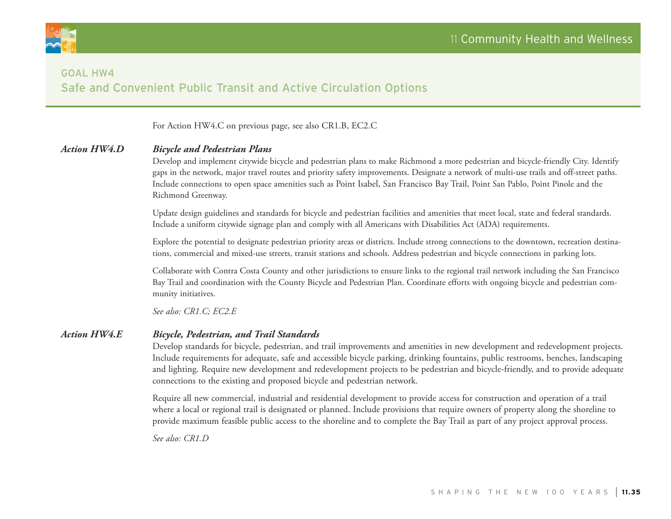

# Goal HW4 Safe and Convenient Public Transit and Active Circulation Options

For Action HW4.C on previous page, see also CR1.B, EC2.C

#### *Action HW4.D Bicycle and Pedestrian Plans*

Develop and implement citywide bicycle and pedestrian plans to make Richmond a more pedestrian and bicycle-friendly City. Identify gaps in the network, major travel routes and priority safety improvements. Designate a network of multi-use trails and off-street paths. Include connections to open space amenities such as Point Isabel, San Francisco Bay Trail, Point San Pablo, Point Pinole and the Richmond Greenway.

Update design guidelines and standards for bicycle and pedestrian facilities and amenities that meet local, state and federal standards. Include a uniform citywide signage plan and comply with all Americans with Disabilities Act (ADA) requirements.

Explore the potential to designate pedestrian priority areas or districts. Include strong connections to the downtown, recreation destinations, commercial and mixed-use streets, transit stations and schools. Address pedestrian and bicycle connections in parking lots.

Collaborate with Contra Costa County and other jurisdictions to ensure links to the regional trail network including the San Francisco Bay Trail and coordination with the County Bicycle and Pedestrian Plan. Coordinate efforts with ongoing bicycle and pedestrian community initiatives.

*See also: CR1.C; EC2.E*

#### *Action HW4.E Bicycle, Pedestrian, and Trail Standards*

Develop standards for bicycle, pedestrian, and trail improvements and amenities in new development and redevelopment projects. Include requirements for adequate, safe and accessible bicycle parking, drinking fountains, public restrooms, benches, landscaping and lighting. Require new development and redevelopment projects to be pedestrian and bicycle-friendly, and to provide adequate connections to the existing and proposed bicycle and pedestrian network.

Require all new commercial, industrial and residential development to provide access for construction and operation of a trail where a local or regional trail is designated or planned. Include provisions that require owners of property along the shoreline to provide maximum feasible public access to the shoreline and to complete the Bay Trail as part of any project approval process.

*See also: CR1.D*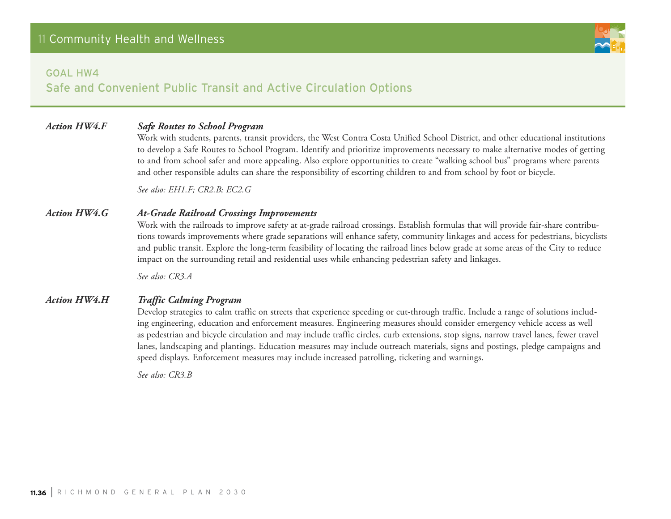Safe and Convenient Public Transit and Active Circulation Options

#### *Action HW4.F Safe Routes to School Program*

Work with students, parents, transit providers, the West Contra Costa Unified School District, and other educational institutions to develop a Safe Routes to School Program. Identify and prioritize improvements necessary to make alternative modes of getting to and from school safer and more appealing. Also explore opportunities to create "walking school bus" programs where parents and other responsible adults can share the responsibility of escorting children to and from school by foot or bicycle.

*See also: EH1.F; CR2.B; EC2.G*

#### *Action HW4.G At-Grade Railroad Crossings Improvements*

Work with the railroads to improve safety at at-grade railroad crossings. Establish formulas that will provide fair-share contributions towards improvements where grade separations will enhance safety, community linkages and access for pedestrians, bicyclists and public transit. Explore the long-term feasibility of locating the railroad lines below grade at some areas of the City to reduce impact on the surrounding retail and residential uses while enhancing pedestrian safety and linkages.

*See also: CR3.A*

#### *Action HW4.H Traffic Calming Program*

Develop strategies to calm traffic on streets that experience speeding or cut-through traffic. Include a range of solutions including engineering, education and enforcement measures. Engineering measures should consider emergency vehicle access as well as pedestrian and bicycle circulation and may include traffic circles, curb extensions, stop signs, narrow travel lanes, fewer travel lanes, landscaping and plantings. Education measures may include outreach materials, signs and postings, pledge campaigns and speed displays. Enforcement measures may include increased patrolling, ticketing and warnings.

*See also: CR3.B*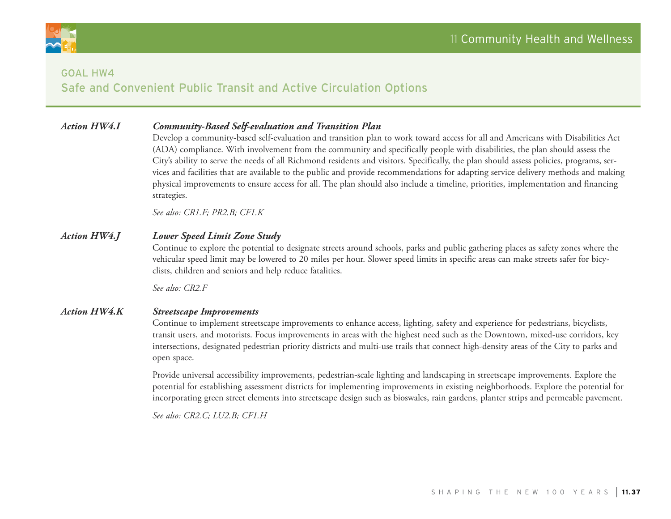



#### Goal HW4

## Safe and Convenient Public Transit and Active Circulation Options

### *Action HW4.I Community-Based Self-evaluation and Transition Plan*

Develop a community-based self-evaluation and transition plan to work toward access for all and Americans with Disabilities Act (ADA) compliance. With involvement from the community and specifically people with disabilities, the plan should assess the City's ability to serve the needs of all Richmond residents and visitors. Specifically, the plan should assess policies, programs, services and facilities that are available to the public and provide recommendations for adapting service delivery methods and making physical improvements to ensure access for all. The plan should also include a timeline, priorities, implementation and financing strategies.

*See also: CR1.F; PR2.B; CF1.K*

#### *Action HW4.J Lower Speed Limit Zone Study*

Continue to explore the potential to designate streets around schools, parks and public gathering places as safety zones where the vehicular speed limit may be lowered to 20 miles per hour. Slower speed limits in specific areas can make streets safer for bicyclists, children and seniors and help reduce fatalities.

*See also: CR2.F*

#### *Action HW4.K Streetscape Improvements*

Continue to implement streetscape improvements to enhance access, lighting, safety and experience for pedestrians, bicyclists, transit users, and motorists. Focus improvements in areas with the highest need such as the Downtown, mixed-use corridors, key intersections, designated pedestrian priority districts and multi-use trails that connect high-density areas of the City to parks and open space.

Provide universal accessibility improvements, pedestrian-scale lighting and landscaping in streetscape improvements. Explore the potential for establishing assessment districts for implementing improvements in existing neighborhoods. Explore the potential for incorporating green street elements into streetscape design such as bioswales, rain gardens, planter strips and permeable pavement.

*See also: CR2.C; LU2.B; CF1.H*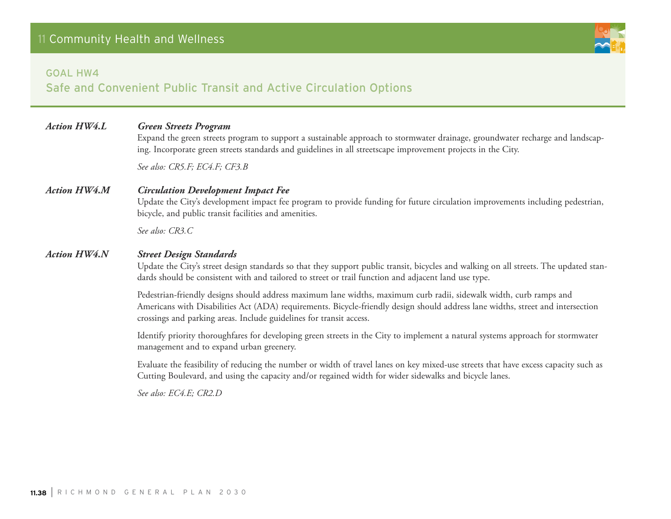#### Goal HW4

Safe and Convenient Public Transit and Active Circulation Options

#### *Action HW4.L Green Streets Program*

Expand the green streets program to support a sustainable approach to stormwater drainage, groundwater recharge and landscaping. Incorporate green streets standards and guidelines in all streetscape improvement projects in the City.

*See also: CR5.F; EC4.F; CF3.B*

#### *Action HW4.M Circulation Development Impact Fee*

Update the City's development impact fee program to provide funding for future circulation improvements including pedestrian, bicycle, and public transit facilities and amenities.

*See also: CR3.C*

#### *Action HW4.N Street Design Standards*

Update the City's street design standards so that they support public transit, bicycles and walking on all streets. The updated standards should be consistent with and tailored to street or trail function and adjacent land use type.

Pedestrian-friendly designs should address maximum lane widths, maximum curb radii, sidewalk width, curb ramps and Americans with Disabilities Act (ADA) requirements. Bicycle-friendly design should address lane widths, street and intersection crossings and parking areas. Include guidelines for transit access.

Identify priority thoroughfares for developing green streets in the City to implement a natural systems approach for stormwater management and to expand urban greenery.

Evaluate the feasibility of reducing the number or width of travel lanes on key mixed-use streets that have excess capacity such as Cutting Boulevard, and using the capacity and/or regained width for wider sidewalks and bicycle lanes.

*See also: EC4.E; CR2.D*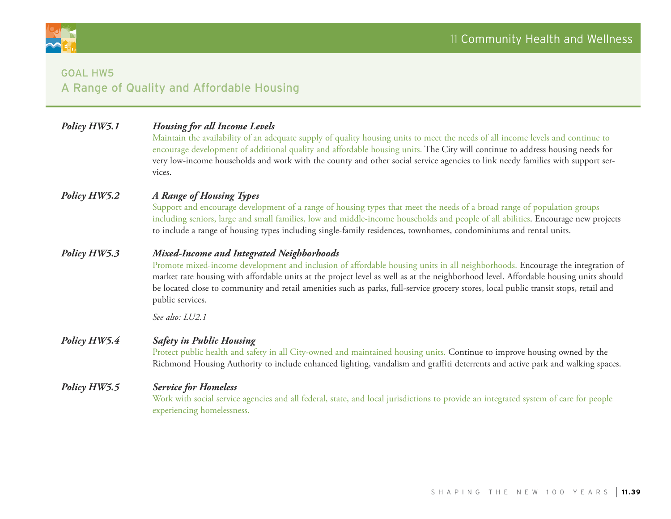

# Goal HW5 A Range of Quality and Affordable Housing

| Policy HW5.1 | <b>Housing for all Income Levels</b><br>Maintain the availability of an adequate supply of quality housing units to meet the needs of all income levels and continue to<br>encourage development of additional quality and affordable housing units. The City will continue to address housing needs for<br>very low-income households and work with the county and other social service agencies to link needy families with support ser-<br>vices.                            |
|--------------|---------------------------------------------------------------------------------------------------------------------------------------------------------------------------------------------------------------------------------------------------------------------------------------------------------------------------------------------------------------------------------------------------------------------------------------------------------------------------------|
| Policy HW5.2 | A Range of Housing Types<br>Support and encourage development of a range of housing types that meet the needs of a broad range of population groups<br>including seniors, large and small families, low and middle-income households and people of all abilities. Encourage new projects<br>to include a range of housing types including single-family residences, townhomes, condominiums and rental units.                                                                   |
| Policy HW5.3 | Mixed-Income and Integrated Neighborhoods<br>Promote mixed-income development and inclusion of affordable housing units in all neighborhoods. Encourage the integration of<br>market rate housing with affordable units at the project level as well as at the neighborhood level. Affordable housing units should<br>be located close to community and retail amenities such as parks, full-service grocery stores, local public transit stops, retail and<br>public services. |
|              | See also: LU2.1                                                                                                                                                                                                                                                                                                                                                                                                                                                                 |
| Policy HW5.4 | <b>Safety in Public Housing</b><br>Protect public health and safety in all City-owned and maintained housing units. Continue to improve housing owned by the<br>Richmond Housing Authority to include enhanced lighting, vandalism and graffiti deterrents and active park and walking spaces.                                                                                                                                                                                  |
| Policy HW5.5 | <b>Service for Homeless</b><br>Work with social service agencies and all federal, state, and local jurisdictions to provide an integrated system of care for people<br>experiencing homelessness.                                                                                                                                                                                                                                                                               |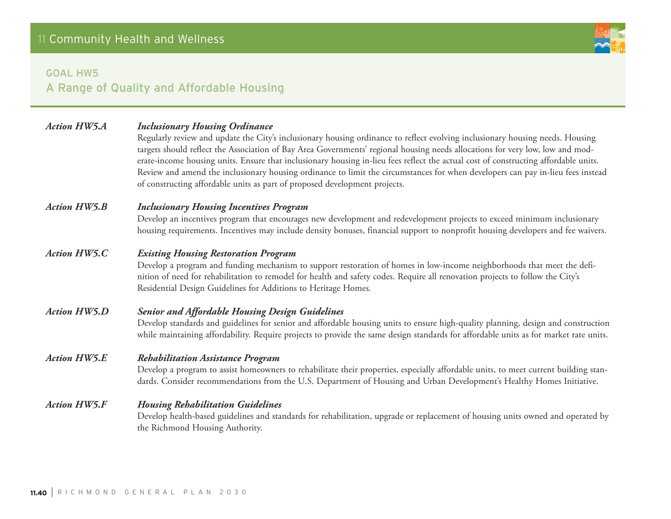## Goal HW5

# A Range of Quality and Affordable Housing

| <b>Action HW5.A</b> | <b>Inclusionary Housing Ordinance</b><br>Regularly review and update the City's inclusionary housing ordinance to reflect evolving inclusionary housing needs. Housing<br>targets should reflect the Association of Bay Area Governments' regional housing needs allocations for very low, low and mod-<br>erate-income housing units. Ensure that inclusionary housing in-lieu fees reflect the actual cost of constructing affordable units.<br>Review and amend the inclusionary housing ordinance to limit the circumstances for when developers can pay in-lieu fees instead<br>of constructing affordable units as part of proposed development projects. |
|---------------------|-----------------------------------------------------------------------------------------------------------------------------------------------------------------------------------------------------------------------------------------------------------------------------------------------------------------------------------------------------------------------------------------------------------------------------------------------------------------------------------------------------------------------------------------------------------------------------------------------------------------------------------------------------------------|
| <b>Action HW5.B</b> | <b>Inclusionary Housing Incentives Program</b><br>Develop an incentives program that encourages new development and redevelopment projects to exceed minimum inclusionary<br>housing requirements. Incentives may include density bonuses, financial support to nonprofit housing developers and fee waivers.                                                                                                                                                                                                                                                                                                                                                   |
| <b>Action HW5.C</b> | <b>Existing Housing Restoration Program</b><br>Develop a program and funding mechanism to support restoration of homes in low-income neighborhoods that meet the defi-<br>nition of need for rehabilitation to remodel for health and safety codes. Require all renovation projects to follow the City's<br>Residential Design Guidelines for Additions to Heritage Homes.                                                                                                                                                                                                                                                                                      |
| <b>Action HW5.D</b> | <b>Senior and Affordable Housing Design Guidelines</b><br>Develop standards and guidelines for senior and affordable housing units to ensure high-quality planning, design and construction<br>while maintaining affordability. Require projects to provide the same design standards for affordable units as for market rate units.                                                                                                                                                                                                                                                                                                                            |
| <b>Action HW5.E</b> | <b>Rehabilitation Assistance Program</b><br>Develop a program to assist homeowners to rehabilitate their properties, especially affordable units, to meet current building stan-<br>dards. Consider recommendations from the U.S. Department of Housing and Urban Development's Healthy Homes Initiative.                                                                                                                                                                                                                                                                                                                                                       |
| <b>Action HW5.F</b> | <b>Housing Rehabilitation Guidelines</b><br>Develop health-based guidelines and standards for rehabilitation, upgrade or replacement of housing units owned and operated by<br>the Richmond Housing Authority.                                                                                                                                                                                                                                                                                                                                                                                                                                                  |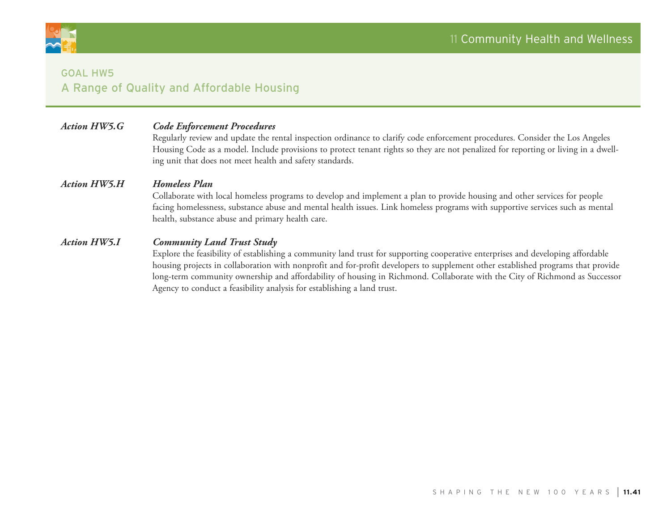

## Goal HW5 A Range of Quality and Affordable Housing

### *Action HW5.G Code Enforcement Procedures*

Regularly review and update the rental inspection ordinance to clarify code enforcement procedures. Consider the Los Angeles Housing Code as a model. Include provisions to protect tenant rights so they are not penalized for reporting or living in a dwelling unit that does not meet health and safety standards.

#### *Action HW5.H Homeless Plan*

Collaborate with local homeless programs to develop and implement a plan to provide housing and other services for people facing homelessness, substance abuse and mental health issues. Link homeless programs with supportive services such as mental health, substance abuse and primary health care.

#### *Action HW5.I Community Land Trust Study*

Explore the feasibility of establishing a community land trust for supporting cooperative enterprises and developing affordable housing projects in collaboration with nonprofit and for-profit developers to supplement other established programs that provide long-term community ownership and affordability of housing in Richmond. Collaborate with the City of Richmond as Successor Agency to conduct a feasibility analysis for establishing a land trust.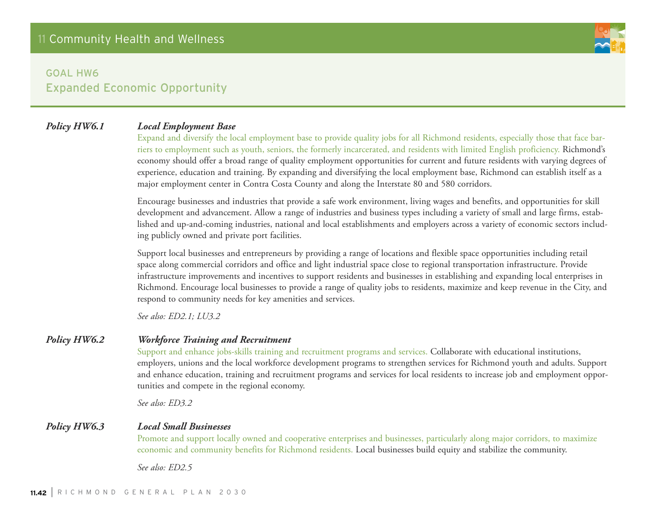### *Policy HW6.1 Local Employment Base*

Expand and diversify the local employment base to provide quality jobs for all Richmond residents, especially those that face barriers to employment such as youth, seniors, the formerly incarcerated, and residents with limited English proficiency. Richmond's economy should offer a broad range of quality employment opportunities for current and future residents with varying degrees of experience, education and training. By expanding and diversifying the local employment base, Richmond can establish itself as a major employment center in Contra Costa County and along the Interstate 80 and 580 corridors.

Encourage businesses and industries that provide a safe work environment, living wages and benefits, and opportunities for skill development and advancement. Allow a range of industries and business types including a variety of small and large firms, established and up-and-coming industries, national and local establishments and employers across a variety of economic sectors including publicly owned and private port facilities.

Support local businesses and entrepreneurs by providing a range of locations and flexible space opportunities including retail space along commercial corridors and office and light industrial space close to regional transportation infrastructure. Provide infrastructure improvements and incentives to support residents and businesses in establishing and expanding local enterprises in Richmond. Encourage local businesses to provide a range of quality jobs to residents, maximize and keep revenue in the City, and respond to community needs for key amenities and services.

*See also: ED2.1; LU3.2* 

#### *Policy HW6.2 Workforce Training and Recruitment*

Support and enhance jobs-skills training and recruitment programs and services. Collaborate with educational institutions, employers, unions and the local workforce development programs to strengthen services for Richmond youth and adults. Support and enhance education, training and recruitment programs and services for local residents to increase job and employment opportunities and compete in the regional economy.

*See also: ED3.2*

#### *Policy HW6.3 Local Small Businesses*

Promote and support locally owned and cooperative enterprises and businesses, particularly along major corridors, to maximize economic and community benefits for Richmond residents. Local businesses build equity and stabilize the community.

*See also: ED2.5*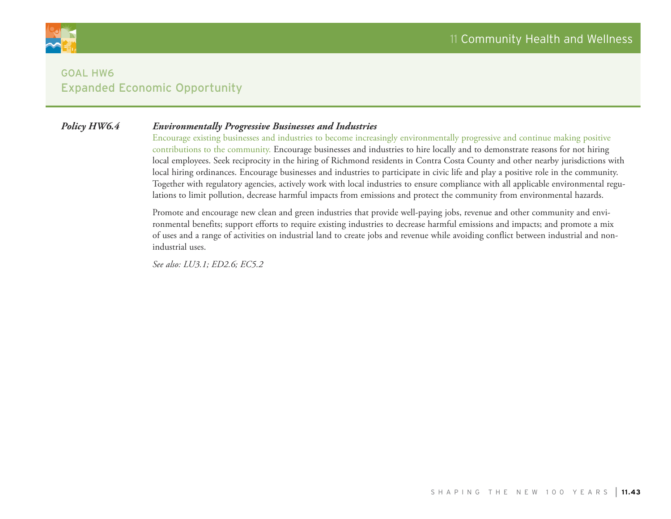

#### *Policy HW6.4 Environmentally Progressive Businesses and Industries*

Encourage existing businesses and industries to become increasingly environmentally progressive and continue making positive contributions to the community. Encourage businesses and industries to hire locally and to demonstrate reasons for not hiring local employees. Seek reciprocity in the hiring of Richmond residents in Contra Costa County and other nearby jurisdictions with local hiring ordinances. Encourage businesses and industries to participate in civic life and play a positive role in the community. Together with regulatory agencies, actively work with local industries to ensure compliance with all applicable environmental regulations to limit pollution, decrease harmful impacts from emissions and protect the community from environmental hazards.

Promote and encourage new clean and green industries that provide well-paying jobs, revenue and other community and environmental benefits; support efforts to require existing industries to decrease harmful emissions and impacts; and promote a mix of uses and a range of activities on industrial land to create jobs and revenue while avoiding conflict between industrial and nonindustrial uses.

*See also: LU3.1; ED2.6; EC5.2*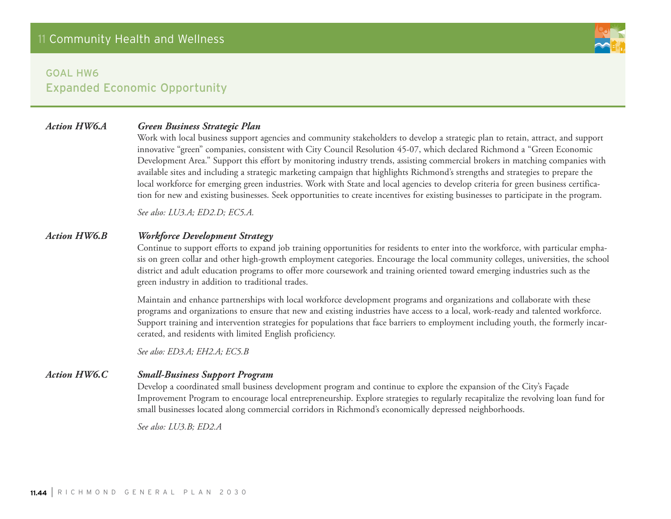## *Action HW6.A Green Business Strategic Plan*

Work with local business support agencies and community stakeholders to develop a strategic plan to retain, attract, and support innovative "green" companies, consistent with City Council Resolution 45-07, which declared Richmond a "Green Economic Development Area." Support this effort by monitoring industry trends, assisting commercial brokers in matching companies with available sites and including a strategic marketing campaign that highlights Richmond's strengths and strategies to prepare the local workforce for emerging green industries. Work with State and local agencies to develop criteria for green business certification for new and existing businesses. Seek opportunities to create incentives for existing businesses to participate in the program.

*See also: LU3.A; ED2.D; EC5.A.*

#### *Action HW6.B Workforce Development Strategy*

Continue to support efforts to expand job training opportunities for residents to enter into the workforce, with particular emphasis on green collar and other high-growth employment categories. Encourage the local community colleges, universities, the school district and adult education programs to offer more coursework and training oriented toward emerging industries such as the green industry in addition to traditional trades.

Maintain and enhance partnerships with local workforce development programs and organizations and collaborate with these programs and organizations to ensure that new and existing industries have access to a local, work-ready and talented workforce. Support training and intervention strategies for populations that face barriers to employment including youth, the formerly incarcerated, and residents with limited English proficiency.

*See also: ED3.A; EH2.A; EC5.B*

### *Action HW6.C Small-Business Support Program*

Develop a coordinated small business development program and continue to explore the expansion of the City's Façade Improvement Program to encourage local entrepreneurship. Explore strategies to regularly recapitalize the revolving loan fund for small businesses located along commercial corridors in Richmond's economically depressed neighborhoods.

*See also: LU3.B; ED2.A*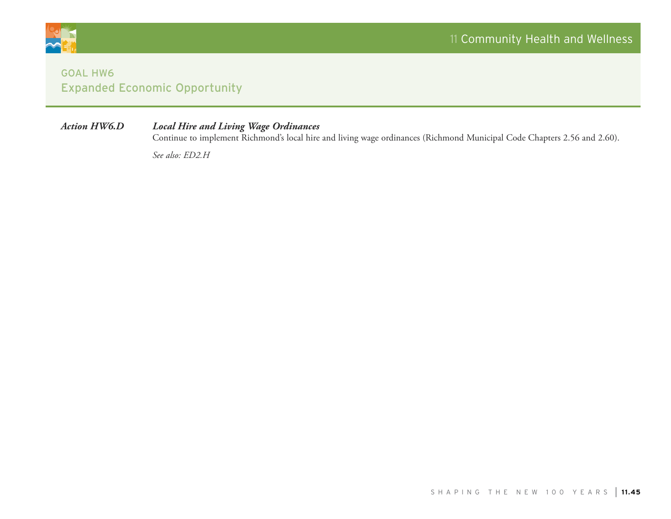

## *Action HW6.D Local Hire and Living Wage Ordinances*

Continue to implement Richmond's local hire and living wage ordinances (Richmond Municipal Code Chapters 2.56 and 2.60).

*See also: ED2.H*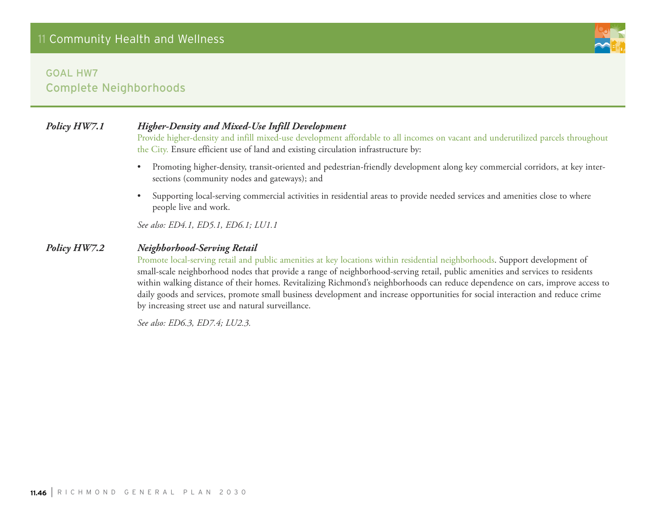## Goal HW7 Complete Neighborhoods

## *Policy HW7.1 Higher-Density and Mixed-Use Infill Development*

Provide higher-density and infill mixed-use development affordable to all incomes on vacant and underutilized parcels throughout the City. Ensure efficient use of land and existing circulation infrastructure by:

- • Promoting higher-density, transit-oriented and pedestrian-friendly development along key commercial corridors, at key intersections (community nodes and gateways); and
- • Supporting local-serving commercial activities in residential areas to provide needed services and amenities close to where people live and work.

*See also: ED4.1, ED5.1, ED6.1; LU1.1*

#### *Policy HW7.2 Neighborhood-Serving Retail*

Promote local-serving retail and public amenities at key locations within residential neighborhoods. Support development of small-scale neighborhood nodes that provide a range of neighborhood-serving retail, public amenities and services to residents within walking distance of their homes. Revitalizing Richmond's neighborhoods can reduce dependence on cars, improve access to daily goods and services, promote small business development and increase opportunities for social interaction and reduce crime by increasing street use and natural surveillance.

*See also: ED6.3, ED7.4; LU2.3.*

**11.46** | <sup>r</sup> <sup>i</sup> ch <sup>m</sup> <sup>o</sup> nd g <sup>e</sup> <sup>n</sup> er al p lan 2030

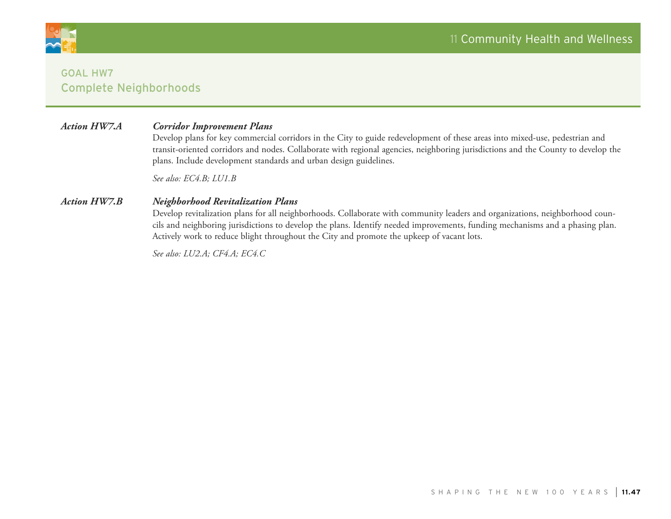

## Goal HW7 Complete Neighborhoods

#### *Action HW7.A Corridor Improvement Plans*

Develop plans for key commercial corridors in the City to guide redevelopment of these areas into mixed-use, pedestrian and transit-oriented corridors and nodes. Collaborate with regional agencies, neighboring jurisdictions and the County to develop the plans. Include development standards and urban design guidelines.

*See also: EC4.B; LU1.B*

#### *Action HW7.B Neighborhood Revitalization Plans*

Develop revitalization plans for all neighborhoods. Collaborate with community leaders and organizations, neighborhood councils and neighboring jurisdictions to develop the plans. Identify needed improvements, funding mechanisms and a phasing plan. Actively work to reduce blight throughout the City and promote the upkeep of vacant lots.

*See also: LU2.A; CF4.A; EC4.C*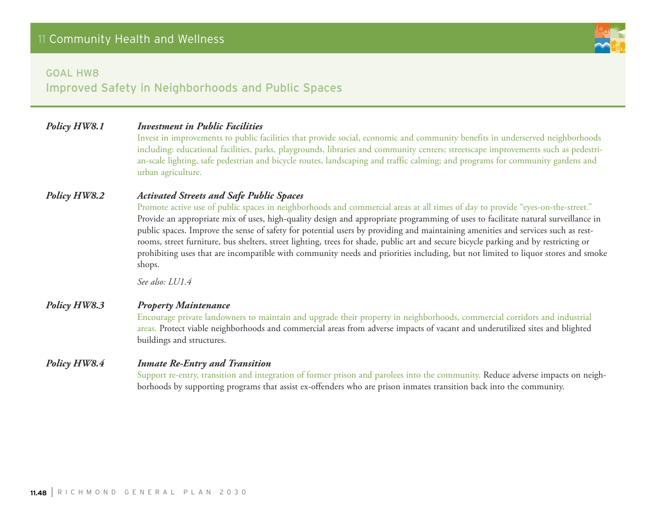

#### Goal HW8

Improved Safety in Neighborhoods and Public Spaces

### *Policy HW8.1 Investment in Public Facilities*

Invest in improvements to public facilities that provide social, economic and community benefits in underserved neighborhoods including: educational facilities, parks, playgrounds, libraries and community centers; streetscape improvements such as pedestrian-scale lighting, safe pedestrian and bicycle routes, landscaping and traffic calming; and programs for community gardens and urban agriculture.

#### *Policy HW8.2 Activated Streets and Safe Public Spaces*

Promote active use of public spaces in neighborhoods and commercial areas at all times of day to provide "eyes-on-the-street." Provide an appropriate mix of uses, high-quality design and appropriate programming of uses to facilitate natural surveillance in public spaces. Improve the sense of safety for potential users by providing and maintaining amenities and services such as restrooms, street furniture, bus shelters, street lighting, trees for shade, public art and secure bicycle parking and by restricting or prohibiting uses that are incompatible with community needs and priorities including, but not limited to liquor stores and smoke shops.

*See also: LU1.4*

#### *Policy HW8.3 Property Maintenance*

Encourage private landowners to maintain and upgrade their property in neighborhoods, commercial corridors and industrial areas. Protect viable neighborhoods and commercial areas from adverse impacts of vacant and underutilized sites and blighted buildings and structures.

#### *Policy HW8.4 Inmate Re-Entry and Transition*

Support re-entry, transition and integration of former prison and parolees into the community. Reduce adverse impacts on neighborhoods by supporting programs that assist ex-offenders who are prison inmates transition back into the community.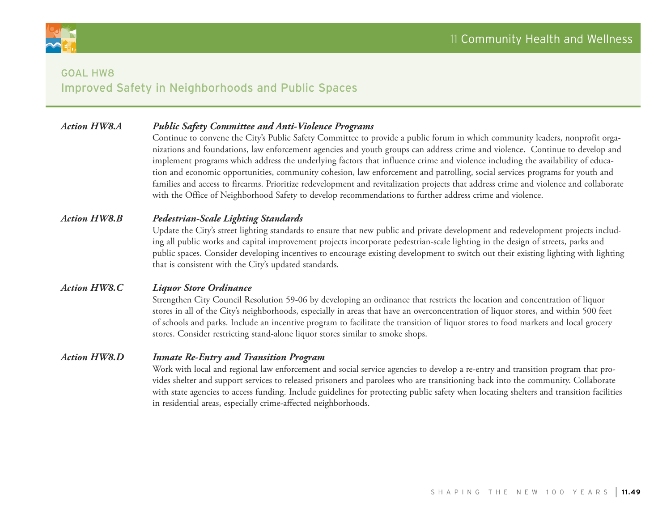

## Goal HW8 Improved Safety in Neighborhoods and Public Spaces

### *Action HW8.A Public Safety Committee and Anti-Violence Programs*

Continue to convene the City's Public Safety Committee to provide a public forum in which community leaders, nonprofit organizations and foundations, law enforcement agencies and youth groups can address crime and violence. Continue to develop and implement programs which address the underlying factors that influence crime and violence including the availability of education and economic opportunities, community cohesion, law enforcement and patrolling, social services programs for youth and families and access to firearms. Prioritize redevelopment and revitalization projects that address crime and violence and collaborate with the Office of Neighborhood Safety to develop recommendations to further address crime and violence.

#### *Action HW8.B Pedestrian-Scale Lighting Standards*

Update the City's street lighting standards to ensure that new public and private development and redevelopment projects including all public works and capital improvement projects incorporate pedestrian-scale lighting in the design of streets, parks and public spaces. Consider developing incentives to encourage existing development to switch out their existing lighting with lighting that is consistent with the City's updated standards.

#### *Action HW8.C Liquor Store Ordinance*

Strengthen City Council Resolution 59-06 by developing an ordinance that restricts the location and concentration of liquor stores in all of the City's neighborhoods, especially in areas that have an overconcentration of liquor stores, and within 500 feet of schools and parks. Include an incentive program to facilitate the transition of liquor stores to food markets and local grocery stores. Consider restricting stand-alone liquor stores similar to smoke shops.

#### *Action HW8.D Inmate Re-Entry and Transition Program*

Work with local and regional law enforcement and social service agencies to develop a re-entry and transition program that provides shelter and support services to released prisoners and parolees who are transitioning back into the community. Collaborate with state agencies to access funding. Include guidelines for protecting public safety when locating shelters and transition facilities in residential areas, especially crime-affected neighborhoods.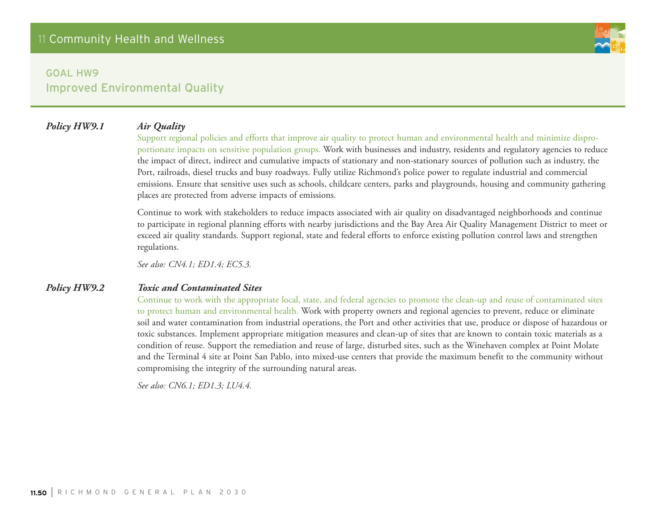#### *Policy HW9.1 Air Quality*

Support regional policies and efforts that improve air quality to protect human and environmental health and minimize disproportionate impacts on sensitive population groups. Work with businesses and industry, residents and regulatory agencies to reduce the impact of direct, indirect and cumulative impacts of stationary and non-stationary sources of pollution such as industry, the Port, railroads, diesel trucks and busy roadways. Fully utilize Richmond's police power to regulate industrial and commercial emissions. Ensure that sensitive uses such as schools, childcare centers, parks and playgrounds, housing and community gathering places are protected from adverse impacts of emissions.

Continue to work with stakeholders to reduce impacts associated with air quality on disadvantaged neighborhoods and continue to participate in regional planning efforts with nearby jurisdictions and the Bay Area Air Quality Management District to meet or exceed air quality standards. Support regional, state and federal efforts to enforce existing pollution control laws and strengthen regulations.

*See also: CN4.1; ED1.4; EC5.3.*

#### *Policy HW9.2 Toxic and Contaminated Sites*

Continue to work with the appropriate local, state, and federal agencies to promote the clean-up and reuse of contaminated sites to protect human and environmental health. Work with property owners and regional agencies to prevent, reduce or eliminate soil and water contamination from industrial operations, the Port and other activities that use, produce or dispose of hazardous or toxic substances. Implement appropriate mitigation measures and clean-up of sites that are known to contain toxic materials as a condition of reuse. Support the remediation and reuse of large, disturbed sites, such as the Winehaven complex at Point Molate and the Terminal 4 site at Point San Pablo, into mixed-use centers that provide the maximum benefit to the community without compromising the integrity of the surrounding natural areas.

*See also: CN6.1; ED1.3; LU4.4.*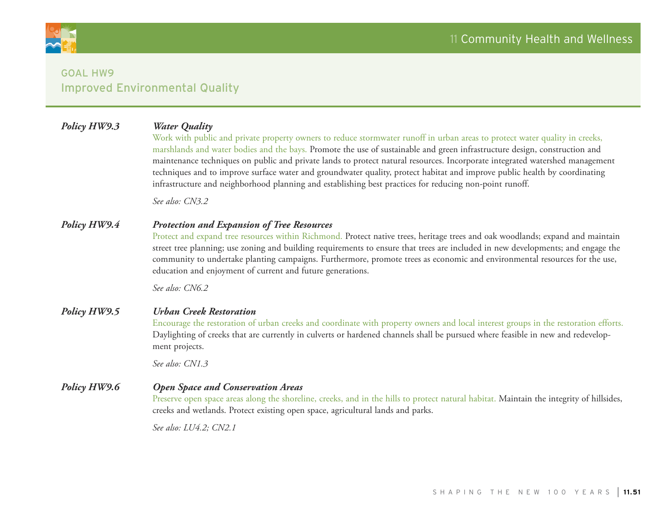

## *Policy HW9.3 Water Quality*

Work with public and private property owners to reduce stormwater runoff in urban areas to protect water quality in creeks, marshlands and water bodies and the bays. Promote the use of sustainable and green infrastructure design, construction and maintenance techniques on public and private lands to protect natural resources. Incorporate integrated watershed management techniques and to improve surface water and groundwater quality, protect habitat and improve public health by coordinating infrastructure and neighborhood planning and establishing best practices for reducing non-point runoff.

*See also: CN3.2*

#### *Policy HW9.4 Protection and Expansion of Tree Resources*

Protect and expand tree resources within Richmond. Protect native trees, heritage trees and oak woodlands; expand and maintain street tree planning; use zoning and building requirements to ensure that trees are included in new developments; and engage the community to undertake planting campaigns. Furthermore, promote trees as economic and environmental resources for the use, education and enjoyment of current and future generations.

*See also: CN6.2* 

#### *Policy HW9.5 Urban Creek Restoration*

Encourage the restoration of urban creeks and coordinate with property owners and local interest groups in the restoration efforts. Daylighting of creeks that are currently in culverts or hardened channels shall be pursued where feasible in new and redevelopment projects.

*See also: CN1.3*

#### *Policy HW9.6 Open Space and Conservation Areas*

Preserve open space areas along the shoreline, creeks, and in the hills to protect natural habitat. Maintain the integrity of hillsides, creeks and wetlands. Protect existing open space, agricultural lands and parks.

*See also: LU4.2; CN2.1*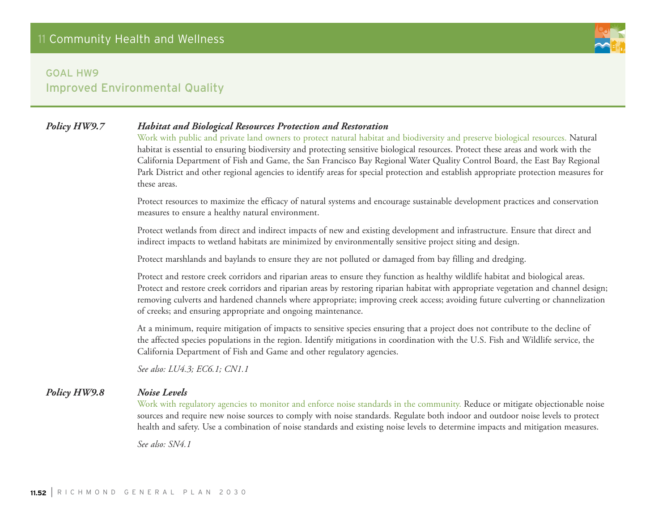

Work with public and private land owners to protect natural habitat and biodiversity and preserve biological resources. Natural habitat is essential to ensuring biodiversity and protecting sensitive biological resources. Protect these areas and work with the California Department of Fish and Game, the San Francisco Bay Regional Water Quality Control Board, the East Bay Regional Park District and other regional agencies to identify areas for special protection and establish appropriate protection measures for these areas.

Protect resources to maximize the efficacy of natural systems and encourage sustainable development practices and conservation measures to ensure a healthy natural environment.

Protect wetlands from direct and indirect impacts of new and existing development and infrastructure. Ensure that direct and indirect impacts to wetland habitats are minimized by environmentally sensitive project siting and design.

Protect marshlands and baylands to ensure they are not polluted or damaged from bay filling and dredging.

Protect and restore creek corridors and riparian areas to ensure they function as healthy wildlife habitat and biological areas. Protect and restore creek corridors and riparian areas by restoring riparian habitat with appropriate vegetation and channel design; removing culverts and hardened channels where appropriate; improving creek access; avoiding future culverting or channelization of creeks; and ensuring appropriate and ongoing maintenance.

At a minimum, require mitigation of impacts to sensitive species ensuring that a project does not contribute to the decline of the affected species populations in the region. Identify mitigations in coordination with the U.S. Fish and Wildlife service, the California Department of Fish and Game and other regulatory agencies.

*See also: LU4.3; EC6.1; CN1.1*

#### *Policy HW9.8 Noise Levels*

Work with regulatory agencies to monitor and enforce noise standards in the community. Reduce or mitigate objectionable noise sources and require new noise sources to comply with noise standards. Regulate both indoor and outdoor noise levels to protect health and safety. Use a combination of noise standards and existing noise levels to determine impacts and mitigation measures.

*See also: SN4.1*

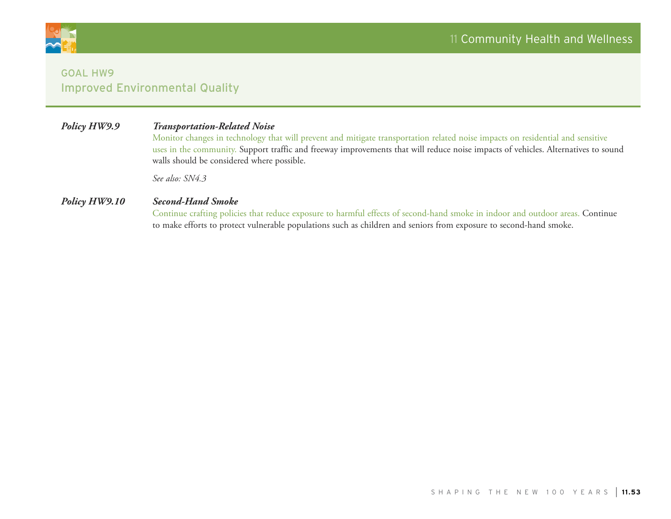

## *Policy HW9.9 Transportation-Related Noise*

Monitor changes in technology that will prevent and mitigate transportation related noise impacts on residential and sensitive uses in the community. Support traffic and freeway improvements that will reduce noise impacts of vehicles. Alternatives to sound walls should be considered where possible.

*See also: SN4.3*

## *Policy HW9.10 Second-Hand Smoke*

Continue crafting policies that reduce exposure to harmful effects of second-hand smoke in indoor and outdoor areas. Continue to make efforts to protect vulnerable populations such as children and seniors from exposure to second-hand smoke.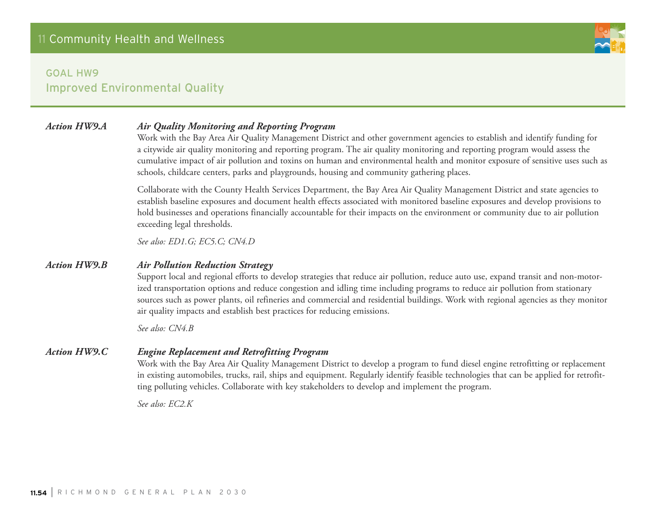### *Action HW9.A Air Quality Monitoring and Reporting Program*

Work with the Bay Area Air Quality Management District and other government agencies to establish and identify funding for a citywide air quality monitoring and reporting program. The air quality monitoring and reporting program would assess the cumulative impact of air pollution and toxins on human and environmental health and monitor exposure of sensitive uses such as schools, childcare centers, parks and playgrounds, housing and community gathering places.

Collaborate with the County Health Services Department, the Bay Area Air Quality Management District and state agencies to establish baseline exposures and document health effects associated with monitored baseline exposures and develop provisions to hold businesses and operations financially accountable for their impacts on the environment or community due to air pollution exceeding legal thresholds.

*See also: ED1.G; EC5.C; CN4.D*

#### *Action HW9.B Air Pollution Reduction Strategy*

Support local and regional efforts to develop strategies that reduce air pollution, reduce auto use, expand transit and non-motorized transportation options and reduce congestion and idling time including programs to reduce air pollution from stationary sources such as power plants, oil refineries and commercial and residential buildings. Work with regional agencies as they monitor air quality impacts and establish best practices for reducing emissions.

*See also: CN4.B*

#### *Action HW9.C Engine Replacement and Retrofitting Program*

Work with the Bay Area Air Quality Management District to develop a program to fund diesel engine retrofitting or replacement in existing automobiles, trucks, rail, ships and equipment. Regularly identify feasible technologies that can be applied for retrofitting polluting vehicles. Collaborate with key stakeholders to develop and implement the program.

*See also: EC2.K*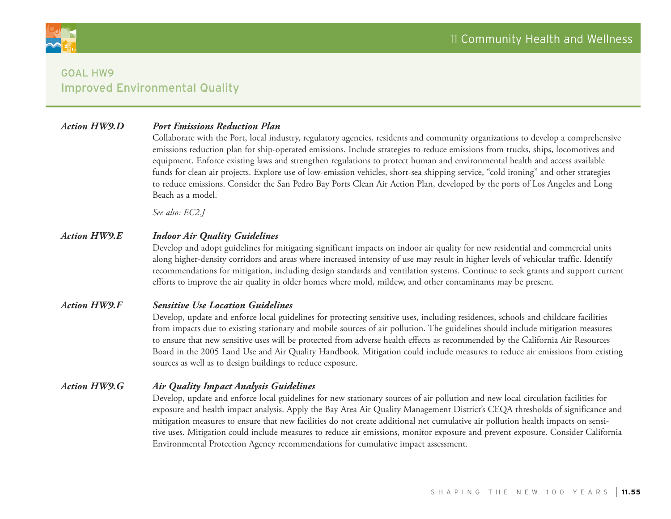

#### *Action HW9.D Port Emissions Reduction Plan*

Collaborate with the Port, local industry, regulatory agencies, residents and community organizations to develop a comprehensive emissions reduction plan for ship-operated emissions. Include strategies to reduce emissions from trucks, ships, locomotives and equipment. Enforce existing laws and strengthen regulations to protect human and environmental health and access available funds for clean air projects. Explore use of low-emission vehicles, short-sea shipping service, "cold ironing" and other strategies to reduce emissions. Consider the San Pedro Bay Ports Clean Air Action Plan, developed by the ports of Los Angeles and Long Beach as a model.

*See also: EC2.J*

#### *Action HW9.E Indoor Air Quality Guidelines*

Develop and adopt guidelines for mitigating significant impacts on indoor air quality for new residential and commercial units along higher-density corridors and areas where increased intensity of use may result in higher levels of vehicular traffic. Identify recommendations for mitigation, including design standards and ventilation systems. Continue to seek grants and support current efforts to improve the air quality in older homes where mold, mildew, and other contaminants may be present.

#### *Action HW9.F Sensitive Use Location Guidelines*

Develop, update and enforce local guidelines for protecting sensitive uses, including residences, schools and childcare facilities from impacts due to existing stationary and mobile sources of air pollution. The guidelines should include mitigation measures to ensure that new sensitive uses will be protected from adverse health effects as recommended by the California Air Resources Board in the 2005 Land Use and Air Quality Handbook. Mitigation could include measures to reduce air emissions from existing sources as well as to design buildings to reduce exposure.

#### *Action HW9.G Air Quality Impact Analysis Guidelines*

Develop, update and enforce local guidelines for new stationary sources of air pollution and new local circulation facilities for exposure and health impact analysis. Apply the Bay Area Air Quality Management District's CEQA thresholds of significance and mitigation measures to ensure that new facilities do not create additional net cumulative air pollution health impacts on sensitive uses. Mitigation could include measures to reduce air emissions, monitor exposure and prevent exposure. Consider California Environmental Protection Agency recommendations for cumulative impact assessment.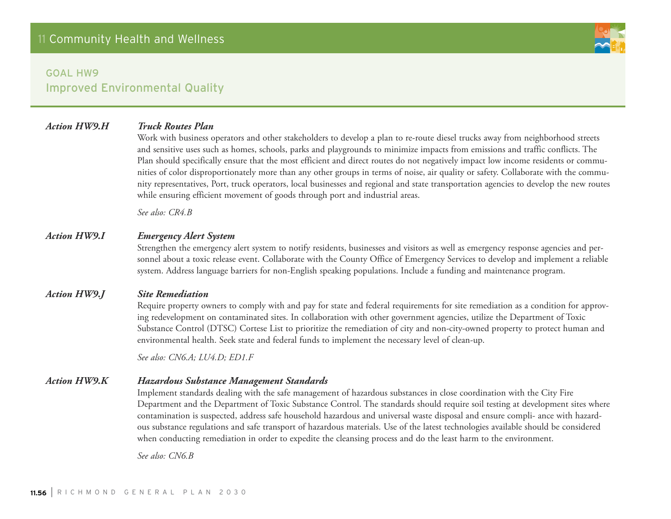#### *Action HW9.H Truck Routes Plan*

Work with business operators and other stakeholders to develop a plan to re-route diesel trucks away from neighborhood streets and sensitive uses such as homes, schools, parks and playgrounds to minimize impacts from emissions and traffic conflicts. The Plan should specifically ensure that the most efficient and direct routes do not negatively impact low income residents or communities of color disproportionately more than any other groups in terms of noise, air quality or safety. Collaborate with the community representatives, Port, truck operators, local businesses and regional and state transportation agencies to develop the new routes while ensuring efficient movement of goods through port and industrial areas.

*See also: CR4.B*

#### *Action HW9.I Emergency Alert System*

Strengthen the emergency alert system to notify residents, businesses and visitors as well as emergency response agencies and personnel about a toxic release event. Collaborate with the County Office of Emergency Services to develop and implement a reliable system. Address language barriers for non-English speaking populations. Include a funding and maintenance program.

#### *Action HW9.J Site Remediation*

Require property owners to comply with and pay for state and federal requirements for site remediation as a condition for approving redevelopment on contaminated sites. In collaboration with other government agencies, utilize the Department of Toxic Substance Control (DTSC) Cortese List to prioritize the remediation of city and non-city-owned property to protect human and environmental health. Seek state and federal funds to implement the necessary level of clean-up.

*See also: CN6.A; LU4.D; ED1.F*

#### *Action HW9.K Hazardous Substance Management Standards*

Implement standards dealing with the safe management of hazardous substances in close coordination with the City Fire Department and the Department of Toxic Substance Control. The standards should require soil testing at development sites where contamination is suspected, address safe household hazardous and universal waste disposal and ensure compli- ance with hazardous substance regulations and safe transport of hazardous materials. Use of the latest technologies available should be considered when conducting remediation in order to expedite the cleansing process and do the least harm to the environment.

*See also: CN6.B*

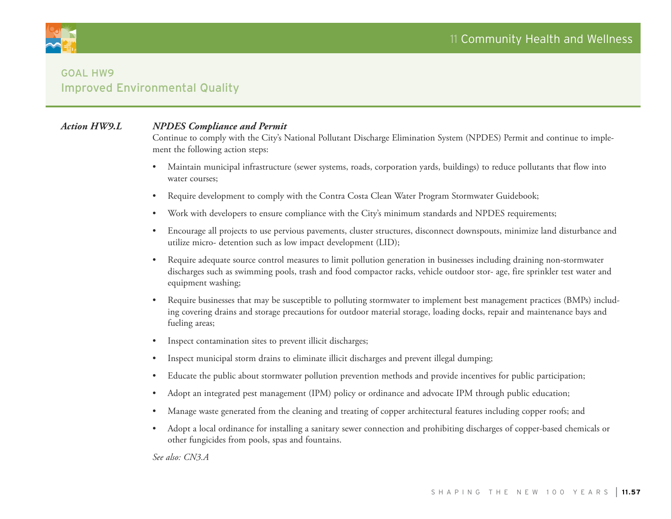

#### *Action HW9.L NPDES Compliance and Permit*

Continue to comply with the City's National Pollutant Discharge Elimination System (NPDES) Permit and continue to implement the following action steps:

- • Maintain municipal infrastructure (sewer systems, roads, corporation yards, buildings) to reduce pollutants that flow into water courses;
- Require development to comply with the Contra Costa Clean Water Program Stormwater Guidebook;
- • Work with developers to ensure compliance with the City's minimum standards and NPDES requirements;
- Encourage all projects to use pervious pavements, cluster structures, disconnect downspouts, minimize land disturbance and utilize micro- detention such as low impact development (LID);
- • Require adequate source control measures to limit pollution generation in businesses including draining non-stormwater discharges such as swimming pools, trash and food compactor racks, vehicle outdoor stor- age, fire sprinkler test water and equipment washing;
- Require businesses that may be susceptible to polluting stormwater to implement best management practices (BMPs) including covering drains and storage precautions for outdoor material storage, loading docks, repair and maintenance bays and fueling areas;
- Inspect contamination sites to prevent illicit discharges;
- Inspect municipal storm drains to eliminate illicit discharges and prevent illegal dumping;
- Educate the public about stormwater pollution prevention methods and provide incentives for public participation;
- • Adopt an integrated pest management (IPM) policy or ordinance and advocate IPM through public education;
- Manage waste generated from the cleaning and treating of copper architectural features including copper roofs; and
- Adopt a local ordinance for installing a sanitary sewer connection and prohibiting discharges of copper-based chemicals or other fungicides from pools, spas and fountains.

*See also: CN3.A*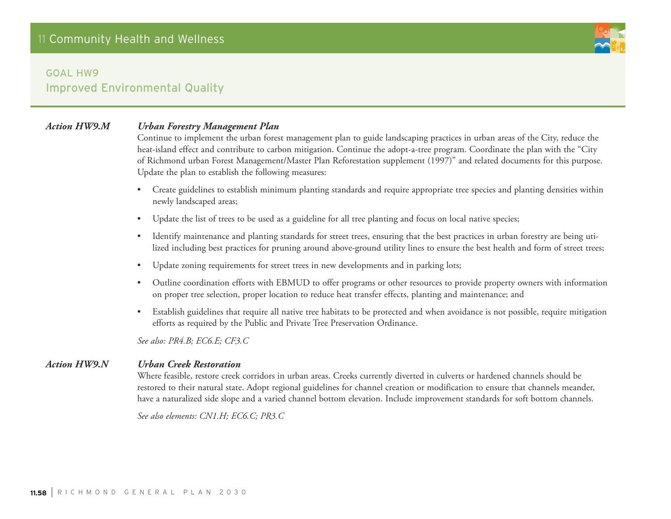

### *Action HW9.M Urban Forestry Management Plan*

Continue to implement the urban forest management plan to guide landscaping practices in urban areas of the City, reduce the heat-island effect and contribute to carbon mitigation. Continue the adopt-a-tree program. Coordinate the plan with the "City of Richmond urban Forest Management/Master Plan Reforestation supplement (1997)" and related documents for this purpose. Update the plan to establish the following measures:

- • Create guidelines to establish minimum planting standards and require appropriate tree species and planting densities within newly landscaped areas;
- Update the list of trees to be used as a guideline for all tree planting and focus on local native species;
- Identify maintenance and planting standards for street trees, ensuring that the best practices in urban forestry are being utilized including best practices for pruning around above-ground utility lines to ensure the best health and form of street trees;
- • Update zoning requirements for street trees in new developments and in parking lots;
- • Outline coordination efforts with EBMUD to offer programs or other resources to provide property owners with information on proper tree selection, proper location to reduce heat transfer effects, planting and maintenance; and
- Establish guidelines that require all native tree habitats to be protected and when avoidance is not possible, require mitigation efforts as required by the Public and Private Tree Preservation Ordinance.

*See also: PR4.B; EC6.E; CF3.C*

#### *Action HW9.N Urban Creek Restoration*

Where feasible, restore creek corridors in urban areas. Creeks currently diverted in culverts or hardened channels should be restored to their natural state. Adopt regional guidelines for channel creation or modification to ensure that channels meander, have a naturalized side slope and a varied channel bottom elevation. Include improvement standards for soft bottom channels.

*See also elements: CN1.H; EC6.C; PR3.C*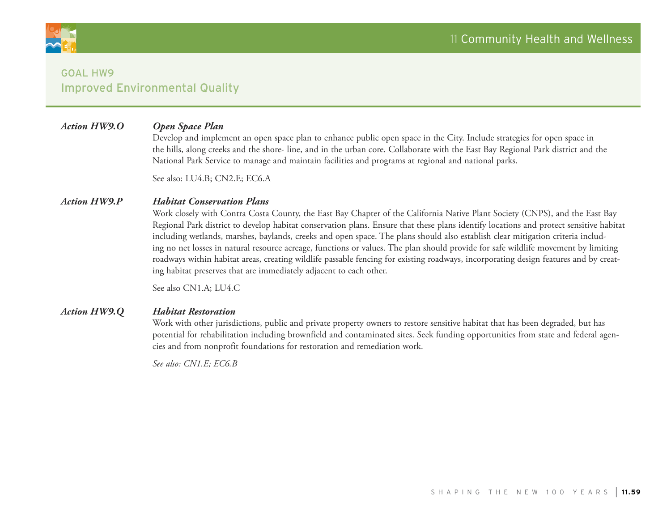

### *Action HW9.O Open Space Plan*

Develop and implement an open space plan to enhance public open space in the City. Include strategies for open space in the hills, along creeks and the shore- line, and in the urban core. Collaborate with the East Bay Regional Park district and the National Park Service to manage and maintain facilities and programs at regional and national parks.

See also: LU4.B; CN2.E; EC6.A

#### *Action HW9.P Habitat Conservation Plans*

Work closely with Contra Costa County, the East Bay Chapter of the California Native Plant Society (CNPS), and the East Bay Regional Park district to develop habitat conservation plans. Ensure that these plans identify locations and protect sensitive habitat including wetlands, marshes, baylands, creeks and open space. The plans should also establish clear mitigation criteria including no net losses in natural resource acreage, functions or values. The plan should provide for safe wildlife movement by limiting roadways within habitat areas, creating wildlife passable fencing for existing roadways, incorporating design features and by creating habitat preserves that are immediately adjacent to each other.

See also CN1.A; LU4.C

#### *Action HW9.Q Habitat Restoration*

Work with other jurisdictions, public and private property owners to restore sensitive habitat that has been degraded, but has potential for rehabilitation including brownfield and contaminated sites. Seek funding opportunities from state and federal agencies and from nonprofit foundations for restoration and remediation work.

*See also: CN1.E; EC6.B*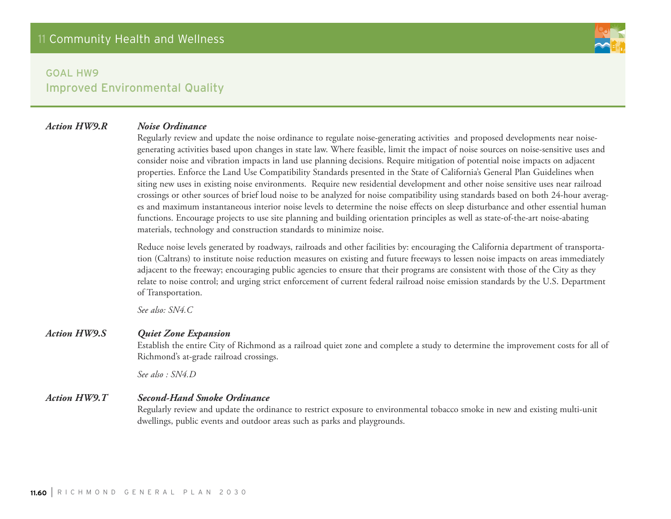#### *Action HW9.R Noise Ordinance*

Regularly review and update the noise ordinance to regulate noise-generating activities and proposed developments near noisegenerating activities based upon changes in state law. Where feasible, limit the impact of noise sources on noise-sensitive uses and consider noise and vibration impacts in land use planning decisions. Require mitigation of potential noise impacts on adjacent properties. Enforce the Land Use Compatibility Standards presented in the State of California's General Plan Guidelines when siting new uses in existing noise environments. Require new residential development and other noise sensitive uses near railroad crossings or other sources of brief loud noise to be analyzed for noise compatibility using standards based on both 24-hour averages and maximum instantaneous interior noise levels to determine the noise effects on sleep disturbance and other essential human functions. Encourage projects to use site planning and building orientation principles as well as state-of-the-art noise-abating materials, technology and construction standards to minimize noise.

Reduce noise levels generated by roadways, railroads and other facilities by: encouraging the California department of transportation (Caltrans) to institute noise reduction measures on existing and future freeways to lessen noise impacts on areas immediately adjacent to the freeway; encouraging public agencies to ensure that their programs are consistent with those of the City as they relate to noise control; and urging strict enforcement of current federal railroad noise emission standards by the U.S. Department of Transportation.

*See also: SN4.C*

#### *Action HW9.S Quiet Zone Expansion*

Establish the entire City of Richmond as a railroad quiet zone and complete a study to determine the improvement costs for all of Richmond's at-grade railroad crossings.

*See also : SN4.D*

#### *Action HW9.T Second-Hand Smoke Ordinance*

Regularly review and update the ordinance to restrict exposure to environmental tobacco smoke in new and existing multi-unit dwellings, public events and outdoor areas such as parks and playgrounds.

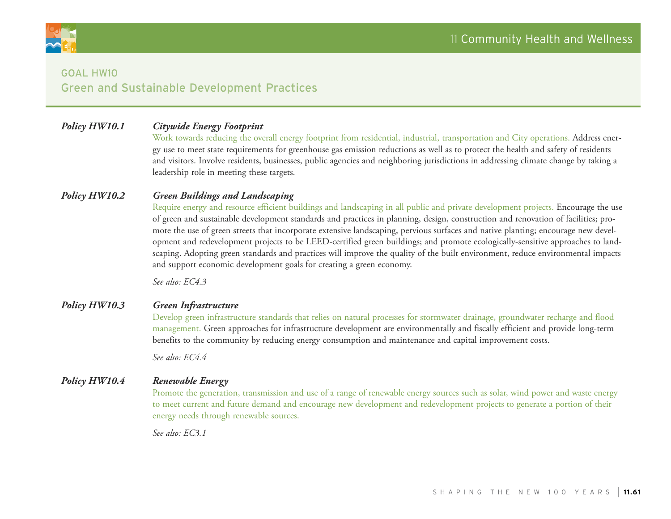

## Goal HW10 Green and Sustainable Development Practices

## *Policy HW10.1 Citywide Energy Footprint*

Work towards reducing the overall energy footprint from residential, industrial, transportation and City operations. Address energy use to meet state requirements for greenhouse gas emission reductions as well as to protect the health and safety of residents and visitors. Involve residents, businesses, public agencies and neighboring jurisdictions in addressing climate change by taking a leadership role in meeting these targets.

#### *Policy HW10.2 Green Buildings and Landscaping*

Require energy and resource efficient buildings and landscaping in all public and private development projects. Encourage the use of green and sustainable development standards and practices in planning, design, construction and renovation of facilities; promote the use of green streets that incorporate extensive landscaping, pervious surfaces and native planting; encourage new development and redevelopment projects to be LEED-certified green buildings; and promote ecologically-sensitive approaches to landscaping. Adopting green standards and practices will improve the quality of the built environment, reduce environmental impacts and support economic development goals for creating a green economy.

*See also: EC4.3*

#### *Policy HW10.3 Green Infrastructure*

Develop green infrastructure standards that relies on natural processes for stormwater drainage, groundwater recharge and flood management. Green approaches for infrastructure development are environmentally and fiscally efficient and provide long-term benefits to the community by reducing energy consumption and maintenance and capital improvement costs.

*See also: EC4.4*

#### *Policy HW10.4 Renewable Energy*

Promote the generation, transmission and use of a range of renewable energy sources such as solar, wind power and waste energy to meet current and future demand and encourage new development and redevelopment projects to generate a portion of their energy needs through renewable sources.

*See also: EC3.1*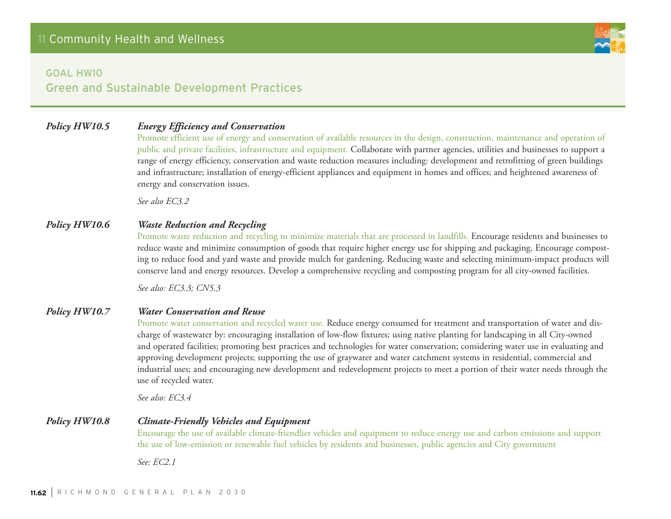

#### Goal HW10

Green and Sustainable Development Practices

## *Policy HW10.5 Energy Efficiency and Conservation*

Promote efficient use of energy and conservation of available resources in the design, construction, maintenance and operation of public and private facilities, infrastructure and equipment. Collaborate with partner agencies, utilities and businesses to support a range of energy efficiency, conservation and waste reduction measures including: development and retrofitting of green buildings and infrastructure; installation of energy-efficient appliances and equipment in homes and offices; and heightened awareness of energy and conservation issues.

*See also EC3.2*

### *Policy HW10.6 Waste Reduction and Recycling*

Promote waste reduction and recycling to minimize materials that are processed in landfills. Encourage residents and businesses to reduce waste and minimize consumption of goods that require higher energy use for shipping and packaging. Encourage composting to reduce food and yard waste and provide mulch for gardening. Reducing waste and selecting minimum-impact products will conserve land and energy resources. Develop a comprehensive recycling and composting program for all city-owned facilities.

*See also: EC3.3; CN5.3*

#### *Policy HW10.7 Water Conservation and Reuse*

Promote water conservation and recycled water use. Reduce energy consumed for treatment and transportation of water and discharge of wastewater by: encouraging installation of low-flow fixtures; using native planting for landscaping in all City-owned and operated facilities; promoting best practices and technologies for water conservation; considering water use in evaluating and approving development projects; supporting the use of graywater and water catchment systems in residential, commercial and industrial uses; and encouraging new development and redevelopment projects to meet a portion of their water needs through the use of recycled water.

*See also: EC3.4*

#### *Policy HW10.8 Climate-Friendly Vehicles and Equipment*

Encourage the use of available climate-friendlier vehicles and equipment to reduce energy use and carbon emissions and support the use of low-emission or renewable fuel vehicles by residents and businesses, public agencies and City government

*See: EC2.1*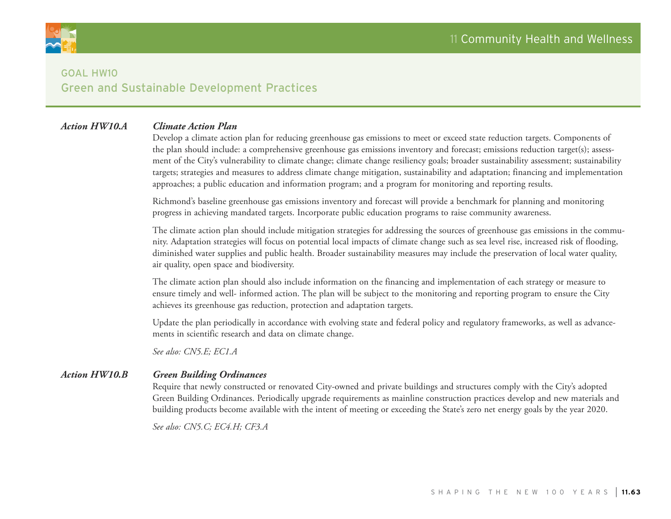

## Goal HW10 Green and Sustainable Development Practices

#### *Action HW10.A Climate Action Plan*

Develop a climate action plan for reducing greenhouse gas emissions to meet or exceed state reduction targets. Components of the plan should include: a comprehensive greenhouse gas emissions inventory and forecast; emissions reduction target(s); assessment of the City's vulnerability to climate change; climate change resiliency goals; broader sustainability assessment; sustainability targets; strategies and measures to address climate change mitigation, sustainability and adaptation; financing and implementation approaches; a public education and information program; and a program for monitoring and reporting results.

Richmond's baseline greenhouse gas emissions inventory and forecast will provide a benchmark for planning and monitoring progress in achieving mandated targets. Incorporate public education programs to raise community awareness.

The climate action plan should include mitigation strategies for addressing the sources of greenhouse gas emissions in the community. Adaptation strategies will focus on potential local impacts of climate change such as sea level rise, increased risk of flooding, diminished water supplies and public health. Broader sustainability measures may include the preservation of local water quality, air quality, open space and biodiversity.

The climate action plan should also include information on the financing and implementation of each strategy or measure to ensure timely and well- informed action. The plan will be subject to the monitoring and reporting program to ensure the City achieves its greenhouse gas reduction, protection and adaptation targets.

Update the plan periodically in accordance with evolving state and federal policy and regulatory frameworks, as well as advancements in scientific research and data on climate change.

*See also: CN5.E; EC1.A*

#### *Action HW10.B Green Building Ordinances*

Require that newly constructed or renovated City-owned and private buildings and structures comply with the City's adopted Green Building Ordinances. Periodically upgrade requirements as mainline construction practices develop and new materials and building products become available with the intent of meeting or exceeding the State's zero net energy goals by the year 2020.

*See also: CN5.C; EC4.H; CF3.A*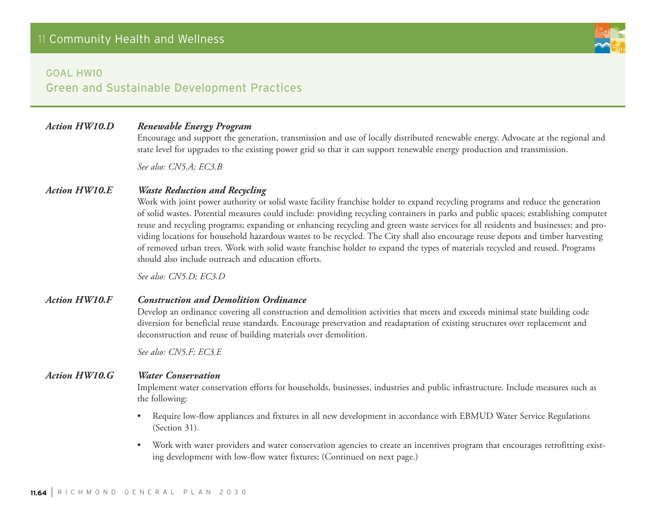

#### Goal HW10

## Green and Sustainable Development Practices

#### *Action HW10.D Renewable Energy Program*

Encourage and support the generation, transmission and use of locally distributed renewable energy. Advocate at the regional and state level for upgrades to the existing power grid so that it can support renewable energy production and transmission.

*See also: CN5.A; EC3.B*

#### *Action HW10.E Waste Reduction and Recycling*

Work with joint power authority or solid waste facility franchise holder to expand recycling programs and reduce the generation of solid wastes. Potential measures could include: providing recycling containers in parks and public spaces; establishing computer reuse and recycling programs; expanding or enhancing recycling and green waste services for all residents and businesses; and providing locations for household hazardous wastes to be recycled. The City shall also encourage reuse depots and timber harvesting of removed urban trees. Work with solid waste franchise holder to expand the types of materials recycled and reused. Programs should also include outreach and education efforts.

*See also: CN5.D; EC3.D*

#### *Action HW10.F Construction and Demolition Ordinance*

Develop an ordinance covering all construction and demolition activities that meets and exceeds minimal state building code diversion for beneficial reuse standards. Encourage preservation and readaptation of existing structures over replacement and deconstruction and reuse of building materials over demolition.

*See also: CN5.F; EC3.E*

#### *Action HW10.G Water Conservation*

Implement water conservation efforts for households, businesses, industries and public infrastructure. Include measures such as the following:

- Require low-flow appliances and fixtures in all new development in accordance with EBMUD Water Service Regulations (Section 31).
- • Work with water providers and water conservation agencies to create an incentives program that encourages retrofitting existing development with low-flow water fixtures; (Continued on next page.)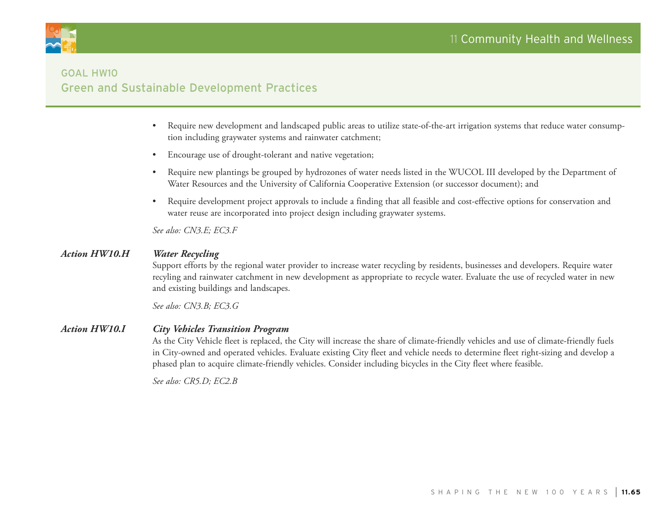

## Goal HW10 Green and Sustainable Development Practices

- Require new development and landscaped public areas to utilize state-of-the-art irrigation systems that reduce water consumption including graywater systems and rainwater catchment;
- Encourage use of drought-tolerant and native vegetation;
- • Require new plantings be grouped by hydrozones of water needs listed in the WUCOL III developed by the Department of Water Resources and the University of California Cooperative Extension (or successor document); and
- • Require development project approvals to include a finding that all feasible and cost-effective options for conservation and water reuse are incorporated into project design including graywater systems.

*See also: CN3.E; EC3.F*

#### *Action HW10.H Water Recycling*

Support efforts by the regional water provider to increase water recycling by residents, businesses and developers. Require water recyling and rainwater catchment in new development as appropriate to recycle water. Evaluate the use of recycled water in new and existing buildings and landscapes.

*See also: CN3.B; EC3.G*

#### *Action HW10.I City Vehicles Transition Program*

As the City Vehicle fleet is replaced, the City will increase the share of climate-friendly vehicles and use of climate-friendly fuels in City-owned and operated vehicles. Evaluate existing City fleet and vehicle needs to determine fleet right-sizing and develop a phased plan to acquire climate-friendly vehicles. Consider including bicycles in the City fleet where feasible.

*See also: CR5.D; EC2.B*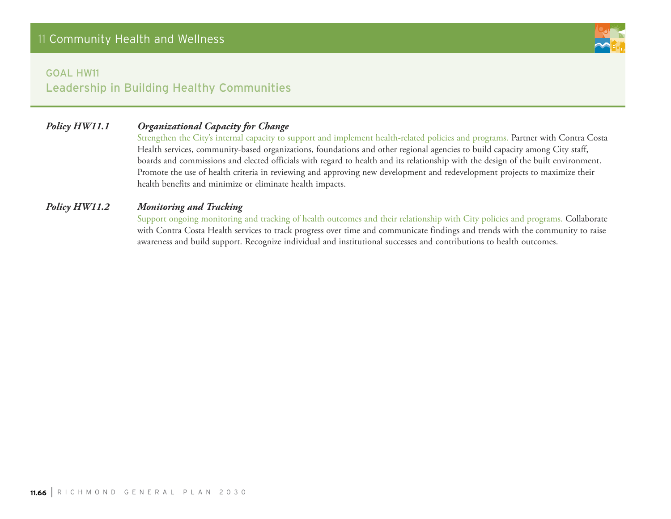

## Goal HW11 Leadership in Building Healthy Communities

## *Policy HW11.1 Organizational Capacity for Change*

Strengthen the City's internal capacity to support and implement health-related policies and programs. Partner with Contra Costa Health services, community-based organizations, foundations and other regional agencies to build capacity among City staff, boards and commissions and elected officials with regard to health and its relationship with the design of the built environment. Promote the use of health criteria in reviewing and approving new development and redevelopment projects to maximize their health benefits and minimize or eliminate health impacts.

#### *Policy HW11.2 Monitoring and Tracking*

Support ongoing monitoring and tracking of health outcomes and their relationship with City policies and programs. Collaborate with Contra Costa Health services to track progress over time and communicate findings and trends with the community to raise awareness and build support. Recognize individual and institutional successes and contributions to health outcomes.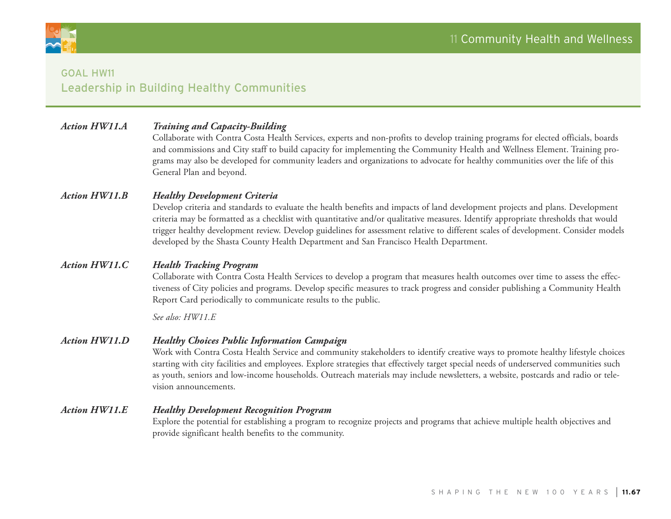

## Goal HW11 Leadership in Building Healthy Communities

#### *Action HW11.A Training and Capacity-Building*

Collaborate with Contra Costa Health Services, experts and non-profits to develop training programs for elected officials, boards and commissions and City staff to build capacity for implementing the Community Health and Wellness Element. Training programs may also be developed for community leaders and organizations to advocate for healthy communities over the life of this General Plan and beyond.

#### *Action HW11.B Healthy Development Criteria*

Develop criteria and standards to evaluate the health benefits and impacts of land development projects and plans. Development criteria may be formatted as a checklist with quantitative and/or qualitative measures. Identify appropriate thresholds that would trigger healthy development review. Develop guidelines for assessment relative to different scales of development. Consider models developed by the Shasta County Health Department and San Francisco Health Department.

#### *Action HW11.C Health Tracking Program*

Collaborate with Contra Costa Health Services to develop a program that measures health outcomes over time to assess the effectiveness of City policies and programs. Develop specific measures to track progress and consider publishing a Community Health Report Card periodically to communicate results to the public.

*See also: HW11.E*

#### *Action HW11.D Healthy Choices Public Information Campaign*

Work with Contra Costa Health Service and community stakeholders to identify creative ways to promote healthy lifestyle choices starting with city facilities and employees. Explore strategies that effectively target special needs of underserved communities such as youth, seniors and low-income households. Outreach materials may include newsletters, a website, postcards and radio or television announcements.

#### *Action HW11.E Healthy Development Recognition Program*

Explore the potential for establishing a program to recognize projects and programs that achieve multiple health objectives and provide significant health benefits to the community.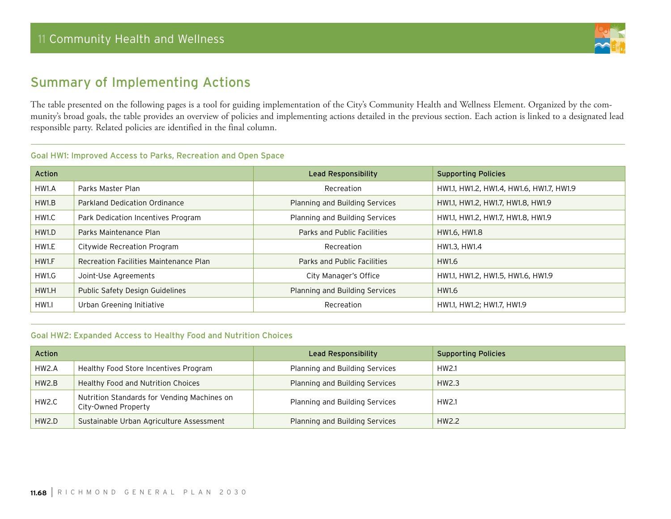

# Summary of Implementing Actions

The table presented on the following pages is a tool for guiding implementation of the City's Community Health and Wellness Element. Organized by the community's broad goals, the table provides an overview of policies and implementing actions detailed in the previous section. Each action is linked to a designated lead responsible party. Related policies are identified in the final column.

#### Goal HW1: Improved Access to Parks, Recreation and Open Space

| <b>Action</b> |                                        | Lead Responsibility            | <b>Supporting Policies</b>               |
|---------------|----------------------------------------|--------------------------------|------------------------------------------|
| HW1.A         | Parks Master Plan                      | Recreation                     | HW1.1, HW1.2, HW1.4, HW1.6, HW1.7, HW1.9 |
| HW1.B         | Parkland Dedication Ordinance          | Planning and Building Services | HW1.1, HW1.2, HW1.7, HW1.8, HW1.9        |
| HW1.C         | Park Dedication Incentives Program     | Planning and Building Services | HW1.1, HW1.2, HW1.7, HW1.8, HW1.9        |
| HW1.D         | Parks Maintenance Plan                 | Parks and Public Facilities    | HW1.6, HW1.8                             |
| HW1.E         | Citywide Recreation Program            | Recreation                     | HW1.3, HW1.4                             |
| HW1.F         | Recreation Facilities Maintenance Plan | Parks and Public Facilities    | HW1.6                                    |
| HW1.G         | Joint-Use Agreements                   | City Manager's Office          | HW1.1, HW1.2, HW1.5, HW1.6, HW1.9        |
| HW1.H         | Public Safety Design Guidelines        | Planning and Building Services | HW1.6                                    |
| HW1.1         | Urban Greening Initiative              | Recreation                     | HW1.1, HW1.2; HW1.7, HW1.9               |

#### Goal HW2: Expanded Access to Healthy Food and Nutrition Choices

| <b>Action</b> |                                                                    | Lead Responsibility            | <b>Supporting Policies</b> |
|---------------|--------------------------------------------------------------------|--------------------------------|----------------------------|
| HW2.A         | Healthy Food Store Incentives Program                              | Planning and Building Services | HW2.1                      |
| HW2.B         | Healthy Food and Nutrition Choices                                 | Planning and Building Services | HW2.3                      |
| HW2.C         | Nutrition Standards for Vending Machines on<br>City-Owned Property | Planning and Building Services | HW2.1                      |
| HW2.D         | Sustainable Urban Agriculture Assessment                           | Planning and Building Services | HW2.2                      |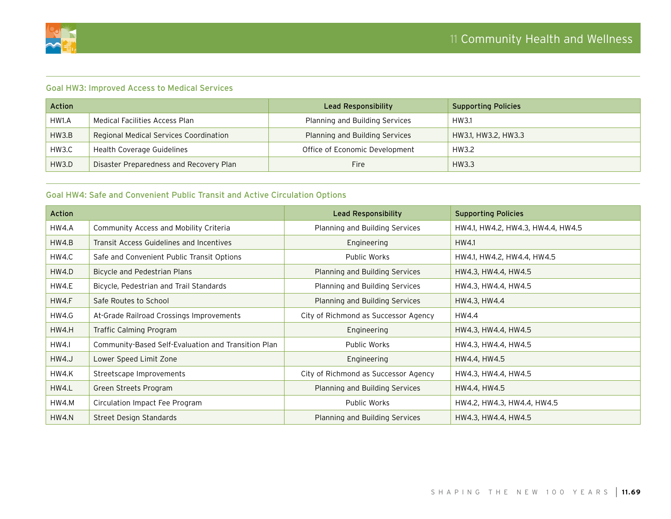

#### Goal HW3: Improved Access to Medical Services

| <b>Action</b> |                                         | Lead Responsibility            | <b>Supporting Policies</b> |
|---------------|-----------------------------------------|--------------------------------|----------------------------|
| HW1.A         | Medical Facilities Access Plan          | Planning and Building Services | HW3.1                      |
| HW3.B         | Regional Medical Services Coordination  | Planning and Building Services | HW3.1, HW3.2, HW3.3        |
| HW3.C         | Health Coverage Guidelines              | Office of Economic Development | HW3.2                      |
| HW3.D         | Disaster Preparedness and Recovery Plan | Fire.                          | HW3.3                      |

#### Goal HW4: Safe and Convenient Public Transit and Active Circulation Options

| <b>Action</b> |                                                     | <b>Lead Responsibility</b>           | <b>Supporting Policies</b>        |
|---------------|-----------------------------------------------------|--------------------------------------|-----------------------------------|
| HW4.A         | Community Access and Mobility Criteria              | Planning and Building Services       | HW4.1, HW4.2, HW4.3, HW4.4, HW4.5 |
| HW4.B         | Transit Access Guidelines and Incentives            | Engineering                          | HW4.1                             |
| HW4.C         | Safe and Convenient Public Transit Options          | Public Works                         | HW4.1, HW4.2, HW4.4, HW4.5        |
| HW4.D         | Bicycle and Pedestrian Plans                        | Planning and Building Services       | HW4.3, HW4.4, HW4.5               |
| HW4.E         | Bicycle, Pedestrian and Trail Standards             | Planning and Building Services       | HW4.3, HW4.4, HW4.5               |
| HW4.F         | Safe Routes to School                               | Planning and Building Services       | HW4.3, HW4.4                      |
| HW4.G         | At-Grade Railroad Crossings Improvements            | City of Richmond as Successor Agency | HW4.4                             |
| HW4.H         | Traffic Calming Program                             | Engineering                          | HW4.3, HW4.4, HW4.5               |
| HW4.I         | Community-Based Self-Evaluation and Transition Plan | Public Works                         | HW4.3, HW4.4, HW4.5               |
| HW4.J         | Lower Speed Limit Zone                              | Engineering                          | HW4.4, HW4.5                      |
| HW4.K         | Streetscape Improvements                            | City of Richmond as Successor Agency | HW4.3, HW4.4, HW4.5               |
| HW4.L         | Green Streets Program                               | Planning and Building Services       | HW4.4, HW4.5                      |
| HW4.M         | Circulation Impact Fee Program                      | Public Works                         | HW4.2, HW4.3, HW4.4, HW4.5        |
| HW4.N         | Street Design Standards                             | Planning and Building Services       | HW4.3, HW4.4, HW4.5               |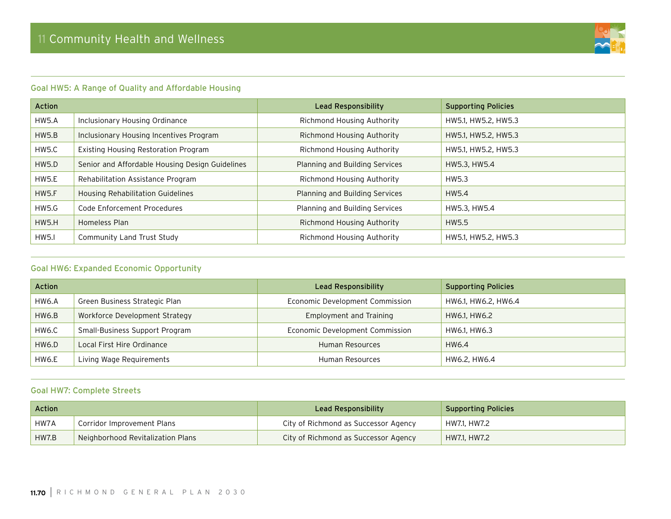

### Goal HW5: A Range of Quality and Affordable Housing

| Action       |                                                 | <b>Lead Responsibility</b>     | <b>Supporting Policies</b> |
|--------------|-------------------------------------------------|--------------------------------|----------------------------|
| HW5.A        | Inclusionary Housing Ordinance                  | Richmond Housing Authority     | HW5.1, HW5.2, HW5.3        |
| HW5.B        | Inclusionary Housing Incentives Program         | Richmond Housing Authority     | HW5.1, HW5.2, HW5.3        |
| HW5.C        | Existing Housing Restoration Program            | Richmond Housing Authority     | HW5.1, HW5.2, HW5.3        |
| HW5.D        | Senior and Affordable Housing Design Guidelines | Planning and Building Services | HW5.3, HW5.4               |
| HW5.E        | Rehabilitation Assistance Program               | Richmond Housing Authority     | HW5.3                      |
| <b>HW5.F</b> | Housing Rehabilitation Guidelines               | Planning and Building Services | HW5.4                      |
| HW5.G        | Code Enforcement Procedures                     | Planning and Building Services | HW5.3, HW5.4               |
| <b>HW5.H</b> | Homeless Plan                                   | Richmond Housing Authority     | HW5.5                      |
| <b>HW5.I</b> | Community Land Trust Study                      | Richmond Housing Authority     | HW5.1, HW5.2, HW5.3        |

#### Goal HW6: Expanded Economic Opportunity

| <b>Action</b> |                                | Lead Responsibility             | <b>Supporting Policies</b> |
|---------------|--------------------------------|---------------------------------|----------------------------|
| HW6.A         | Green Business Strategic Plan  | Economic Development Commission | HW6.1, HW6.2, HW6.4        |
| HW6.B         | Workforce Development Strategy | Employment and Training         | HW6.1, HW6.2               |
| HW6.C         | Small-Business Support Program | Economic Development Commission | HW6.1, HW6.3               |
| HW6.D         | Local First Hire Ordinance     | Human Resources                 | HW6.4                      |
| HW6.E         | Living Wage Requirements       | <b>Human Resources</b>          | HW6.2, HW6.4               |

#### Goal HW7: Complete Streets

| Action |                                   | Lead Responsibility                  | <b>Supporting Policies</b> |
|--------|-----------------------------------|--------------------------------------|----------------------------|
| ' HW7A | Corridor Improvement Plans        | City of Richmond as Successor Agency | HW7.1, HW7.2               |
| HW7.B  | Neighborhood Revitalization Plans | City of Richmond as Successor Agency | HW7.1, HW7.2               |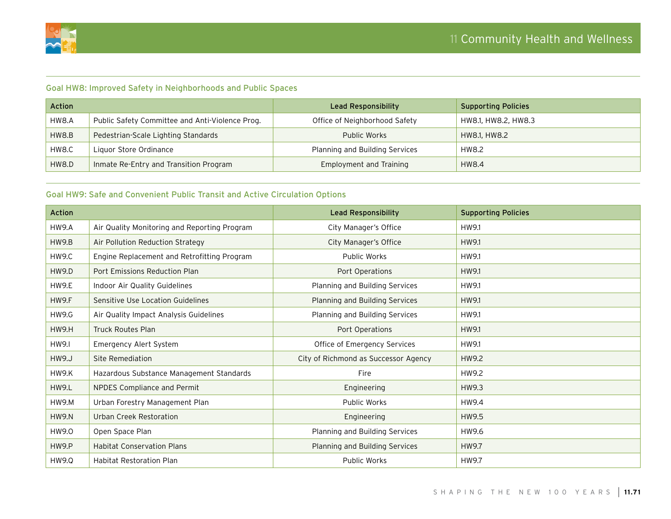

#### Goal HW8: Improved Safety in Neighborhoods and Public Spaces

| <b>Action</b> |                                                 | Lead Responsibility            | <b>Supporting Policies</b> |
|---------------|-------------------------------------------------|--------------------------------|----------------------------|
| HW8.A         | Public Safety Committee and Anti-Violence Prog. | Office of Neighborhood Safety  | HW8.1, HW8.2, HW8.3        |
| HW8.B         | Pedestrian-Scale Lighting Standards             | Public Works                   | HW8.1, HW8.2               |
| HW8.C         | Liguor Store Ordinance                          | Planning and Building Services | HW8.2                      |
| HW8.D         | Inmate Re-Entry and Transition Program          | Employment and Training        | HW8.4                      |

### Goal HW9: Safe and Convenient Public Transit and Active Circulation Options

| <b>Action</b> |                                              | <b>Lead Responsibility</b>           | <b>Supporting Policies</b> |
|---------------|----------------------------------------------|--------------------------------------|----------------------------|
| <b>HW9.A</b>  | Air Quality Monitoring and Reporting Program | City Manager's Office                | HW9.1                      |
| HW9.B         | Air Pollution Reduction Strategy             | City Manager's Office                | HW9.1                      |
| HW9.C         | Engine Replacement and Retrofitting Program  | Public Works                         | HW9.1                      |
| <b>HW9.D</b>  | Port Emissions Reduction Plan                | Port Operations                      | HW9.1                      |
| <b>HW9.E</b>  | Indoor Air Quality Guidelines                | Planning and Building Services       | HW9.1                      |
| HW9.F         | Sensitive Use Location Guidelines            | Planning and Building Services       | HW9.1                      |
| <b>HW9.G</b>  | Air Quality Impact Analysis Guidelines       | Planning and Building Services       | HW9.1                      |
| <b>HW9.H</b>  | <b>Truck Routes Plan</b>                     | Port Operations                      | HW9.1                      |
| <b>HW9.I</b>  | Emergency Alert System                       | Office of Emergency Services         | HW9.1                      |
| <b>HW9.J</b>  | Site Remediation                             | City of Richmond as Successor Agency | HW9.2                      |
| <b>HW9.K</b>  | Hazardous Substance Management Standards     | Fire                                 | HW9.2                      |
| <b>HW9.L</b>  | NPDES Compliance and Permit                  | Engineering                          | HW9.3                      |
| HW9.M         | Urban Forestry Management Plan               | <b>Public Works</b>                  | HW9.4                      |
| <b>HW9.N</b>  | Urban Creek Restoration                      | Engineering                          | HW9.5                      |
| HW9.0         | Open Space Plan                              | Planning and Building Services       | HW9.6                      |
| HW9.P         | <b>Habitat Conservation Plans</b>            | Planning and Building Services       | HW9.7                      |
| <b>HW9.Q</b>  | <b>Habitat Restoration Plan</b>              | Public Works                         | HW9.7                      |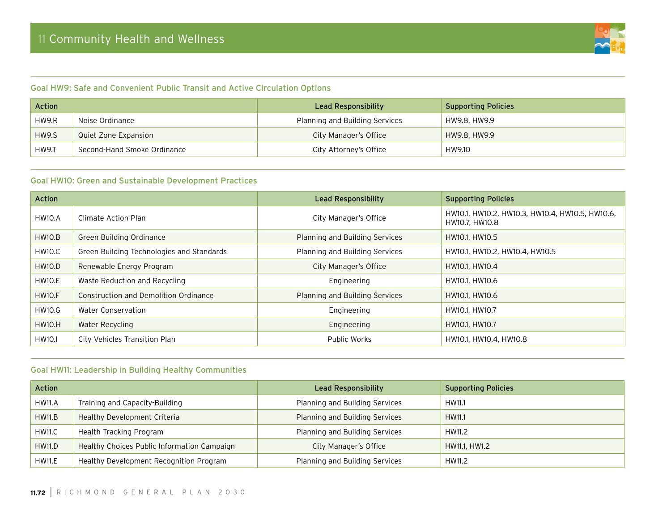

#### Goal HW9: Safe and Convenient Public Transit and Active Circulation Options

| <b>Action</b> |                             | Lead Responsibility            | <b>Supporting Policies</b> |
|---------------|-----------------------------|--------------------------------|----------------------------|
| <b>HW9.R</b>  | Noise Ordinance             | Planning and Building Services | HW9.8, HW9.9               |
| HW9.S         | Quiet Zone Expansion        | City Manager's Office          | HW9.8, HW9.9               |
| HW9.T         | Second-Hand Smoke Ordinance | City Attorney's Office         | HW9.10                     |

## Goal HW10: Green and Sustainable Development Practices

| Action              |                                           | <b>Lead Responsibility</b>            | <b>Supporting Policies</b>                                        |
|---------------------|-------------------------------------------|---------------------------------------|-------------------------------------------------------------------|
| HW10.A              | Climate Action Plan                       | City Manager's Office                 | HW10.1, HW10.2, HW10.3, HW10.4, HW10.5, HW10.6,<br>HW10.7, HW10.8 |
| HW10.B              | Green Building Ordinance                  | <b>Planning and Building Services</b> | HW10.1, HW10.5                                                    |
| HW10.C              | Green Building Technologies and Standards | Planning and Building Services        | HW10.1, HW10.2, HW10.4, HW10.5                                    |
| HW10.D              | Renewable Energy Program                  | City Manager's Office                 | HW10.1, HW10.4                                                    |
| HW10.E              | Waste Reduction and Recycling             | Engineering                           | HW10.1, HW10.6                                                    |
| HW <sub>10</sub> .F | Construction and Demolition Ordinance     | Planning and Building Services        | HW10.1, HW10.6                                                    |
| <b>HW10.G</b>       | Water Conservation                        | Engineering                           | HW10.1, HW10.7                                                    |
| HW10.H              | Water Recycling                           | Engineering                           | HW10.1, HW10.7                                                    |
| <b>HW10.I</b>       | City Vehicles Transition Plan             | Public Works                          | HW10.1, HW10.4, HW10.8                                            |

#### Goal HW11: Leadership in Building Healthy Communities

| <b>Action</b> |                                             | Lead Responsibility            | <b>Supporting Policies</b> |
|---------------|---------------------------------------------|--------------------------------|----------------------------|
| <b>HW11.A</b> | Training and Capacity-Building              | Planning and Building Services | HW11.1                     |
| HW11.B        | Healthy Development Criteria                | Planning and Building Services | HW11.1                     |
| <b>HW11.C</b> | Health Tracking Program                     | Planning and Building Services | HW11.2                     |
| <b>HW11.D</b> | Healthy Choices Public Information Campaign | City Manager's Office          | HW11.1, HW1.2              |
| <b>HW11.E</b> | Healthy Development Recognition Program     | Planning and Building Services | HW11.2                     |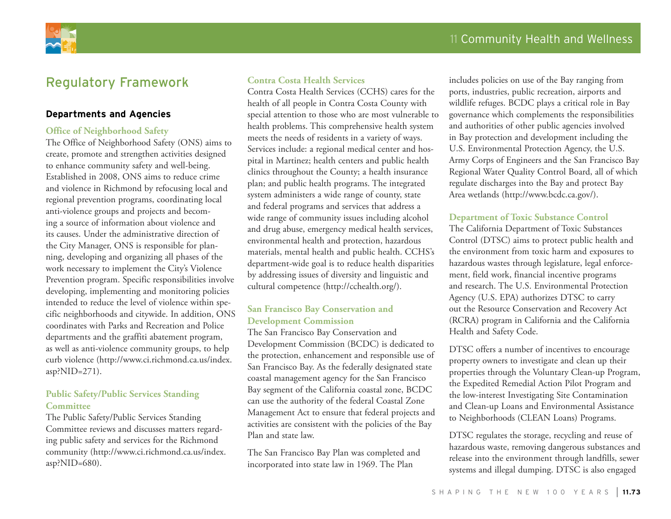

# Regulatory Framework

#### **Departments and Agencies**

#### **Office of Neighborhood Safety**

The Office of Neighborhood Safety (ONS) aims to create, promote and strengthen activities designed to enhance community safety and well-being. Established in 2008, ONS aims to reduce crime and violence in Richmond by refocusing local and regional prevention programs, coordinating local anti-violence groups and projects and becoming a source of information about violence and its causes. Under the administrative direction of the City Manager, ONS is responsible for planning, developing and organizing all phases of the work necessary to implement the City's Violence Prevention program. Specific responsibilities involve developing, implementing and monitoring policies intended to reduce the level of violence within specific neighborhoods and citywide. In addition, ONS coordinates with Parks and Recreation and Police departments and the graffiti abatement program, as well as anti-violence community groups, to help curb violence (http://www.ci.richmond.ca.us/index. asp?NID=271).

#### **Public Safety/Public Services Standing Committee**

The Public Safety/Public Services Standing Committee reviews and discusses matters regarding public safety and services for the Richmond community (http://www.ci.richmond.ca.us/index. asp?NID=680).

#### **Contra Costa Health Services**

Contra Costa Health Services (CCHS) cares for the health of all people in Contra Costa County with special attention to those who are most vulnerable to health problems. This comprehensive health system meets the needs of residents in a variety of ways. Services include: a regional medical center and hospital in Martinez; health centers and public health clinics throughout the County; a health insurance plan; and public health programs. The integrated system administers a wide range of county, state and federal programs and services that address a wide range of community issues including alcohol and drug abuse, emergency medical health services, environmental health and protection, hazardous materials, mental health and public health. CCHS's department-wide goal is to reduce health disparities by addressing issues of diversity and linguistic and cultural competence (http://cchealth.org/).

#### **San Francisco Bay Conservation and Development Commission**

The San Francisco Bay Conservation and Development Commission (BCDC) is dedicated to the protection, enhancement and responsible use of San Francisco Bay. As the federally designated state coastal management agency for the San Francisco Bay segment of the California coastal zone, BCDC can use the authority of the federal Coastal Zone Management Act to ensure that federal projects and activities are consistent with the policies of the Bay Plan and state law.

The San Francisco Bay Plan was completed and incorporated into state law in 1969. The Plan

includes policies on use of the Bay ranging from ports, industries, public recreation, airports and wildlife refuges. BCDC plays a critical role in Bay governance which complements the responsibilities and authorities of other public agencies involved in Bay protection and development including the U.S. Environmental Protection Agency, the U.S. Army Corps of Engineers and the San Francisco Bay Regional Water Quality Control Board, all of which regulate discharges into the Bay and protect Bay Area wetlands (http://www.bcdc.ca.gov/).

#### **Department of Toxic Substance Control**

The California Department of Toxic Substances Control (DTSC) aims to protect public health and the environment from toxic harm and exposures to hazardous wastes through legislature, legal enforcement, field work, financial incentive programs and research. The U.S. Environmental Protection Agency (U.S. EPA) authorizes DTSC to carry out the Resource Conservation and Recovery Act (RCRA) program in California and the California Health and Safety Code.

DTSC offers a number of incentives to encourage property owners to investigate and clean up their properties through the Voluntary Clean-up Program, the Expedited Remedial Action Pilot Program and the low-interest Investigating Site Contamination and Clean-up Loans and Environmental Assistance to Neighborhoods (CLEAN Loans) Programs.

DTSC regulates the storage, recycling and reuse of hazardous waste, removing dangerous substances and release into the environment through landfills, sewer systems and illegal dumping. DTSC is also engaged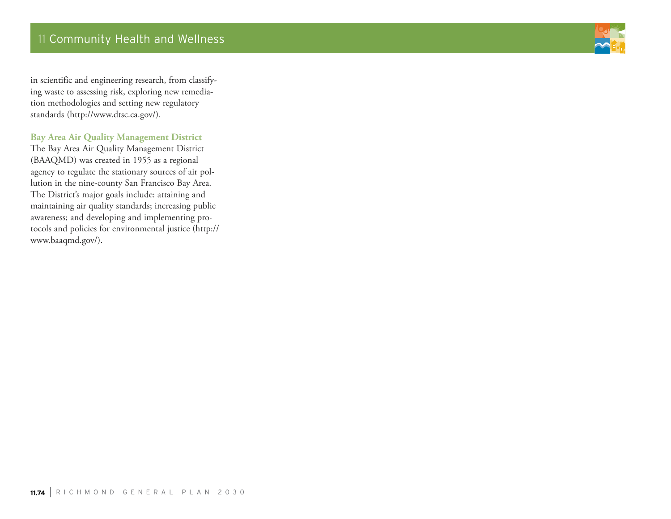

in scientific and engineering research, from classifying waste to assessing risk, exploring new remediation methodologies and setting new regulatory standards (http://www.dtsc.ca.gov/).

#### **Bay Area Air Quality Management District**

The Bay Area Air Quality Management District (BAAQMD) was created in 1955 as a regional agency to regulate the stationary sources of air pollution in the nine-county San Francisco Bay Area. The District's major goals include: attaining and maintaining air quality standards; increasing public awareness; and developing and implementing protocols and policies for environmental justice (http:// www.baaqmd.gov/).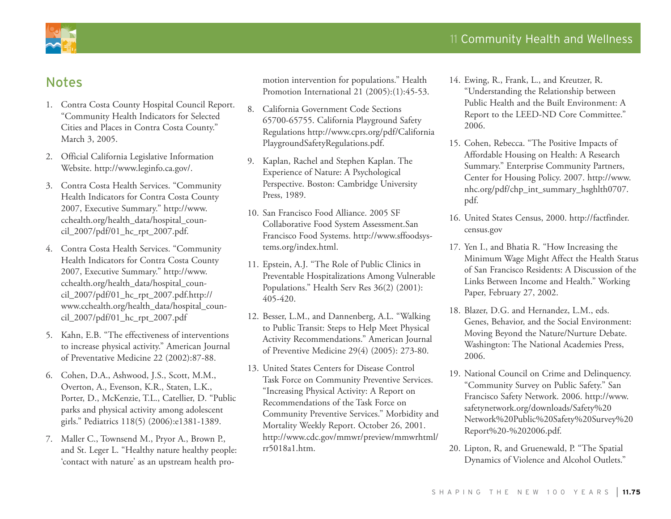# Notes

- 1. Contra Costa County Hospital Council Report. "Community Health Indicators for Selected Cities and Places in Contra Costa County." March 3, 2005.
- 2. Official California Legislative Information Website. http://www.leginfo.ca.gov/.
- 3. Contra Costa Health Services. "Community Health Indicators for Contra Costa County 2007, Executive Summary." http://www. cchealth.org/health\_data/hospital\_council\_2007/pdf/01\_hc\_rpt\_2007.pdf.
- 4. Contra Costa Health Services. "Community Health Indicators for Contra Costa County 2007, Executive Summary." http://www. cchealth.org/health\_data/hospital\_council\_2007/pdf/01\_hc\_rpt\_2007.pdf.http:// www.cchealth.org/health\_data/hospital\_council\_2007/pdf/01\_hc\_rpt\_2007.pdf
- 5. Kahn, E.B. "The effectiveness of interventions to increase physical activity." American Journal of Preventative Medicine 22 (2002):87-88.
- 6. Cohen, D.A., Ashwood, J.S., Scott, M.M., Overton, A., Evenson, K.R., Staten, L.K., Porter, D., McKenzie, T.L., Catellier, D. "Public parks and physical activity among adolescent girls." Pediatrics 118(5) (2006):e1381-1389.
- 7. Maller C., Townsend M., Pryor A., Brown P., and St. Leger L. "Healthy nature healthy people: 'contact with nature' as an upstream health pro-

motion intervention for populations." Health Promotion International 21 (2005):(1):45-53.

- 8. California Government Code Sections 65700-65755. California Playground Safety Regulations http://www.cprs.org/pdf/California PlaygroundSafetyRegulations.pdf.
- 9. Kaplan, Rachel and Stephen Kaplan. The Experience of Nature: A Psychological Perspective. Boston: Cambridge University Press, 1989.
- 10. San Francisco Food Alliance. 2005 SF Collaborative Food System Assessment.San Francisco Food Systems. http://www.sffoodsystems.org/index.html.
- 11. Epstein, A.J. "The Role of Public Clinics in Preventable Hospitalizations Among Vulnerable Populations." Health Serv Res 36(2) (2001): 405-420.
- 12. Besser, L.M., and Dannenberg, A.L. "Walking to Public Transit: Steps to Help Meet Physical Activity Recommendations." American Journal of Preventive Medicine 29(4) (2005): 273-80.
- 13. United States Centers for Disease Control Task Force on Community Preventive Services. "Increasing Physical Activity: A Report on Recommendations of the Task Force on Community Preventive Services." Morbidity and Mortality Weekly Report. October 26, 2001. http://www.cdc.gov/mmwr/preview/mmwrhtml/ rr5018a1.htm.
- 14. Ewing, R., Frank, L., and Kreutzer, R. "Understanding the Relationship between Public Health and the Built Environment: A Report to the LEED-ND Core Committee." 2006.
- 15. Cohen, Rebecca. "The Positive Impacts of Affordable Housing on Health: A Research Summary." Enterprise Community Partners, Center for Housing Policy. 2007. http://www. nhc.org/pdf/chp\_int\_summary\_hsghlth0707. pdf.
- 16. United States Census, 2000. http://factfinder. census.gov
- 17. Yen I., and Bhatia R. "How Increasing the Minimum Wage Might Affect the Health Status of San Francisco Residents: A Discussion of the Links Between Income and Health." Working Paper, February 27, 2002.
- 18. Blazer, D.G. and Hernandez, L.M., eds. Genes, Behavior, and the Social Environment: Moving Beyond the Nature/Nurture Debate. Washington: The National Academies Press, 2006.
- 19. National Council on Crime and Delinquency. "Community Survey on Public Safety." San Francisco Safety Network. 2006. http://www. safetynetwork.org/downloads/Safety%20 Network%20Public%20Safety%20Survey%20 Report%20-%202006.pdf.
- 20. Lipton, R, and Gruenewald, P. "The Spatial Dynamics of Violence and Alcohol Outlets."